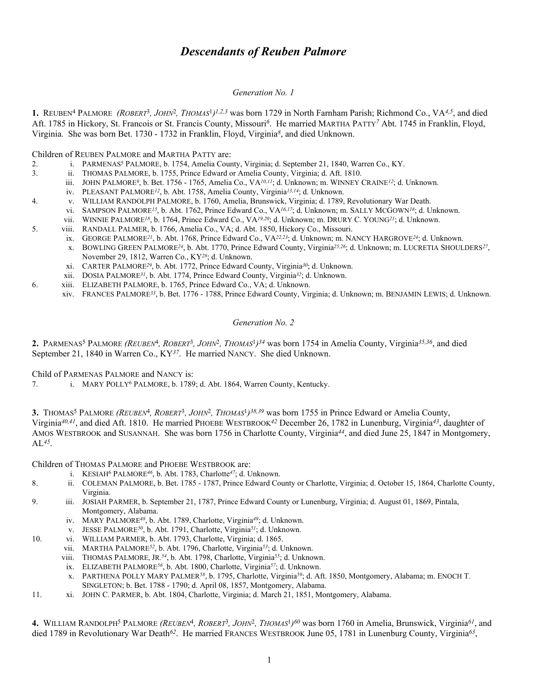# *Descendants of Reuben Palmore*

## *Generation No. 1*

**1.** REUBEN4 PALMORE *(ROBERT*3*, JOHN*2*, THOMAS*<sup>1</sup>*)1,2,3* was born 1729 in North Farnham Parish; Richmond Co., VA*4,5*, and died Aft. 1785 in Hickory, St. Francois or St. Francis County, Missouri*6*. He married MARTHA PATTY*7* Abt. 1745 in Franklin, Floyd, Virginia. She was born Bet. 1730 - 1732 in Franklin, Floyd, Virginia*8*, and died Unknown.

Children of REUBEN PALMORE and MARTHA PATTY are:

- 2. i. PARMENAS5 PALMORE, b. 1754, Amelia County, Virginia; d. September 21, 1840, Warren Co., KY.
- 3. ii. THOMAS PALMORE, b. 1755, Prince Edward or Amelia County, Virginia; d. Aft. 1810.
	- iii. JOHN PALMORE*9*, b. Bet. 1756 1765, Amelia Co., VA*10,11*; d. Unknown; m. WINNEY CRAINE*12*; d. Unknown.
		- iv. PLEASANT PALMORE*12*, b. Abt. 1758, Amelia County, Virginia*13,14*; d. Unknown.
- 4. v. WILLIAM RANDOLPH PALMORE, b. 1760, Amelia, Brunswick, Virginia; d. 1789, Revolutionary War Death.
	- vi. SAMPSON PALMORE*15*, b. Abt. 1762, Prince Edward Co., VA*16,17*; d. Unknown; m. SALLY MCGOWN*18*; d. Unknown.
		- vii. WINNIE PALMORE*18*, b. 1764, Prince Edward Co., VA*19,20*; d. Unknown; m. DRURY C. YOUNG*21*; d. Unknown.
- 5. viii. RANDALL PALMER, b. 1766, Amelia Co., VA; d. Abt. 1850, Hickory Co., Missouri.
	- ix. GEORGE PALMORE*21*, b. Abt. 1768, Prince Edward Co., VA*22,23*; d. Unknown; m. NANCY HARGROVE*24*; d. Unknown.
		- x. BOWLING GREEN PALMORE*24*, b. Abt. 1770, Prince Edward County, Virginia*25,26*; d. Unknown; m. LUCRETIA SHOULDERS*27*, November 29, 1812, Warren Co., KY*28*; d. Unknown.
		- xi. CARTER PALMORE*29*, b. Abt. 1772, Prince Edward County, Virginia*30*; d. Unknown.
	- xii. DOSIA PALMORE*31*, b. Abt. 1774, Prince Edward County, Virginia*32*; d. Unknown.
- 6. xiii. ELIZABETH PALMORE, b. 1765, Prince Edward Co., VA; d. Unknown.
	- xiv. FRANCES PALMORE*33*, b. Bet. 1776 1788, Prince Edward County, Virginia; d. Unknown; m. BENJAMIN LEWIS; d. Unknown.

#### *Generation No. 2*

**2.** PARMENAS5 PALMORE *(REUBEN*4*, ROBERT*3*, JOHN*2*, THOMAS*<sup>1</sup>*)34* was born 1754 in Amelia County, Virginia*35,36*, and died September 21, 1840 in Warren Co., KY*37*. He married NANCY. She died Unknown.

Child of PARMENAS PALMORE and NANCY is:

7. i. MARY POLLY6 PALMORE, b. 1789; d. Abt. 1864, Warren County, Kentucky.

**3.** THOMAS5 PALMORE *(REUBEN*4*, ROBERT*3*, JOHN*2*, THOMAS*<sup>1</sup>*)38,39* was born 1755 in Prince Edward or Amelia County, Virginia*40,41*, and died Aft. 1810. He married PHOEBE WESTBROOK*42* December 26, 1782 in Lunenburg, Virginia*43*, daughter of AMOS WESTBROOK and SUSANNAH. She was born 1756 in Charlotte County, Virginia*44*, and died June 25, 1847 in Montgomery, AL*45*.

Children of THOMAS PALMORE and PHOEBE WESTBROOK are:

- i. KESIAH6 PALMORE*46*, b. Abt. 1783, Charlotte*47*; d. Unknown.
- 8. ii. COLEMAN PALMORE, b. Bet. 1785 1787, Prince Edward County or Charlotte, Virginia; d. October 15, 1864, Charlotte County, Virginia.
- 9. iii. JOSIAH PARMER, b. September 21, 1787, Prince Edward County or Lunenburg, Virginia; d. August 01, 1869, Pintala, Montgomery, Alabama.
	- iv. MARY PALMORE*48*, b. Abt. 1789, Charlotte, Virginia*49*; d. Unknown.
	- v. JESSE PALMORE*50*, b. Abt. 1791, Charlotte, Virginia*51*; d. Unknown.
- 10. vi. WILLIAM PARMER, b. Abt. 1793, Charlotte, Virginia; d. 1865.
	- vii. MARTHA PALMORE*52*, b. Abt. 1796, Charlotte, Virginia*53*; d. Unknown.
	- viii. THOMAS PALMORE, JR.*54*, b. Abt. 1798, Charlotte, Virginia*55*; d. Unknown.
	- ix. ELIZABETH PALMORE*56*, b. Abt. 1800, Charlotte, Virginia*57*; d. Unknown.
	- x. PARTHENA POLLY MARY PALMER*58*, b. 1795, Charlotte, Virginia*59*; d. Aft. 1850, Montgomery, Alabama; m. ENOCH T. SINGLETON; b. Bet. 1788 - 1790; d. April 08, 1857, Montgomery, Alabama.
- 11. xi. JOHN C. PARMER, b. Abt. 1804, Charlotte, Virginia; d. March 21, 1851, Montgomery, Alabama.

**4.** WILLIAM RANDOLPH5 PALMORE *(REUBEN*4*, ROBERT*3*, JOHN*2*, THOMAS*<sup>1</sup>*)60* was born 1760 in Amelia, Brunswick, Virginia*61*, and died 1789 in Revolutionary War Death*62*. He married FRANCES WESTBROOK June 05, 1781 in Lunenburg County, Virginia*63*,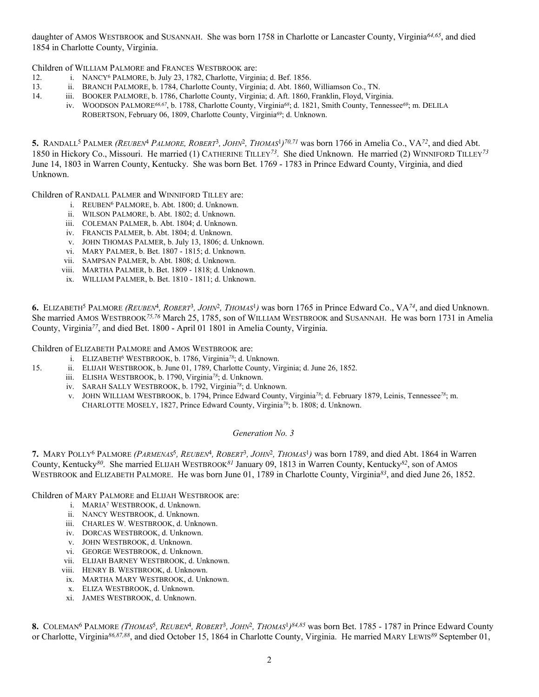daughter of AMOS WESTBROOK and SUSANNAH. She was born 1758 in Charlotte or Lancaster County, Virginia*64,65*, and died 1854 in Charlotte County, Virginia.

Children of WILLIAM PALMORE and FRANCES WESTBROOK are:

- 12. i. NANCY6 PALMORE, b. July 23, 1782, Charlotte, Virginia; d. Bef. 1856.
- 13. ii. BRANCH PALMORE, b. 1784, Charlotte County, Virginia; d. Abt. 1860, Williamson Co., TN. iii. BOOKER PALMORE, b. 1786, Charlotte County, Virginia; d. Aft. 1860, Franklin, Floyd, Virgi
	- iii. BOOKER PALMORE, b. 1786, Charlotte County, Virginia; d. Aft. 1860, Franklin, Floyd, Virginia.
		- iv. WOODSON PALMORE*66,67*, b. 1788, Charlotte County, Virginia*68*; d. 1821, Smith County, Tennessee*69*; m. DELILA

ROBERTSON, February 06, 1809, Charlotte County, Virginia*69*; d. Unknown.

**5.** RANDALL5 PALMER *(REUBEN*4 *PALMORE, ROBERT*3*, JOHN*2*, THOMAS*<sup>1</sup>*)70,71* was born 1766 in Amelia Co., VA*72*, and died Abt. 1850 in Hickory Co., Missouri. He married (1) CATHERINE TILLEY*73*. She died Unknown. He married (2) WINNIFORD TILLEY*<sup>73</sup>* June 14, 1803 in Warren County, Kentucky. She was born Bet. 1769 - 1783 in Prince Edward County, Virginia, and died Unknown.

Children of RANDALL PALMER and WINNIFORD TILLEY are:

- i. REUBEN6 PALMORE, b. Abt. 1800; d. Unknown.
- ii. WILSON PALMORE, b. Abt. 1802; d. Unknown.
- iii. COLEMAN PALMER, b. Abt. 1804; d. Unknown.
- iv. FRANCIS PALMER, b. Abt. 1804; d. Unknown.
- v. JOHN THOMAS PALMER, b. July 13, 1806; d. Unknown.
- vi. MARY PALMER, b. Bet. 1807 1815; d. Unknown.
- vii. SAMPSAN PALMER, b. Abt. 1808; d. Unknown.
- viii. MARTHA PALMER, b. Bet. 1809 1818; d. Unknown.
- ix. WILLIAM PALMER, b. Bet. 1810 1811; d. Unknown.

**6.** ELIZABETH5 PALMORE *(REUBEN*4*, ROBERT*3*, JOHN*2*, THOMAS*1*)* was born 1765 in Prince Edward Co., VA*74*, and died Unknown. She married AMOS WESTBROOK*75,76* March 25, 1785, son of WILLIAM WESTBROOK and SUSANNAH. He was born 1731 in Amelia County, Virginia*77*, and died Bet. 1800 - April 01 1801 in Amelia County, Virginia.

Children of ELIZABETH PALMORE and AMOS WESTBROOK are:

- i. ELIZABETH6 WESTBROOK, b. 1786, Virginia*78*; d. Unknown.
- 15. ii. ELIJAH WESTBROOK, b. June 01, 1789, Charlotte County, Virginia; d. June 26, 1852.
	- iii. ELISHA WESTBROOK, b. 1790, Virginia*78*; d. Unknown.
	- iv. SARAH SALLY WESTBROOK, b. 1792, Virginia*78*; d. Unknown.
	- v. JOHN WILLIAM WESTBROOK, b. 1794, Prince Edward County, Virginia*78*; d. February 1879, Leinis, Tennessee*78*; m. CHARLOTTE MOSELY, 1827, Prince Edward County, Virginia*79*; b. 1808; d. Unknown.

#### *Generation No. 3*

**7.** MARY POLLY6 PALMORE *(PARMENAS*5*, REUBEN*4*, ROBERT*3*, JOHN*2*, THOMAS*1*)* was born 1789, and died Abt. 1864 in Warren County, Kentucky*80*. She married ELIJAH WESTBROOK*81* January 09, 1813 in Warren County, Kentucky*82*, son of AMOS WESTBROOK and ELIZABETH PALMORE. He was born June 01, 1789 in Charlotte County, Virginia*83*, and died June 26, 1852.

Children of MARY PALMORE and ELIJAH WESTBROOK are:

- i. MARIA7 WESTBROOK, d. Unknown.
- ii. NANCY WESTBROOK, d. Unknown.
- iii. CHARLES W. WESTBROOK, d. Unknown.
- iv. DORCAS WESTBROOK, d. Unknown.
- v. JOHN WESTBROOK, d. Unknown.
- vi. GEORGE WESTBROOK, d. Unknown.
- vii. ELIJAH BARNEY WESTBROOK, d. Unknown.
- viii. HENRY B. WESTBROOK, d. Unknown.
- ix. MARTHA MARY WESTBROOK, d. Unknown.
- x. ELIZA WESTBROOK, d. Unknown.
- xi. JAMES WESTBROOK, d. Unknown.

**8.** COLEMAN6 PALMORE *(THOMAS*5*, REUBEN*4*, ROBERT*3*, JOHN*2*, THOMAS*<sup>1</sup>*)84,85* was born Bet. 1785 - 1787 in Prince Edward County or Charlotte, Virginia*86,87,88*, and died October 15, 1864 in Charlotte County, Virginia. He married MARY LEWIS*89* September 01,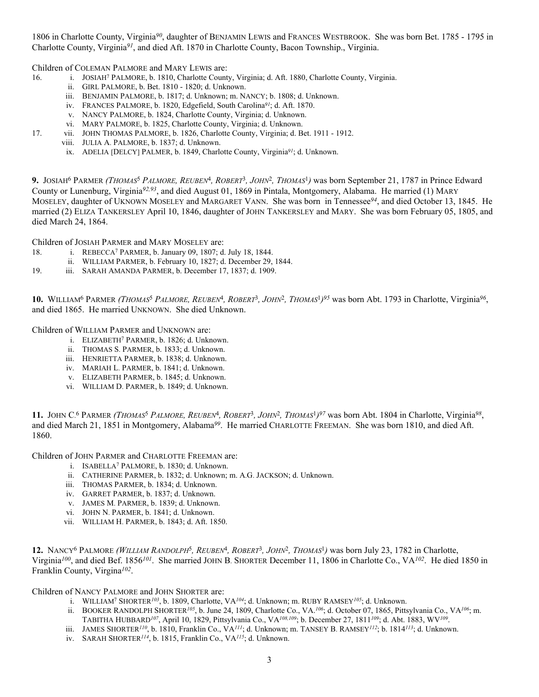1806 in Charlotte County, Virginia*90*, daughter of BENJAMIN LEWIS and FRANCES WESTBROOK. She was born Bet. 1785 - 1795 in Charlotte County, Virginia*91*, and died Aft. 1870 in Charlotte County, Bacon Township., Virginia.

Children of COLEMAN PALMORE and MARY LEWIS are:

- 16. i. JOSIAH7 PALMORE, b. 1810, Charlotte County, Virginia; d. Aft. 1880, Charlotte County, Virginia.
	- ii. GIRL PALMORE, b. Bet. 1810 1820; d. Unknown.
	- iii. BENJAMIN PALMORE, b. 1817; d. Unknown; m. NANCY; b. 1808; d. Unknown.
	- iv. FRANCES PALMORE, b. 1820, Edgefield, South Carolina*91*; d. Aft. 1870.
	- v. NANCY PALMORE, b. 1824, Charlotte County, Virginia; d. Unknown.
	- vi. MARY PALMORE, b. 1825, Charlotte County, Virginia; d. Unknown.
- 17. vii. JOHN THOMAS PALMORE, b. 1826, Charlotte County, Virginia; d. Bet. 1911 1912.
	- viii. JULIA A. PALMORE, b. 1837; d. Unknown.
	- ix. ADELIA [DELCY] PALMER, b. 1849, Charlotte County, Virginia*91*; d. Unknown.

**9.** JOSIAH6 PARMER *(THOMAS*5 *PALMORE, REUBEN*4*, ROBERT*3*, JOHN*2*, THOMAS*1*)* was born September 21, 1787 in Prince Edward County or Lunenburg, Virginia*92,93*, and died August 01, 1869 in Pintala, Montgomery, Alabama. He married (1) MARY MOSELEY, daughter of UKNOWN MOSELEY and MARGARET VANN. She was born in Tennessee*94*, and died October 13, 1845. He married (2) ELIZA TANKERSLEY April 10, 1846, daughter of JOHN TANKERSLEY and MARY. She was born February 05, 1805, and died March 24, 1864.

Children of JOSIAH PARMER and MARY MOSELEY are:

- 18. i. REBECCA7 PARMER, b. January 09, 1807; d. July 18, 1844.
	- ii. WILLIAM PARMER, b. February 10, 1827; d. December 29, 1844.
- 19. iii. SARAH AMANDA PARMER, b. December 17, 1837; d. 1909.

**10.** WILLIAM6 PARMER *(THOMAS*5 *PALMORE, REUBEN*4*, ROBERT*3*, JOHN*2*, THOMAS*<sup>1</sup>*)95* was born Abt. 1793 in Charlotte, Virginia*96*, and died 1865. He married UNKNOWN. She died Unknown.

Children of WILLIAM PARMER and UNKNOWN are:

- i. ELIZABETH7 PARMER, b. 1826; d. Unknown.
- ii. THOMAS S. PARMER, b. 1833; d. Unknown.
- iii. HENRIETTA PARMER, b. 1838; d. Unknown.
- iv. MARIAH L. PARMER, b. 1841; d. Unknown.
- v. ELIZABETH PARMER, b. 1845; d. Unknown.
- vi. WILLIAM D. PARMER, b. 1849; d. Unknown.

**11.** JOHN C. 6 PARMER *(THOMAS*5 *PALMORE, REUBEN*4*, ROBERT*3*, JOHN*2*, THOMAS*<sup>1</sup>*)97* was born Abt. 1804 in Charlotte, Virginia*98*, and died March 21, 1851 in Montgomery, Alabama*99*. He married CHARLOTTE FREEMAN. She was born 1810, and died Aft. 1860.

Children of JOHN PARMER and CHARLOTTE FREEMAN are:

- i. ISABELLA7 PALMORE, b. 1830; d. Unknown.
- ii. CATHERINE PARMER, b. 1832; d. Unknown; m. A.G. JACKSON; d. Unknown.
- iii. THOMAS PARMER, b. 1834; d. Unknown.
- iv. GARRET PARMER, b. 1837; d. Unknown.
- v. JAMES M. PARMER, b. 1839; d. Unknown.
- vi. JOHN N. PARMER, b. 1841; d. Unknown.
- vii. WILLIAM H. PARMER, b. 1843; d. Aft. 1850.

**12.** NANCY6 PALMORE *(WILLIAM RANDOLPH*5*, REUBEN*4*, ROBERT*3*, JOHN*2*, THOMAS*1*)* was born July 23, 1782 in Charlotte, Virginia*100*, and died Bef. 1856*101*. She married JOHN B. SHORTER December 11, 1806 in Charlotte Co., VA*102*. He died 1850 in Franklin County, Virgina*102*.

Children of NANCY PALMORE and JOHN SHORTER are:

- i. WILLIAM7 SHORTER*103*, b. 1809, Charlotte, VA*104*; d. Unknown; m. RUBY RAMSEY*105*; d. Unknown.
- ii. BOOKER RANDOLPH SHORTER*105*, b. June 24, 1809, Charlotte Co., VA.*106*; d. October 07, 1865, Pittsylvania Co., VA*106*; m. TABITHA HUBBARD*107*, April 10, 1829, Pittsylvania Co., VA*108,109*; b. December 27, 1811*109*; d. Abt. 1883, WV*109*.
- iii. JAMES SHORTER*110*, b. 1810, Franklin Co., VA*111*; d. Unknown; m. TANSEY B. RAMSEY*112*; b. 1814*113*; d. Unknown.
- iv. SARAH SHORTER*114*, b. 1815, Franklin Co., VA*115*; d. Unknown.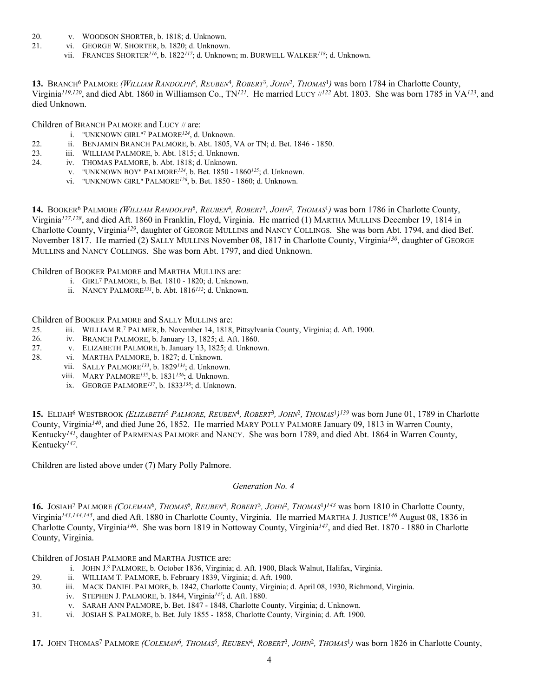- 20. v. WOODSON SHORTER, b. 1818; d. Unknown.
- 21. vi. GEORGE W. SHORTER, b. 1820; d. Unknown.
	- vii. FRANCES SHORTER*116*, b. 1822*117*; d. Unknown; m. BURWELL WALKER*118*; d. Unknown.

**13.** BRANCH6 PALMORE *(WILLIAM RANDOLPH*5*, REUBEN*4*, ROBERT*3*, JOHN*2*, THOMAS*1*)* was born 1784 in Charlotte County, Virginia*119,120*, and died Abt. 1860 in Williamson Co., TN*121*. He married LUCY //*122* Abt. 1803. She was born 1785 in VA*123*, and died Unknown.

Children of BRANCH PALMORE and LUCY // are:

- i. "UNKNOWN GIRL"7 PALMORE*124*, d. Unknown.
- 22. ii. BENJAMIN BRANCH PALMORE, b. Abt. 1805, VA or TN; d. Bet. 1846 1850.
- 23. iii. WILLIAM PALMORE, b. Abt. 1815; d. Unknown.
- 24. iv. THOMAS PALMORE, b. Abt. 1818; d. Unknown.
	- v. "UNKNOWN BOY" PALMORE*124*, b. Bet. 1850 1860*125*; d. Unknown.
	- vi. "UNKNOWN GIRL" PALMORE*126*, b. Bet. 1850 1860; d. Unknown.

**14.** BOOKER6 PALMORE *(WILLIAM RANDOLPH*5*, REUBEN*4*, ROBERT*3*, JOHN*2*, THOMAS*1*)* was born 1786 in Charlotte County, Virginia*127,128*, and died Aft. 1860 in Franklin, Floyd, Virginia. He married (1) MARTHA MULLINS December 19, 1814 in Charlotte County, Virginia*129*, daughter of GEORGE MULLINS and NANCY COLLINGS. She was born Abt. 1794, and died Bef. November 1817. He married (2) SALLY MULLINS November 08, 1817 in Charlotte County, Virginia*130*, daughter of GEORGE MULLINS and NANCY COLLINGS. She was born Abt. 1797, and died Unknown.

Children of BOOKER PALMORE and MARTHA MULLINS are:

- i. GIRL7 PALMORE, b. Bet. 1810 1820; d. Unknown.
- ii. NANCY PALMORE*131*, b. Abt. 1816*132*; d. Unknown.

Children of BOOKER PALMORE and SALLY MULLINS are:

- 25. iii. WILLIAM R. 7 PALMER, b. November 14, 1818, Pittsylvania County, Virginia; d. Aft. 1900.
- 26. iv. BRANCH PALMORE, b. January 13, 1825; d. Aft. 1860.
- 27. v. ELIZABETH PALMORE, b. January 13, 1825; d. Unknown.
- 28. vi. MARTHA PALMORE, b. 1827; d. Unknown.
	- vii. SALLY PALMORE*133*, b. 1829*134*; d. Unknown.
	- viii. MARY PALMORE*135*, b. 1831*136*; d. Unknown.
	- ix. GEORGE PALMORE*137*, b. 1833*138*; d. Unknown.

**15.** ELIJAH6 WESTBROOK *(ELIZABETH*5 *PALMORE, REUBEN*4*, ROBERT*3*, JOHN*2*, THOMAS*<sup>1</sup>*)139* was born June 01, 1789 in Charlotte County, Virginia*140*, and died June 26, 1852. He married MARY POLLY PALMORE January 09, 1813 in Warren County, Kentucky*141*, daughter of PARMENAS PALMORE and NANCY. She was born 1789, and died Abt. 1864 in Warren County, Kentucky*142*.

Children are listed above under (7) Mary Polly Palmore.

## *Generation No. 4*

**16.** JOSIAH7 PALMORE *(COLEMAN*6*, THOMAS*5*, REUBEN*4*, ROBERT*3*, JOHN*2*, THOMAS*<sup>1</sup>*)143* was born 1810 in Charlotte County, Virginia*143,144,145*, and died Aft. 1880 in Charlotte County, Virginia. He married MARTHA J. JUSTICE*146* August 08, 1836 in Charlotte County, Virginia*146*. She was born 1819 in Nottoway County, Virginia*147*, and died Bet. 1870 - 1880 in Charlotte County, Virginia.

Children of JOSIAH PALMORE and MARTHA JUSTICE are:

- i. JOHN J. 8 PALMORE, b. October 1836, Virginia; d. Aft. 1900, Black Walnut, Halifax, Virginia.
- 29. ii. WILLIAM T. PALMORE, b. February 1839, Virginia; d. Aft. 1900.
- 30. iii. MACK DANIEL PALMORE, b. 1842, Charlotte County, Virginia; d. April 08, 1930, Richmond, Virginia.
	- iv. STEPHEN J. PALMORE, b. 1844, Virginia*147*; d. Aft. 1880.
		- v. SARAH ANN PALMORE, b. Bet. 1847 1848, Charlotte County, Virginia; d. Unknown.
- 31. vi. JOSIAH S. PALMORE, b. Bet. July 1855 1858, Charlotte County, Virginia; d. Aft. 1900.

**17.** JOHN THOMAS7 PALMORE *(COLEMAN*6*, THOMAS*5*, REUBEN*4*, ROBERT*3*, JOHN*2*, THOMAS*1*)* was born 1826 in Charlotte County,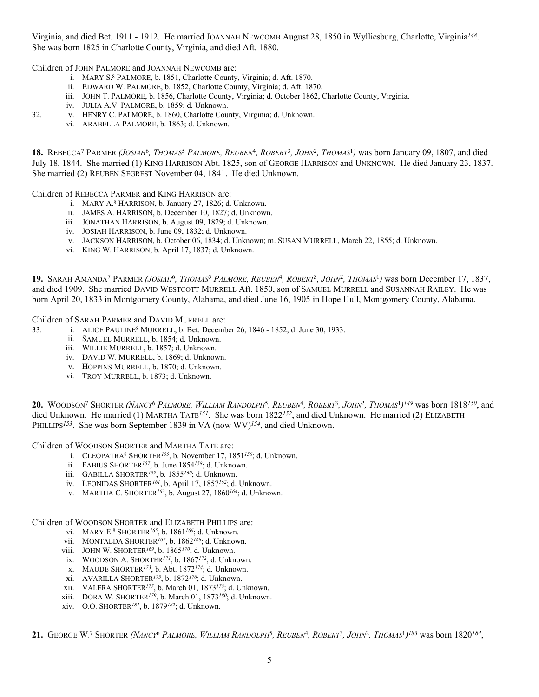Virginia, and died Bet. 1911 - 1912. He married JOANNAH NEWCOMB August 28, 1850 in Wylliesburg, Charlotte, Virginia*148*. She was born 1825 in Charlotte County, Virginia, and died Aft. 1880.

Children of JOHN PALMORE and JOANNAH NEWCOMB are:

- i. MARY S. 8 PALMORE, b. 1851, Charlotte County, Virginia; d. Aft. 1870.
- ii. EDWARD W. PALMORE, b. 1852, Charlotte County, Virginia; d. Aft. 1870.
- iii. JOHN T. PALMORE, b. 1856, Charlotte County, Virginia; d. October 1862, Charlotte County, Virginia.
- iv. JULIA A.V. PALMORE, b. 1859; d. Unknown.

32. v. HENRY C. PALMORE, b. 1860, Charlotte County, Virginia; d. Unknown.

vi. ARABELLA PALMORE, b. 1863; d. Unknown.

**18.** REBECCA7 PARMER *(JOSIAH*6*, THOMAS*5 *PALMORE, REUBEN*4*, ROBERT*3*, JOHN*2*, THOMAS*1*)* was born January 09, 1807, and died July 18, 1844. She married (1) KING HARRISON Abt. 1825, son of GEORGE HARRISON and UNKNOWN. He died January 23, 1837. She married (2) REUBEN SEGREST November 04, 1841. He died Unknown.

Children of REBECCA PARMER and KING HARRISON are:

- i. MARY A. 8 HARRISON, b. January 27, 1826; d. Unknown.
- ii. JAMES A. HARRISON, b. December 10, 1827; d. Unknown.
- iii. JONATHAN HARRISON, b. August 09, 1829; d. Unknown.
- iv. JOSIAH HARRISON, b. June 09, 1832; d. Unknown.
- v. JACKSON HARRISON, b. October 06, 1834; d. Unknown; m. SUSAN MURRELL, March 22, 1855; d. Unknown.
- vi. KING W. HARRISON, b. April 17, 1837; d. Unknown.

**19.** SARAH AMANDA7 PARMER *(JOSIAH*6*, THOMAS*5 *PALMORE, REUBEN*4*, ROBERT*3*, JOHN*2*, THOMAS*1*)* was born December 17, 1837, and died 1909. She married DAVID WESTCOTT MURRELL Aft. 1850, son of SAMUEL MURRELL and SUSANNAH RAILEY. He was born April 20, 1833 in Montgomery County, Alabama, and died June 16, 1905 in Hope Hull, Montgomery County, Alabama.

Children of SARAH PARMER and DAVID MURRELL are:

- 33. i. ALICE PAULINE8 MURRELL, b. Bet. December 26, 1846 1852; d. June 30, 1933.
	- ii. SAMUEL MURRELL, b. 1854; d. Unknown.
	- iii. WILLIE MURRELL, b. 1857; d. Unknown.
	- iv. DAVID W. MURRELL, b. 1869; d. Unknown.
	- v. HOPPINS MURRELL, b. 1870; d. Unknown.
	- vi. TROY MURRELL, b. 1873; d. Unknown.

**20.** WOODSON7 SHORTER *(NANCY*6 *PALMORE, WILLIAM RANDOLPH*5*, REUBEN*4*, ROBERT*3*, JOHN*2*, THOMAS*<sup>1</sup>*)149* was born 1818*150*, and died Unknown. He married (1) MARTHA TATE*151*. She was born 1822*152*, and died Unknown. He married (2) ELIZABETH PHILLIPS<sup>153</sup>. She was born September 1839 in VA (now WV)<sup>154</sup>, and died Unknown.

Children of WOODSON SHORTER and MARTHA TATE are:

- i. CLEOPATRA8 SHORTER*155*, b. November 17, 1851*156*; d. Unknown.
- ii. FABIUS SHORTER*157*, b. June 1854*158*; d. Unknown.
- iii. GABILLA SHORTER*159*, b. 1855*160*; d. Unknown.
- iv. LEONIDAS SHORTER*161*, b. April 17, 1857*162*; d. Unknown.
- v. MARTHA C. SHORTER*163*, b. August 27, 1860*164*; d. Unknown.

Children of WOODSON SHORTER and ELIZABETH PHILLIPS are:

- vi. MARY E. 8 SHORTER*165*, b. 1861*166*; d. Unknown.
- vii. MONTALDA SHORTER*167*, b. 1862*168*; d. Unknown.
- viii. JOHN W. SHORTER*169*, b. 1865*170*; d. Unknown.
- ix. WOODSON A. SHORTER*171*, b. 1867*172*; d. Unknown.
- x. MAUDE SHORTER*173*, b. Abt. 1872*174*; d. Unknown.
- xi. AVARILLA SHORTER*175*, b. 1872*176*; d. Unknown.
- xii. VALERA SHORTER*177*, b. March 01, 1873*178*; d. Unknown.
- xiii. DORA W. SHORTER*179*, b. March 01, 1873*180*; d. Unknown.
- xiv. O.O. SHORTER*181*, b. 1879*182*; d. Unknown.

**21.** GEORGE W. 7 SHORTER *(NANCY*6 *PALMORE, WILLIAM RANDOLPH*5*, REUBEN*4*, ROBERT*3*, JOHN*2*, THOMAS*1*)183* was born 1820*184*,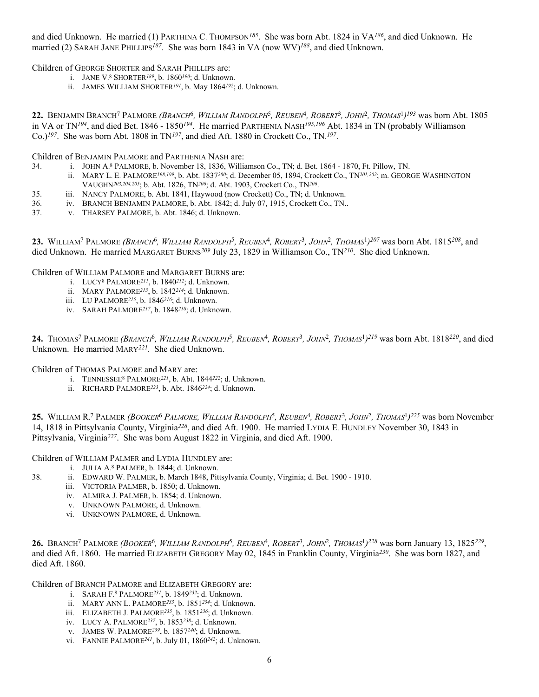and died Unknown. He married (1) PARTHINA C. THOMPSON*185*. She was born Abt. 1824 in VA*186*, and died Unknown. He married (2) SARAH JANE PHILLIPS*187*. She was born 1843 in VA (now WV)*188*, and died Unknown.

Children of GEORGE SHORTER and SARAH PHILLIPS are:

- i. JANE V. 8 SHORTER*189*, b. 1860*190*; d. Unknown.
- ii. JAMES WILLIAM SHORTER*191*, b. May 1864*192*; d. Unknown.

**22.** BENJAMIN BRANCH7 PALMORE *(BRANCH*6*, WILLIAM RANDOLPH*5*, REUBEN*4*, ROBERT*3*, JOHN*2*, THOMAS*<sup>1</sup>*)193* was born Abt. 1805 in VA or TN*194*, and died Bet. 1846 - 1850*194*. He married PARTHENIA NASH*195,196* Abt. 1834 in TN (probably Williamson Co.)*197*. She was born Abt. 1808 in TN*197*, and died Aft. 1880 in Crockett Co., TN.*197*.

Children of BENJAMIN PALMORE and PARTHENIA NASH are:

- 34. i. JOHN A. 8 PALMORE, b. November 18, 1836, Williamson Co., TN; d. Bet. 1864 1870, Ft. Pillow, TN.
	- ii. MARY L. E. PALMORE*198,199*, b. Abt. 1837*200*; d. December 05, 1894, Crockett Co., TN*201,202*; m. GEORGE WASHINGTON VAUGHN*203,204,205*; b. Abt. 1826, TN*206*; d. Abt. 1903, Crockett Co., TN*206*.
- 35. iii. NANCY PALMORE, b. Abt. 1841, Haywood (now Crockett) Co., TN; d. Unknown.
- 36. iv. BRANCH BENJAMIN PALMORE, b. Abt. 1842; d. July 07, 1915, Crockett Co., TN..
- 37. v. THARSEY PALMORE, b. Abt. 1846; d. Unknown.

**23.** WILLIAM7 PALMORE *(BRANCH*6*, WILLIAM RANDOLPH*5*, REUBEN*4*, ROBERT*3*, JOHN*2*, THOMAS*<sup>1</sup>*)207* was born Abt. 1815*208*, and died Unknown. He married MARGARET BURNS*209* July 23, 1829 in Williamson Co., TN*210*. She died Unknown.

Children of WILLIAM PALMORE and MARGARET BURNS are:

- i. LUCY8 PALMORE*211*, b. 1840*212*; d. Unknown.
- ii. MARY PALMORE*213*, b. 1842*214*; d. Unknown.
- iii. LU PALMORE*215*, b. 1846*216*; d. Unknown.
- iv. SARAH PALMORE*217*, b. 1848*218*; d. Unknown.

**24.** THOMAS7 PALMORE *(BRANCH*6*, WILLIAM RANDOLPH*5*, REUBEN*4*, ROBERT*3*, JOHN*2*, THOMAS*<sup>1</sup>*)219* was born Abt. 1818*220*, and died Unknown. He married MARY*221*. She died Unknown.

Children of THOMAS PALMORE and MARY are:

- i. TENNESSEE8 PALMORE*221*, b. Abt. 1844*222*; d. Unknown.
- ii. RICHARD PALMORE*223*, b. Abt. 1846*224*; d. Unknown.

**25.** WILLIAM R. 7 PALMER *(BOOKER*6 *PALMORE, WILLIAM RANDOLPH*5*, REUBEN*4*, ROBERT*3*, JOHN*2*, THOMAS*<sup>1</sup>*)225* was born November 14, 1818 in Pittsylvania County, Virginia*226*, and died Aft. 1900. He married LYDIA E. HUNDLEY November 30, 1843 in Pittsylvania, Virginia*227*. She was born August 1822 in Virginia, and died Aft. 1900.

Children of WILLIAM PALMER and LYDIA HUNDLEY are:

- i. JULIA A. 8 PALMER, b. 1844; d. Unknown.
- 38. ii. EDWARD W. PALMER, b. March 1848, Pittsylvania County, Virginia; d. Bet. 1900 1910.
	- iii. VICTORIA PALMER, b. 1850; d. Unknown.
	- iv. ALMIRA J. PALMER, b. 1854; d. Unknown.
	- v. UNKNOWN PALMORE, d. Unknown.
	- vi. UNKNOWN PALMORE, d. Unknown.

**26.** BRANCH7 PALMORE *(BOOKER*6*, WILLIAM RANDOLPH*5*, REUBEN*4*, ROBERT*3*, JOHN*2*, THOMAS*<sup>1</sup>*)228* was born January 13, 1825*229*, and died Aft. 1860. He married ELIZABETH GREGORY May 02, 1845 in Franklin County, Virginia*230*. She was born 1827, and died Aft. 1860.

Children of BRANCH PALMORE and ELIZABETH GREGORY are:

- i. SARAH F. 8 PALMORE*231*, b. 1849*232*; d. Unknown.
- ii. MARY ANN L. PALMORE*233*, b. 1851*234*; d. Unknown.
- iii. ELIZABETH J. PALMORE*235*, b. 1851*236*; d. Unknown.
- iv. LUCY A. PALMORE*237*, b. 1853*238*; d. Unknown.
- v. JAMES W. PALMORE*239*, b. 1857*240*; d. Unknown.
- vi. FANNIE PALMORE*241*, b. July 01, 1860*242*; d. Unknown.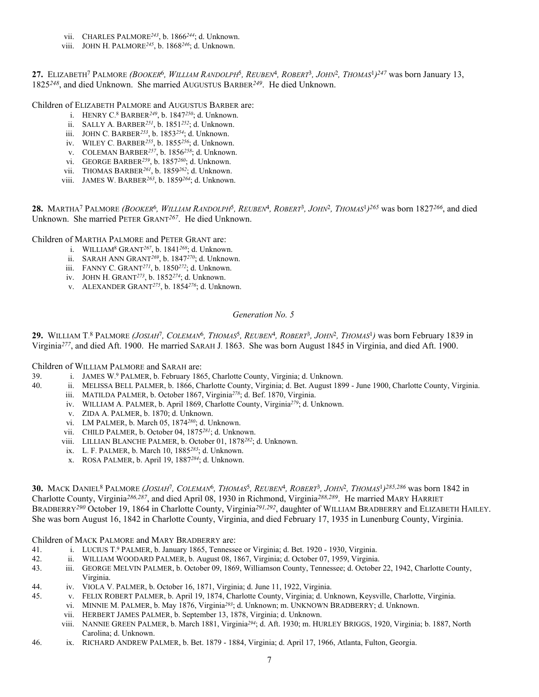- vii. CHARLES PALMORE*243*, b. 1866*244*; d. Unknown.
- viii. JOHN H. PALMORE*245*, b. 1868*246*; d. Unknown.

**27.** ELIZABETH7 PALMORE *(BOOKER*6*, WILLIAM RANDOLPH*5*, REUBEN*4*, ROBERT*3*, JOHN*2*, THOMAS*<sup>1</sup>*)247* was born January 13, 1825*248*, and died Unknown. She married AUGUSTUS BARBER*249*. He died Unknown.

Children of ELIZABETH PALMORE and AUGUSTUS BARBER are:

- i. HENRY C. 8 BARBER*249*, b. 1847*250*; d. Unknown.
- ii. SALLY A. BARBER*251*, b. 1851*252*; d. Unknown.
- iii. JOHN C. BARBER*253*, b. 1853*254*; d. Unknown.
- iv. WILEY C. BARBER*255*, b. 1855*256*; d. Unknown.
- v. COLEMAN BARBER*257*, b. 1856*258*; d. Unknown.
- vi. GEORGE BARBER*259*, b. 1857*260*; d. Unknown.
- vii. THOMAS BARBER*261*, b. 1859*262*; d. Unknown.
- viii. JAMES W. BARBER*263*, b. 1859*264*; d. Unknown.

**28.** MARTHA7 PALMORE *(BOOKER*6*, WILLIAM RANDOLPH*5*, REUBEN*4*, ROBERT*3*, JOHN*2*, THOMAS*<sup>1</sup>*)265* was born 1827*266*, and died Unknown. She married PETER GRANT*267*. He died Unknown.

Children of MARTHA PALMORE and PETER GRANT are:

- i. WILLIAM8 GRANT*267*, b. 1841*268*; d. Unknown.
	- ii. SARAH ANN GRANT*269*, b. 1847*270*; d. Unknown.
	- iii. FANNY C. GRANT*271*, b. 1850*272*; d. Unknown.
	- iv. JOHN H. GRANT*273*, b. 1852*274*; d. Unknown.
	- v. ALEXANDER GRANT*275*, b. 1854*276*; d. Unknown.

### *Generation No. 5*

**29.** WILLIAM T. 8 PALMORE *(JOSIAH*7*, COLEMAN*6*, THOMAS*5*, REUBEN*4*, ROBERT*3*, JOHN*2*, THOMAS*1*)* was born February 1839 in Virginia*277*, and died Aft. 1900. He married SARAH J. 1863. She was born August 1845 in Virginia, and died Aft. 1900.

Children of WILLIAM PALMORE and SARAH are:

- 39. i. JAMES W. 9 PALMER, b. February 1865, Charlotte County, Virginia; d. Unknown.
- 40. ii. MELISSA BELL PALMER, b. 1866, Charlotte County, Virginia; d. Bet. August 1899 June 1900, Charlotte County, Virginia.
	- iii. MATILDA PALMER, b. October 1867, Virginia*278*; d. Bef. 1870, Virginia.
	- iv. WILLIAM A. PALMER, b. April 1869, Charlotte County, Virginia*279*; d. Unknown.
	- v. ZIDA A. PALMER, b. 1870; d. Unknown.
	- vi. LM PALMER, b. March 05, 1874*280*; d. Unknown.
	- vii. CHILD PALMER, b. October 04, 1875*281*; d. Unknown.
	- viii. LILLIAN BLANCHE PALMER, b. October 01, 1878*282*; d. Unknown.
	- ix. L. F. PALMER, b. March 10, 1885*283*; d. Unknown.
	- x. ROSA PALMER, b. April 19, 1887*284*; d. Unknown.

**30.** MACK DANIEL8 PALMORE *(JOSIAH*7*, COLEMAN*6*, THOMAS*5*, REUBEN*4*, ROBERT*3*, JOHN*2*, THOMAS*<sup>1</sup>*)285,286* was born 1842 in Charlotte County, Virginia*286,287*, and died April 08, 1930 in Richmond, Virginia*288,289*. He married MARY HARRIET BRADBERRY<sup>290</sup> October 19, 1864 in Charlotte County, Virginia<sup>291,292</sup>, daughter of WILLIAM BRADBERRY and ELIZABETH HAILEY. She was born August 16, 1842 in Charlotte County, Virginia, and died February 17, 1935 in Lunenburg County, Virginia.

Children of MACK PALMORE and MARY BRADBERRY are:

- 41. i. LUCIUS T. 9 PALMER, b. January 1865, Tennessee or Virginia; d. Bet. 1920 1930, Virginia.
- 42. ii. WILLIAM WOODARD PALMER, b. August 08, 1867, Virginia; d. October 07, 1959, Virginia.
- 43. iii. GEORGE MELVIN PALMER, b. October 09, 1869, Williamson County, Tennessee; d. October 22, 1942, Charlotte County, Virginia.
- 44. iv. VIOLA V. PALMER, b. October 16, 1871, Virginia; d. June 11, 1922, Virginia.
- 45. v. FELIX ROBERT PALMER, b. April 19, 1874, Charlotte County, Virginia; d. Unknown, Keysville, Charlotte, Virginia.
	- vi. MINNIE M. PALMER, b. May 1876, Virginia*293*; d. Unknown; m. UNKNOWN BRADBERRY; d. Unknown.
		- vii. HERBERT JAMES PALMER, b. September 13, 1878, Virginia; d. Unknown.
		- viii. NANNIE GREEN PALMER, b. March 1881, Virginia*294*; d. Aft. 1930; m. HURLEY BRIGGS, 1920, Virginia; b. 1887, North Carolina; d. Unknown.
- 46. ix. RICHARD ANDREW PALMER, b. Bet. 1879 1884, Virginia; d. April 17, 1966, Atlanta, Fulton, Georgia.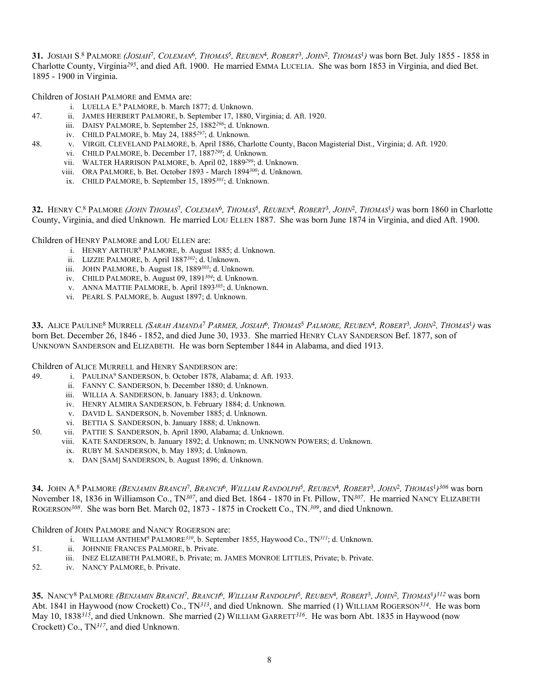**31.** JOSIAH S. 8 PALMORE *(JOSIAH*7*, COLEMAN*6*, THOMAS*5*, REUBEN*4*, ROBERT*3*, JOHN*2*, THOMAS*1*)* was born Bet. July 1855 - 1858 in Charlotte County, Virginia*295*, and died Aft. 1900. He married EMMA LUCELIA. She was born 1853 in Virginia, and died Bet. 1895 - 1900 in Virginia.

Children of JOSIAH PALMORE and EMMA are:

- i. LUELLA E. 9 PALMORE, b. March 1877; d. Unknown.
- 47. ii. JAMES HERBERT PALMORE, b. September 17, 1880, Virginia; d. Aft. 1920.
	- iii. DAISY PALMORE, b. September 25, 1882*296*; d. Unknown.
	- iv. CHILD PALMORE, b. May 24, 1885*297*; d. Unknown.
- 48. v. VIRGIL CLEVELAND PALMORE, b. April 1886, Charlotte County, Bacon Magisterial Dist., Virginia; d. Aft. 1920.
	- vi. CHILD PALMORE, b. December 17, 1887*298*; d. Unknown.
	- vii. WALTER HARRISON PALMORE, b. April 02, 1889*299*; d. Unknown.
	- viii. ORA PALMORE, b. Bet. October 1893 March 1894*300*; d. Unknown.
	- ix. CHILD PALMORE, b. September 15, 1895*301*; d. Unknown.

**32.** HENRY C. 8 PALMORE *(JOHN THOMAS*7*, COLEMAN*6*, THOMAS*5*, REUBEN*4*, ROBERT*3*, JOHN*2*, THOMAS*1*)* was born 1860 in Charlotte County, Virginia, and died Unknown. He married LOU ELLEN 1887. She was born June 1874 in Virginia, and died Aft. 1900.

Children of HENRY PALMORE and LOU ELLEN are:

- i. HENRY ARTHUR9 PALMORE, b. August 1885; d. Unknown.
- ii. LIZZIE PALMORE, b. April 1887*302*; d. Unknown.
- iii. JOHN PALMORE, b. August 18, 1889*303*; d. Unknown.
- iv. CHILD PALMORE, b. August 09, 1891*304*; d. Unknown.
- v. ANNA MATTIE PALMORE, b. April 1893*305*; d. Unknown.
- vi. PEARL S. PALMORE, b. August 1897; d. Unknown.

**33.** ALICE PAULINE8 MURRELL *(SARAH AMANDA*7 *PARMER, JOSIAH*6*, THOMAS*5 *PALMORE, REUBEN*4*, ROBERT*3*, JOHN*2*, THOMAS*1*)* was born Bet. December 26, 1846 - 1852, and died June 30, 1933. She married HENRY CLAY SANDERSON Bef. 1877, son of UNKNOWN SANDERSON and ELIZABETH. He was born September 1844 in Alabama, and died 1913.

Children of ALICE MURRELL and HENRY SANDERSON are:

- 49. i. PAULINA9 SANDERSON, b. October 1878, Alabama; d. Aft. 1933.
	- ii. FANNY C. SANDERSON, b. December 1880; d. Unknown.
	- iii. WILLIA A. SANDERSON, b. January 1883; d. Unknown.
	- iv. HENRY ALMIRA SANDERSON, b. February 1884; d. Unknown.
	- v. DAVID L. SANDERSON, b. November 1885; d. Unknown.
	- vi. BETTIA S. SANDERSON, b. January 1888; d. Unknown.
- 50. vii. PATTIE S. SANDERSON, b. April 1890, Alabama; d. Unknown.
	- viii. KATE SANDERSON, b. January 1892; d. Unknown; m. UNKNOWN POWERS; d. Unknown.
		- ix. RUBY M. SANDERSON, b. May 1893; d. Unknown.
		- x. DAN [SAM] SANDERSON, b. August 1896; d. Unknown.

**34.** JOHN A. 8 PALMORE *(BENJAMIN BRANCH*7*, BRANCH*6*, WILLIAM RANDOLPH*5*, REUBEN*4*, ROBERT*3*, JOHN*2*, THOMAS*<sup>1</sup>*)306* was born November 18, 1836 in Williamson Co., TN*307*, and died Bet. 1864 - 1870 in Ft. Pillow, TN*307*. He married NANCY ELIZABETH ROGERSON*308*. She was born Bet. March 02, 1873 - 1875 in Crockett Co., TN.*309*, and died Unknown.

Children of JOHN PALMORE and NANCY ROGERSON are:

- i. WILLIAM ANTHEM9 PALMORE*310*, b. September 1855, Haywood Co., TN*311*; d. Unknown.
- 51. ii. JOHNNIE FRANCES PALMORE, b. Private.
- iii. INEZ ELIZABETH PALMORE, b. Private; m. JAMES MONROE LITTLES, Private; b. Private.
- 52. iv. NANCY PALMORE, b. Private.

**35.** NANCY8 PALMORE *(BENJAMIN BRANCH*7*, BRANCH*6*, WILLIAM RANDOLPH*5*, REUBEN*4*, ROBERT*3*, JOHN*2*, THOMAS*<sup>1</sup>*)312* was born Abt. 1841 in Haywood (now Crockett) Co., TN*313*, and died Unknown. She married (1) WILLIAM ROGERSON*314*. He was born May 10, 1838*315*, and died Unknown. She married (2) WILLIAM GARRETT*316*. He was born Abt. 1835 in Haywood (now Crockett) Co., TN*317*, and died Unknown.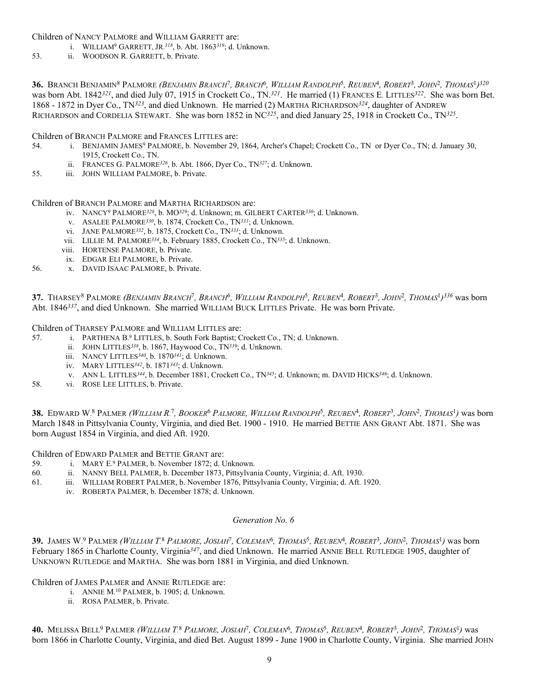Children of NANCY PALMORE and WILLIAM GARRETT are:

- i. WILLIAM9 GARRETT, JR.*318*, b. Abt. 1863*319*; d. Unknown.
- 53. ii. WOODSON R. GARRETT, b. Private.

**36.** BRANCH BENJAMIN8 PALMORE *(BENJAMIN BRANCH*7*, BRANCH*6*, WILLIAM RANDOLPH*5*, REUBEN*4*, ROBERT*3*, JOHN*2*, THOMAS*<sup>1</sup>*)320* was born Abt. 1842*321*, and died July 07, 1915 in Crockett Co., TN.*321*. He married (1) FRANCES E. LITTLES*322*. She was born Bet. 1868 - 1872 in Dyer Co., TN*323*, and died Unknown. He married (2) MARTHA RICHARDSON*324*, daughter of ANDREW RICHARDSON and CORDELIA STEWART. She was born 1852 in NC*325*, and died January 25, 1918 in Crockett Co., TN*325*.

Children of BRANCH PALMORE and FRANCES LITTLES are:

- 54. i. BENJAMIN JAMES9 PALMORE, b. November 29, 1864, Archer's Chapel; Crockett Co., TN or Dyer Co., TN; d. January 30, 1915, Crockett Co., TN.
	- ii. FRANCES G. PALMORE*326*, b. Abt. 1866, Dyer Co., TN*327*; d. Unknown.
- 55. iii. JOHN WILLIAM PALMORE, b. Private.

Children of BRANCH PALMORE and MARTHA RICHARDSON are:

- iv. NANCY9 PALMORE*328*, b. MO*329*; d. Unknown; m. GILBERT CARTER*330*; d. Unknown.
- v. ASALEE PALMORE*330*, b. 1874, Crockett Co., TN*331*; d. Unknown.
- vi. JANE PALMORE*332*, b. 1875, Crockett Co., TN*333*; d. Unknown.
- vii. LILLIE M. PALMORE*334*, b. February 1885, Crockett Co., TN*335*; d. Unknown.
- viii. HORTENSE PALMORE, b. Private.
- ix. EDGAR ELI PALMORE, b. Private.
- 56. x. DAVID ISAAC PALMORE, b. Private.

**37.** THARSEY8 PALMORE *(BENJAMIN BRANCH*7*, BRANCH*6*, WILLIAM RANDOLPH*5*, REUBEN*4*, ROBERT*3*, JOHN*2*, THOMAS*<sup>1</sup>*)336* was born Abt. 1846*337*, and died Unknown. She married WILLIAM BUCK LITTLES Private. He was born Private.

Children of THARSEY PALMORE and WILLIAM LITTLES are:

- 57. i. PARTHENA B. 9 LITTLES, b. South Fork Baptist; Crockett Co., TN; d. Unknown.
	- ii. JOHN LITTLES*338*, b. 1867, Haywood Co., TN*339*; d. Unknown.
	- iii. NANCY LITTLES*340*, b. 1870*341*; d. Unknown.
	- iv. MARY LITTLES*342*, b. 1871*343*; d. Unknown.
	- v. ANN L. LITTLES*344*, b. December 1881, Crockett Co., TN*345*; d. Unknown; m. DAVID HICKS*346*; d. Unknown.
- 58. vi. ROSE LEE LITTLES, b. Private.

**38.** EDWARD W. 8 PALMER *(WILLIAM R.* <sup>7</sup>*, BOOKER*6 *PALMORE, WILLIAM RANDOLPH*5*, REUBEN*4*, ROBERT*3*, JOHN*2*, THOMAS*1*)* was born March 1848 in Pittsylvania County, Virginia, and died Bet. 1900 - 1910. He married BETTIE ANN GRANT Abt. 1871. She was born August 1854 in Virginia, and died Aft. 1920.

Children of EDWARD PALMER and BETTIE GRANT are:

- 59. i. MARY E. 9 PALMER, b. November 1872; d. Unknown.
- 60. ii. NANNY BELL PALMER, b. December 1873, Pittsylvania County, Virginia; d. Aft. 1930.
- 61. iii. WILLIAM ROBERT PALMER, b. November 1876, Pittsylvania County, Virginia; d. Aft. 1920.
	- iv. ROBERTA PALMER, b. December 1878; d. Unknown.

#### *Generation No. 6*

**39.** JAMES W. 9 PALMER *(WILLIAM T.* <sup>8</sup> *PALMORE, JOSIAH*7*, COLEMAN*6*, THOMAS*5*, REUBEN*4*, ROBERT*3*, JOHN*2*, THOMAS*1*)* was born February 1865 in Charlotte County, Virginia*347*, and died Unknown. He married ANNIE BELL RUTLEDGE 1905, daughter of UNKNOWN RUTLEDGE and MARTHA. She was born 1881 in Virginia, and died Unknown.

Children of JAMES PALMER and ANNIE RUTLEDGE are:

- i. ANNIE M. 10 PALMER, b. 1905; d. Unknown.
	- ii. ROSA PALMER, b. Private.

**40.** MELISSA BELL9 PALMER *(WILLIAM T.* <sup>8</sup> *PALMORE, JOSIAH*7*, COLEMAN*6*, THOMAS*5*, REUBEN*4*, ROBERT*3*, JOHN*2*, THOMAS*1*)* was born 1866 in Charlotte County, Virginia, and died Bet. August 1899 - June 1900 in Charlotte County, Virginia. She married JOHN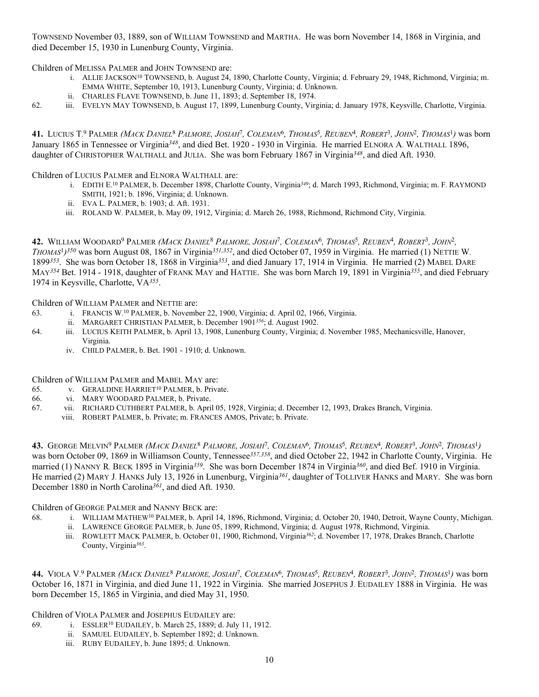TOWNSEND November 03, 1889, son of WILLIAM TOWNSEND and MARTHA. He was born November 14, 1868 in Virginia, and died December 15, 1930 in Lunenburg County, Virginia.

Children of MELISSA PALMER and JOHN TOWNSEND are:

- i. ALLIE JACKSON<sup>10</sup> TOWNSEND, b. August 24, 1890, Charlotte County, Virginia; d. February 29, 1948, Richmond, Virginia; m. EMMA WHITE, September 10, 1913, Lunenburg County, Virginia; d. Unknown.
- ii. CHARLES FLAVE TOWNSEND, b. June 11, 1893; d. September 18, 1974.
- 62. iii. EVELYN MAY TOWNSEND, b. August 17, 1899, Lunenburg County, Virginia; d. January 1978, Keysville, Charlotte, Virginia.

**41.** LUCIUS T. 9 PALMER *(MACK DANIEL*8 *PALMORE, JOSIAH*7*, COLEMAN*6*, THOMAS*5*, REUBEN*4*, ROBERT*3*, JOHN*2*, THOMAS*1*)* was born January 1865 in Tennessee or Virginia*348*, and died Bet. 1920 - 1930 in Virginia. He married ELNORA A. WALTHALL 1896, daughter of CHRISTOPHER WALTHALL and JULIA. She was born February 1867 in Virginia*348*, and died Aft. 1930.

Children of LUCIUS PALMER and ELNORA WALTHALL are:

- i. EDITH E. 10 PALMER, b. December 1898, Charlotte County, Virginia*349*; d. March 1993, Richmond, Virginia; m. F. RAYMOND SMITH, 1921; b. 1896, Virginia; d. Unknown.
- ii. EVA L. PALMER, b. 1903; d. Aft. 1931.
- iii. ROLAND W. PALMER, b. May 09, 1912, Virginia; d. March 26, 1988, Richmond, Richmond City, Virginia.

**42.** WILLIAM WOODARD9 PALMER *(MACK DANIEL*8 *PALMORE, JOSIAH*7*, COLEMAN*6*, THOMAS*5*, REUBEN*4*, ROBERT*3*, JOHN*2*, THOMAS*<sup>1</sup>*)350* was born August 08, 1867 in Virginia*351,352*, and died October 07, 1959 in Virginia. He married (1) NETTIE W. 1899*353*. She was born October 18, 1868 in Virginia*353*, and died January 17, 1914 in Virginia. He married (2) MABEL DARE MAY*354* Bet. 1914 - 1918, daughter of FRANK MAY and HATTIE. She was born March 19, 1891 in Virginia*355*, and died February 1974 in Keysville, Charlotte, VA*355*.

Children of WILLIAM PALMER and NETTIE are:

- 63. i. FRANCIS W. 10 PALMER, b. November 22, 1900, Virginia; d. April 02, 1966, Virginia.
	- ii. MARGARET CHRISTIAN PALMER, b. December 1901*356*; d. August 1902.
- 64. iii. LUCIUS KEITH PALMER, b. April 13, 1908, Lunenburg County, Virginia; d. November 1985, Mechanicsville, Hanover, Virginia.
	- iv. CHILD PALMER, b. Bet. 1901 1910; d. Unknown.

Children of WILLIAM PALMER and MABEL MAY are:

- 65. v. GERALDINE HARRIET<sup>10</sup> PALMER, b. Private.
- 66. vi. MARY WOODARD PALMER, b. Private.
- 67. vii. RICHARD CUTHBERT PALMER, b. April 05, 1928, Virginia; d. December 12, 1993, Drakes Branch, Virginia.
	- viii. ROBERT PALMER, b. Private; m. FRANCES AMOS, Private; b. Private.

**43.** GEORGE MELVIN9 PALMER *(MACK DANIEL*8 *PALMORE, JOSIAH*7*, COLEMAN*6*, THOMAS*5*, REUBEN*4*, ROBERT*3*, JOHN*2*, THOMAS*1*)* was born October 09, 1869 in Williamson County, Tennessee*357,358*, and died October 22, 1942 in Charlotte County, Virginia. He married (1) NANNY R. BECK 1895 in Virginia*359*. She was born December 1874 in Virginia*360*, and died Bef. 1910 in Virginia. He married (2) MARY J. HANKS July 13, 1926 in Lunenburg, Virginia*361*, daughter of TOLLIVER HANKS and MARY. She was born December 1880 in North Carolina*361*, and died Aft. 1930.

Children of GEORGE PALMER and NANNY BECK are:

- 68. i. WILLIAM MATHEW10 PALMER, b. April 14, 1896, Richmond, Virginia; d. October 20, 1940, Detroit, Wayne County, Michigan.
	- ii. LAWRENCE GEORGE PALMER, b. June 05, 1899, Richmond, Virginia; d. August 1978, Richmond, Virginia.
	- iii. ROWLETT MACK PALMER, b. October 01, 1900, Richmond, Virginia*362*; d. November 17, 1978, Drakes Branch, Charlotte County, Virginia*363*.

**44.** VIOLA V. 9 PALMER *(MACK DANIEL*8 *PALMORE, JOSIAH*7*, COLEMAN*6*, THOMAS*5*, REUBEN*4*, ROBERT*3*, JOHN*2*, THOMAS*1*)* was born October 16, 1871 in Virginia, and died June 11, 1922 in Virginia. She married JOSEPHUS J. EUDAILEY 1888 in Virginia. He was born December 15, 1865 in Virginia, and died May 31, 1950.

Children of VIOLA PALMER and JOSEPHUS EUDAILEY are:

- 69. i. ESSLER10 EUDAILEY, b. March 25, 1889; d. July 11, 1912.
	- ii. SAMUEL EUDAILEY, b. September 1892; d. Unknown.
	- iii. RUBY EUDAILEY, b. June 1895; d. Unknown.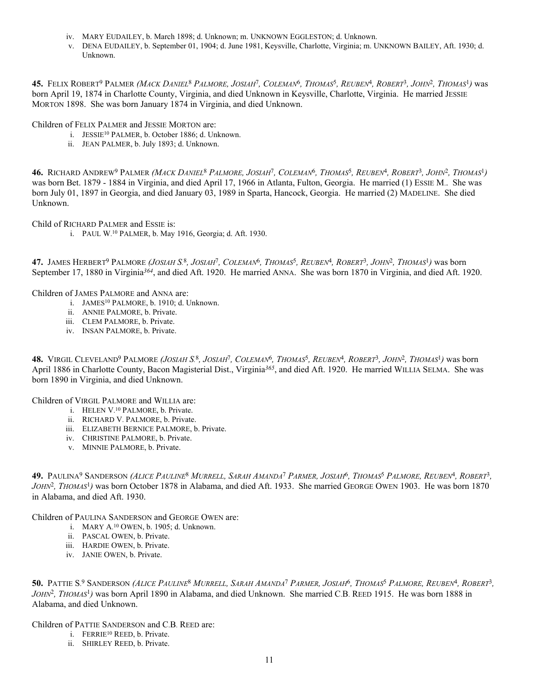- iv. MARY EUDAILEY, b. March 1898; d. Unknown; m. UNKNOWN EGGLESTON; d. Unknown.
- v. DENA EUDAILEY, b. September 01, 1904; d. June 1981, Keysville, Charlotte, Virginia; m. UNKNOWN BAILEY, Aft. 1930; d. Unknown.

**45.** FELIX ROBERT9 PALMER *(MACK DANIEL*8 *PALMORE, JOSIAH*7*, COLEMAN*6*, THOMAS*5*, REUBEN*4*, ROBERT*3*, JOHN*2*, THOMAS*1*)* was born April 19, 1874 in Charlotte County, Virginia, and died Unknown in Keysville, Charlotte, Virginia. He married JESSIE MORTON 1898. She was born January 1874 in Virginia, and died Unknown.

Children of FELIX PALMER and JESSIE MORTON are:

- i. JESSIE10 PALMER, b. October 1886; d. Unknown.
- ii. JEAN PALMER, b. July 1893; d. Unknown.

**46.** RICHARD ANDREW9 PALMER *(MACK DANIEL*8 *PALMORE, JOSIAH*7*, COLEMAN*6*, THOMAS*5*, REUBEN*4*, ROBERT*3*, JOHN*2*, THOMAS*1*)* was born Bet. 1879 - 1884 in Virginia, and died April 17, 1966 in Atlanta, Fulton, Georgia. He married (1) ESSIE M.. She was born July 01, 1897 in Georgia, and died January 03, 1989 in Sparta, Hancock, Georgia. He married (2) MADELINE. She died Unknown.

Child of RICHARD PALMER and ESSIE is:

i. PAUL W. 10 PALMER, b. May 1916, Georgia; d. Aft. 1930.

**47.** JAMES HERBERT9 PALMORE *(JOSIAH S.* <sup>8</sup>*, JOSIAH*7*, COLEMAN*6*, THOMAS*5*, REUBEN*4*, ROBERT*3*, JOHN*2*, THOMAS*1*)* was born September 17, 1880 in Virginia*364*, and died Aft. 1920. He married ANNA. She was born 1870 in Virginia, and died Aft. 1920.

Children of JAMES PALMORE and ANNA are:

- i. JAMES<sup>10</sup> PALMORE, b. 1910; d. Unknown.
- ii. ANNIE PALMORE, b. Private.
- iii. CLEM PALMORE, b. Private.
- iv. INSAN PALMORE, b. Private.

**48.** VIRGIL CLEVELAND9 PALMORE *(JOSIAH S.* <sup>8</sup>*, JOSIAH*7*, COLEMAN*6*, THOMAS*5*, REUBEN*4*, ROBERT*3*, JOHN*2*, THOMAS*1*)* was born April 1886 in Charlotte County, Bacon Magisterial Dist., Virginia*365*, and died Aft. 1920. He married WILLIA SELMA. She was born 1890 in Virginia, and died Unknown.

Children of VIRGIL PALMORE and WILLIA are:

- i. HELEN V. 10 PALMORE, b. Private.
- ii. RICHARD V. PALMORE, b. Private.
- iii. ELIZABETH BERNICE PALMORE, b. Private.
- iv. CHRISTINE PALMORE, b. Private.
- v. MINNIE PALMORE, b. Private.

**49.** PAULINA9 SANDERSON *(ALICE PAULINE*8 *MURRELL, SARAH AMANDA*7 *PARMER, JOSIAH*6*, THOMAS*5 *PALMORE, REUBEN*4*, ROBERT*3*, JOHN*2*, THOMAS*1*)* was born October 1878 in Alabama, and died Aft. 1933. She married GEORGE OWEN 1903. He was born 1870 in Alabama, and died Aft. 1930.

Children of PAULINA SANDERSON and GEORGE OWEN are:

- i. MARY A. 10 OWEN, b. 1905; d. Unknown.
- ii. PASCAL OWEN, b. Private.
- iii. HARDIE OWEN, b. Private.
- iv. JANIE OWEN, b. Private.

**50.** PATTIE S. 9 SANDERSON *(ALICE PAULINE*8 *MURRELL, SARAH AMANDA*7 *PARMER, JOSIAH*6*, THOMAS*5 *PALMORE, REUBEN*4*, ROBERT*3*, JOHN*2*, THOMAS*1*)* was born April 1890 in Alabama, and died Unknown. She married C.B. REED 1915. He was born 1888 in Alabama, and died Unknown.

Children of PATTIE SANDERSON and C.B. REED are:

- i. FERRIE10 REED, b. Private.
- ii. SHIRLEY REED, b. Private.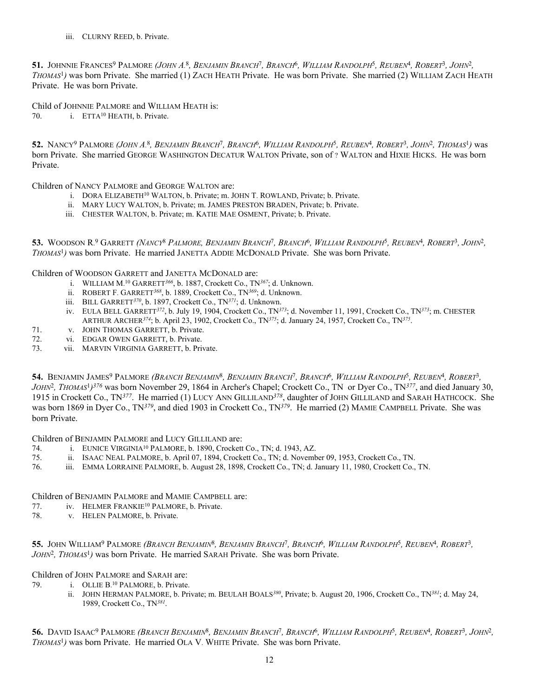iii. CLURNY REED, b. Private.

**51.** JOHNNIE FRANCES9 PALMORE *(JOHN A.* <sup>8</sup>*, BENJAMIN BRANCH*7*, BRANCH*6*, WILLIAM RANDOLPH*5*, REUBEN*4*, ROBERT*3*, JOHN*2*, THOMAS*1*)* was born Private. She married (1) ZACH HEATH Private. He was born Private. She married (2) WILLIAM ZACH HEATH Private. He was born Private.

Child of JOHNNIE PALMORE and WILLIAM HEATH is:

70. i. ETTA10 HEATH, b. Private.

**52.** NANCY9 PALMORE *(JOHN A.* <sup>8</sup>*, BENJAMIN BRANCH*7*, BRANCH*6*, WILLIAM RANDOLPH*5*, REUBEN*4*, ROBERT*3*, JOHN*2*, THOMAS*1*)* was born Private. She married GEORGE WASHINGTON DECATUR WALTON Private, son of ? WALTON and HIXIE HICKS. He was born Private.

Children of NANCY PALMORE and GEORGE WALTON are:

- i. DORA ELIZABETH10 WALTON, b. Private; m. JOHN T. ROWLAND, Private; b. Private.
- ii. MARY LUCY WALTON, b. Private; m. JAMES PRESTON BRADEN, Private; b. Private.
- iii. CHESTER WALTON, b. Private; m. KATIE MAE OSMENT, Private; b. Private.

**53.** WOODSON R. 9 GARRETT *(NANCY*8 *PALMORE, BENJAMIN BRANCH*7*, BRANCH*6*, WILLIAM RANDOLPH*5*, REUBEN*4*, ROBERT*3*, JOHN*2*, THOMAS*1*)* was born Private. He married JANETTA ADDIE MCDONALD Private. She was born Private.

Children of WOODSON GARRETT and JANETTA MCDONALD are:

- i. WILLIAM M. 10 GARRETT*366*, b. 1887, Crockett Co., TN*367*; d. Unknown.
- ii. ROBERT F. GARRETT*368*, b. 1889, Crockett Co., TN*369*; d. Unknown.
- iii. BILL GARRETT*370*, b. 1897, Crockett Co., TN*371*; d. Unknown.
- iv. EULA BELL GARRETT*372*, b. July 19, 1904, Crockett Co., TN*373*; d. November 11, 1991, Crockett Co., TN*373*; m. CHESTER ARTHUR ARCHER*374*; b. April 23, 1902, Crockett Co., TN*375*; d. January 24, 1957, Crockett Co., TN*375*.
- 71. v. JOHN THOMAS GARRETT, b. Private.
- 72. vi. EDGAR OWEN GARRETT, b. Private.
- 73. vii. MARVIN VIRGINIA GARRETT, b. Private.

**54.** BENJAMIN JAMES9 PALMORE *(BRANCH BENJAMIN*8*, BENJAMIN BRANCH*7*, BRANCH*6*, WILLIAM RANDOLPH*5*, REUBEN*4*, ROBERT*3*, JOHN*2*, THOMAS*<sup>1</sup>*)376* was born November 29, 1864 in Archer's Chapel; Crockett Co., TN or Dyer Co., TN*377*, and died January 30, 1915 in Crockett Co., TN*377*. He married (1) LUCY ANN GILLILAND*378*, daughter of JOHN GILLILAND and SARAH HATHCOCK. She was born 1869 in Dyer Co., TN*379*, and died 1903 in Crockett Co., TN*379*. He married (2) MAMIE CAMPBELL Private. She was born Private.

Children of BENJAMIN PALMORE and LUCY GILLILAND are:

- 74. i. EUNICE VIRGINIA10 PALMORE, b. 1890, Crockett Co., TN; d. 1943, AZ.
- 75. ii. ISAAC NEAL PALMORE, b. April 07, 1894, Crockett Co., TN; d. November 09, 1953, Crockett Co., TN.
- 76. iii. EMMA LORRAINE PALMORE, b. August 28, 1898, Crockett Co., TN; d. January 11, 1980, Crockett Co., TN.

## Children of BENJAMIN PALMORE and MAMIE CAMPBELL are:

- 77. iv. HELMER FRANKIE10 PALMORE, b. Private.
- 78. v. HELEN PALMORE, b. Private.

**55.** JOHN WILLIAM9 PALMORE *(BRANCH BENJAMIN*8*, BENJAMIN BRANCH*7*, BRANCH*6*, WILLIAM RANDOLPH*5*, REUBEN*4*, ROBERT*3*, JOHN*2*, THOMAS*1*)* was born Private. He married SARAH Private. She was born Private.

Children of JOHN PALMORE and SARAH are:

- 79. i. OLLIE B. 10 PALMORE, b. Private.
	- ii. JOHN HERMAN PALMORE, b. Private; m. BEULAH BOALS*380*, Private; b. August 20, 1906, Crockett Co., TN*381*; d. May 24, 1989, Crockett Co., TN*381*.

**56.** DAVID ISAAC9 PALMORE *(BRANCH BENJAMIN*8*, BENJAMIN BRANCH*7*, BRANCH*6*, WILLIAM RANDOLPH*5*, REUBEN*4*, ROBERT*3*, JOHN*2*, THOMAS*1*)* was born Private. He married OLA V. WHITE Private. She was born Private.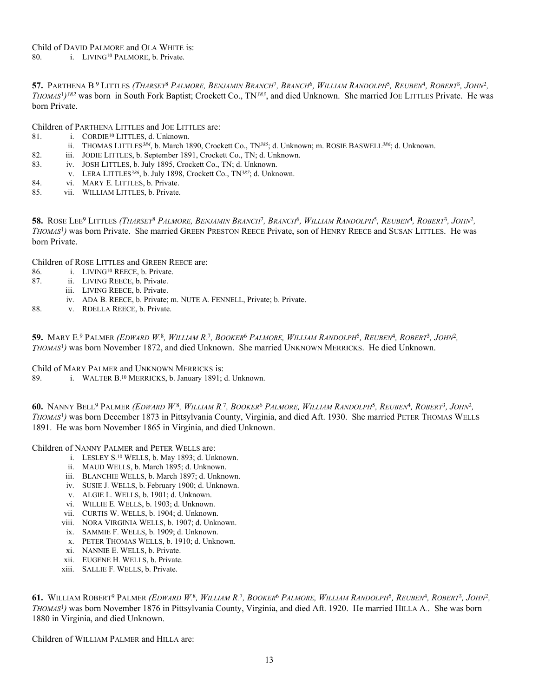**57.** PARTHENA B. 9 LITTLES *(THARSEY*8 *PALMORE, BENJAMIN BRANCH*7*, BRANCH*6*, WILLIAM RANDOLPH*5*, REUBEN*4*, ROBERT*3*, JOHN*2*, THOMAS*<sup>1</sup>*)382* was born in South Fork Baptist; Crockett Co., TN*383*, and died Unknown. She married JOE LITTLES Private. He was born Private.

Children of PARTHENA LITTLES and JOE LITTLES are:

- 81. **i.** CORDIE<sup>10</sup> LITTLES, d. Unknown.
- ii. THOMAS LITTLES*384*, b. March 1890, Crockett Co., TN*385*; d. Unknown; m. ROSIE BASWELL*386*; d. Unknown.
- 82. iii. JODIE LITTLES, b. September 1891, Crockett Co., TN; d. Unknown.<br>83. iv. JOSH LITTLES, b. July 1895, Crockett Co., TN; d. Unknown.
- iv. JOSH LITTLES, b. July 1895, Crockett Co., TN; d. Unknown.
- v. LERA LITTLES*386*, b. July 1898, Crockett Co., TN*387*; d. Unknown.
- 84. vi. MARY E. LITTLES, b. Private.
- 85. vii. WILLIAM LITTLES, b. Private.

**58.** ROSE LEE9 LITTLES *(THARSEY*8 *PALMORE, BENJAMIN BRANCH*7*, BRANCH*6*, WILLIAM RANDOLPH*5*, REUBEN*4*, ROBERT*3*, JOHN*2*, THOMAS*1*)* was born Private. She married GREEN PRESTON REECE Private, son of HENRY REECE and SUSAN LITTLES. He was born Private.

Children of ROSE LITTLES and GREEN REECE are:

- 86. i. LIVING<sup>10</sup> REECE, b. Private.
- 87. ii. LIVING REECE, b. Private.
	- iii. LIVING REECE, b. Private.
		- iv. ADA B. REECE, b. Private; m. NUTE A. FENNELL, Private; b. Private.
- 88. v. RDELLA REECE, b. Private.

**59.** MARY E. 9 PALMER *(EDWARD W.* <sup>8</sup>*, WILLIAM R.* <sup>7</sup>*, BOOKER*6 *PALMORE, WILLIAM RANDOLPH*5*, REUBEN*4*, ROBERT*3*, JOHN*2*, THOMAS*1*)* was born November 1872, and died Unknown. She married UNKNOWN MERRICKS. He died Unknown.

Child of MARY PALMER and UNKNOWN MERRICKS is:

89. i. WALTER B. 10 MERRICKS, b. January 1891; d. Unknown.

**60.** NANNY BELL9 PALMER *(EDWARD W.* <sup>8</sup>*, WILLIAM R.* <sup>7</sup>*, BOOKER*6 *PALMORE, WILLIAM RANDOLPH*5*, REUBEN*4*, ROBERT*3*, JOHN*2*, THOMAS*1*)* was born December 1873 in Pittsylvania County, Virginia, and died Aft. 1930. She married PETER THOMAS WELLS 1891. He was born November 1865 in Virginia, and died Unknown.

Children of NANNY PALMER and PETER WELLS are:

- i. LESLEY S. 10 WELLS, b. May 1893; d. Unknown.
- ii. MAUD WELLS, b. March 1895; d. Unknown.
- iii. BLANCHIE WELLS, b. March 1897; d. Unknown.
- iv. SUSIE J. WELLS, b. February 1900; d. Unknown.
- v. ALGIE L. WELLS, b. 1901; d. Unknown.
- vi. WILLIE E. WELLS, b. 1903; d. Unknown.
- vii. CURTIS W. WELLS, b. 1904; d. Unknown.
- viii. NORA VIRGINIA WELLS, b. 1907; d. Unknown.
- ix. SAMMIE F. WELLS, b. 1909; d. Unknown.
- x. PETER THOMAS WELLS, b. 1910; d. Unknown.
- xi. NANNIE E. WELLS, b. Private.
- xii. EUGENE H. WELLS, b. Private.
- xiii. SALLIE F. WELLS, b. Private.

**61.** WILLIAM ROBERT9 PALMER *(EDWARD W.* <sup>8</sup>*, WILLIAM R.* <sup>7</sup>*, BOOKER*6 *PALMORE, WILLIAM RANDOLPH*5*, REUBEN*4*, ROBERT*3*, JOHN*2*, THOMAS*1*)* was born November 1876 in Pittsylvania County, Virginia, and died Aft. 1920. He married HILLA A.. She was born 1880 in Virginia, and died Unknown.

Children of WILLIAM PALMER and HILLA are: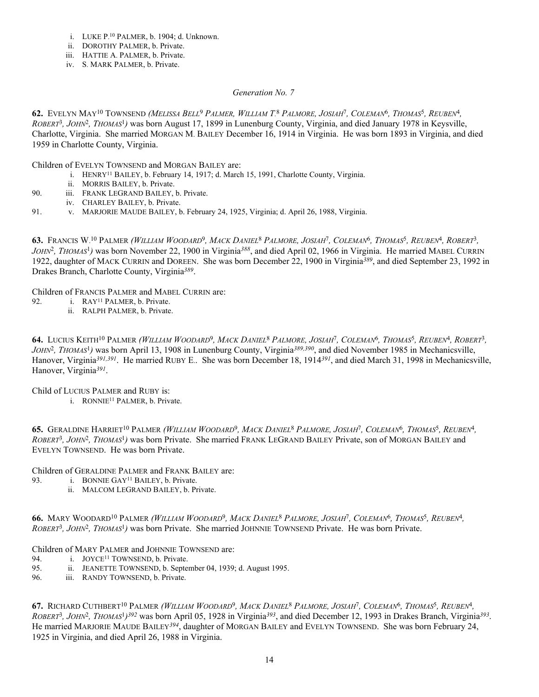- i. LUKE P. 10 PALMER, b. 1904; d. Unknown.
- ii. DOROTHY PALMER, b. Private.
- iii. HATTIE A. PALMER, b. Private.
- iv. S. MARK PALMER, b. Private.

## *Generation No. 7*

**62.** EVELYN MAY10 TOWNSEND *(MELISSA BELL*9 *PALMER, WILLIAM T.* <sup>8</sup> *PALMORE, JOSIAH*7*, COLEMAN*6*, THOMAS*5*, REUBEN*4*, ROBERT*3*, JOHN*2*, THOMAS*1*)* was born August 17, 1899 in Lunenburg County, Virginia, and died January 1978 in Keysville, Charlotte, Virginia. She married MORGAN M. BAILEY December 16, 1914 in Virginia. He was born 1893 in Virginia, and died 1959 in Charlotte County, Virginia.

Children of EVELYN TOWNSEND and MORGAN BAILEY are:

- i. HENRY11 BAILEY, b. February 14, 1917; d. March 15, 1991, Charlotte County, Virginia.
	- ii. MORRIS BAILEY, b. Private.
- 90. iii. FRANK LEGRAND BAILEY, b. Private.
- iv. CHARLEY BAILEY, b. Private.
- 91. v. MARJORIE MAUDE BAILEY, b. February 24, 1925, Virginia; d. April 26, 1988, Virginia.

**63.** FRANCIS W. 10 PALMER *(WILLIAM WOODARD*9*, MACK DANIEL*8 *PALMORE, JOSIAH*7*, COLEMAN*6*, THOMAS*5*, REUBEN*4*, ROBERT*3*, JOHN*2*, THOMAS*1*)* was born November 22, 1900 in Virginia*388*, and died April 02, 1966 in Virginia. He married MABEL CURRIN 1922, daughter of MACK CURRIN and DOREEN. She was born December 22, 1900 in Virginia*389*, and died September 23, 1992 in Drakes Branch, Charlotte County, Virginia*389*.

Children of FRANCIS PALMER and MABEL CURRIN are:

- 92. i. RAY11 PALMER, b. Private.
	- ii. RALPH PALMER, b. Private.

**64.** LUCIUS KEITH10 PALMER *(WILLIAM WOODARD*9*, MACK DANIEL*8 *PALMORE, JOSIAH*7*, COLEMAN*6*, THOMAS*5*, REUBEN*4*, ROBERT*3*, JOHN*2*, THOMAS*1*)* was born April 13, 1908 in Lunenburg County, Virginia*389,390*, and died November 1985 in Mechanicsville, Hanover, Virginia*391,391*. He married RUBY E.. She was born December 18, 1914*391*, and died March 31, 1998 in Mechanicsville, Hanover, Virginia*391*.

Child of LUCIUS PALMER and RUBY is:

i. RONNIE<sup>11</sup> PALMER, b. Private.

**65.** GERALDINE HARRIET10 PALMER *(WILLIAM WOODARD*9*, MACK DANIEL*8 *PALMORE, JOSIAH*7*, COLEMAN*6*, THOMAS*5*, REUBEN*4*, ROBERT*3*, JOHN*2*, THOMAS*1*)* was born Private. She married FRANK LEGRAND BAILEY Private, son of MORGAN BAILEY and EVELYN TOWNSEND. He was born Private.

Children of GERALDINE PALMER and FRANK BAILEY are:

- 93. **i.** BONNIE GAY<sup>11</sup> BAILEY, b. Private.
	- ii. MALCOM LEGRAND BAILEY, b. Private.

**66.** MARY WOODARD10 PALMER *(WILLIAM WOODARD*9*, MACK DANIEL*8 *PALMORE, JOSIAH*7*, COLEMAN*6*, THOMAS*5*, REUBEN*4*, ROBERT*3*, JOHN*2*, THOMAS*1*)* was born Private. She married JOHNNIE TOWNSEND Private. He was born Private.

Children of MARY PALMER and JOHNNIE TOWNSEND are:

- 94. i. JOYCE<sup>11</sup> TOWNSEND, b. Private.<br>95. ii. JEANETTE TOWNSEND, b. Septer
- ii. JEANETTE TOWNSEND, b. September 04, 1939; d. August 1995.
- 96. iii. RANDY TOWNSEND, b. Private.

**67.** RICHARD CUTHBERT10 PALMER *(WILLIAM WOODARD*9*, MACK DANIEL*8 *PALMORE, JOSIAH*7*, COLEMAN*6*, THOMAS*5*, REUBEN*4*, ROBERT*3*, JOHN*2*, THOMAS*<sup>1</sup>*)392* was born April 05, 1928 in Virginia*393*, and died December 12, 1993 in Drakes Branch, Virginia*393*. He married MARJORIE MAUDE BAILEY*394*, daughter of MORGAN BAILEY and EVELYN TOWNSEND. She was born February 24, 1925 in Virginia, and died April 26, 1988 in Virginia.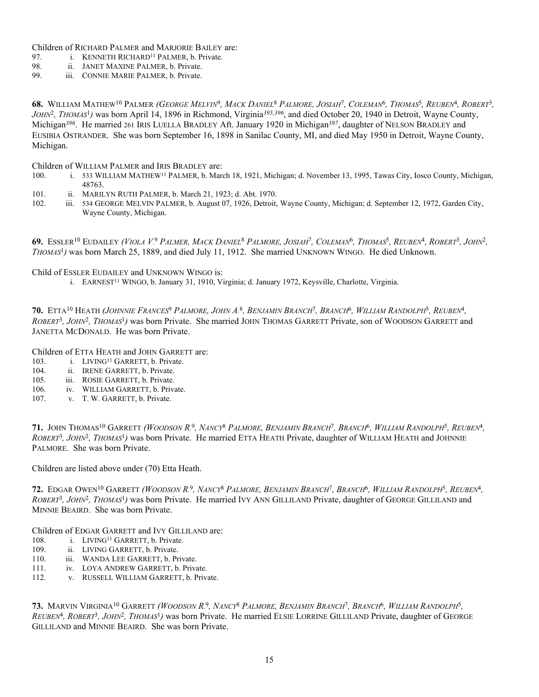Children of RICHARD PALMER and MARJORIE BAILEY are:

97. i. KENNETH RICHARD<sup>11</sup> PALMER, b. Private.

- 98. ii. JANET MAXINE PALMER, b. Private.
- 99. iii. CONNIE MARIE PALMER, b. Private.

**68.** WILLIAM MATHEW10 PALMER *(GEORGE MELVIN*9*, MACK DANIEL*8 *PALMORE, JOSIAH*7*, COLEMAN*6*, THOMAS*5*, REUBEN*4*, ROBERT*3*, JOHN*2*, THOMAS*1*)* was born April 14, 1896 in Richmond, Virginia*395,396*, and died October 20, 1940 in Detroit, Wayne County, Michigan*396*. He married 261 IRIS LUELLA BRADLEY Aft. January 1920 in Michigan*397*, daughter of NELSON BRADLEY and EUSIBIA OSTRANDER. She was born September 16, 1898 in Sanilac County, MI, and died May 1950 in Detroit, Wayne County, Michigan.

Children of WILLIAM PALMER and IRIS BRADLEY are:

- 100. i. 533 WILLIAM MATHEW11 PALMER, b. March 18, 1921, Michigan; d. November 13, 1995, Tawas City, Iosco County, Michigan, 48763.
- 101. ii. MARILYN RUTH PALMER, b. March 21, 1923; d. Abt. 1970.<br>102. iii. 534 GEORGE MELVIN PALMER, b. August 07, 1926. Detroit.
- iii. 534 GEORGE MELVIN PALMER, b. August 07, 1926, Detroit, Wayne County, Michigan; d. September 12, 1972, Garden City, Wayne County, Michigan.

**69.** ESSLER10 EUDAILEY *(VIOLA V.* <sup>9</sup> *PALMER, MACK DANIEL*8 *PALMORE, JOSIAH*7*, COLEMAN*6*, THOMAS*5*, REUBEN*4*, ROBERT*3*, JOHN*2*, THOMAS*1*)* was born March 25, 1889, and died July 11, 1912. She married UNKNOWN WINGO. He died Unknown.

Child of ESSLER EUDAILEY and UNKNOWN WINGO is:

i. EARNEST<sup>11</sup> WINGO, b. January 31, 1910, Virginia; d. January 1972, Keysville, Charlotte, Virginia.

**70.** ETTA10 HEATH *(JOHNNIE FRANCES*9 *PALMORE, JOHN A.* <sup>8</sup>*, BENJAMIN BRANCH*7*, BRANCH*6*, WILLIAM RANDOLPH*5*, REUBEN*4*, ROBERT*3*, JOHN*2*, THOMAS*1*)* was born Private. She married JOHN THOMAS GARRETT Private, son of WOODSON GARRETT and JANETTA MCDONALD. He was born Private.

Children of ETTA HEATH and JOHN GARRETT are:

- 103. i. LIVING<sup>11</sup> GARRETT, b. Private.
- 104. ii. IRENE GARRETT, b. Private.
- 105. iii. ROSIE GARRETT, b. Private.
- 106. iv. WILLIAM GARRETT, b. Private.
- 107. v. T. W. GARRETT, b. Private.

**71.** JOHN THOMAS10 GARRETT *(WOODSON R.* <sup>9</sup>*, NANCY*8 *PALMORE, BENJAMIN BRANCH*7*, BRANCH*6*, WILLIAM RANDOLPH*5*, REUBEN*4*, ROBERT*3*, JOHN*2*, THOMAS*1*)* was born Private. He married ETTA HEATH Private, daughter of WILLIAM HEATH and JOHNNIE PALMORE. She was born Private.

Children are listed above under (70) Etta Heath.

**72.** EDGAR OWEN10 GARRETT *(WOODSON R.* <sup>9</sup>*, NANCY*8 *PALMORE, BENJAMIN BRANCH*7*, BRANCH*6*, WILLIAM RANDOLPH*5*, REUBEN*4*, ROBERT*3*, JOHN*2*, THOMAS*1*)* was born Private. He married IVY ANN GILLILAND Private, daughter of GEORGE GILLILAND and MINNIE BEAIRD. She was born Private.

Children of EDGAR GARRETT and IVY GILLILAND are:

- 108. i. LIVING<sup>11</sup> GARRETT, b. Private.
- 109. ii. LIVING GARRETT, b. Private.
- 110. iii. WANDA LEE GARRETT, b. Private.
- 111. iv. LOYA ANDREW GARRETT, b. Private.
- 112. v. RUSSELL WILLIAM GARRETT, b. Private.

**73.** MARVIN VIRGINIA10 GARRETT *(WOODSON R.* <sup>9</sup>*, NANCY*8 *PALMORE, BENJAMIN BRANCH*7*, BRANCH*6*, WILLIAM RANDOLPH*5*, REUBEN*4*, ROBERT*3*, JOHN*2*, THOMAS*1*)* was born Private. He married ELSIE LORRINE GILLILAND Private, daughter of GEORGE GILLILAND and MINNIE BEAIRD. She was born Private.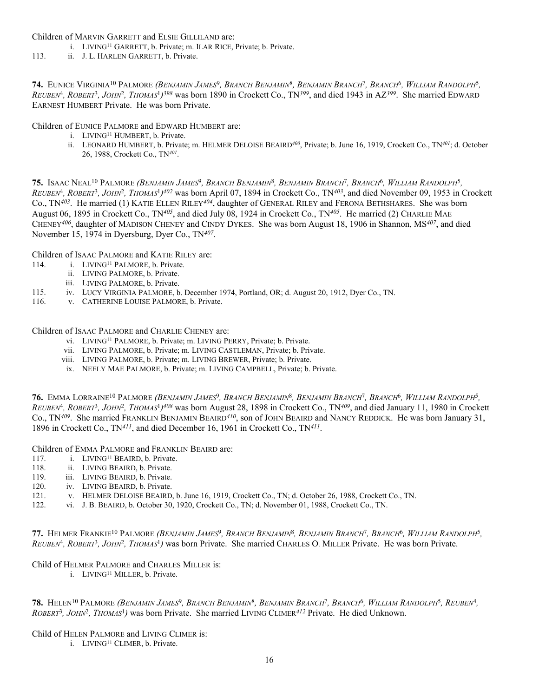Children of MARVIN GARRETT and ELSIE GILLILAND are:

- i. LIVING11 GARRETT, b. Private; m. ILAR RICE, Private; b. Private.
- 113. ii. J. L. HARLEN GARRETT, b. Private.

**74.** EUNICE VIRGINIA10 PALMORE *(BENJAMIN JAMES*9*, BRANCH BENJAMIN*8*, BENJAMIN BRANCH*7*, BRANCH*6*, WILLIAM RANDOLPH*5*, REUBEN*4*, ROBERT*3*, JOHN*2*, THOMAS*<sup>1</sup>*)398* was born 1890 in Crockett Co., TN*399*, and died 1943 in AZ*399*. She married EDWARD EARNEST HUMBERT Private. He was born Private.

Children of EUNICE PALMORE and EDWARD HUMBERT are:

- i. LIVING11 HUMBERT, b. Private.
- ii. LEONARD HUMBERT, b. Private; m. HELMER DELOISE BEAIRD*400*, Private; b. June 16, 1919, Crockett Co., TN*401*; d. October 26, 1988, Crockett Co., TN*401*.

**75.** ISAAC NEAL10 PALMORE *(BENJAMIN JAMES*9*, BRANCH BENJAMIN*8*, BENJAMIN BRANCH*7*, BRANCH*6*, WILLIAM RANDOLPH*5*, REUBEN*4*, ROBERT*3*, JOHN*2*, THOMAS*<sup>1</sup>*)402* was born April 07, 1894 in Crockett Co., TN*403*, and died November 09, 1953 in Crockett Co., TN*403*. He married (1) KATIE ELLEN RILEY*404*, daughter of GENERAL RILEY and FERONA BETHSHARES. She was born August 06, 1895 in Crockett Co., TN*405*, and died July 08, 1924 in Crockett Co., TN*405*. He married (2) CHARLIE MAE CHENEY*406*, daughter of MADISON CHENEY and CINDY DYKES. She was born August 18, 1906 in Shannon, MS*407*, and died November 15, 1974 in Dyersburg, Dyer Co., TN*407*.

Children of ISAAC PALMORE and KATIE RILEY are:

- 114. i. LIVING<sup>11</sup> PALMORE, b. Private.
	- ii. LIVING PALMORE, b. Private.
	- iii. LIVING PALMORE, b. Private.
- 115. iv. LUCY VIRGINIA PALMORE, b. December 1974, Portland, OR; d. August 20, 1912, Dyer Co., TN.
- 116. v. CATHERINE LOUISE PALMORE, b. Private.

Children of ISAAC PALMORE and CHARLIE CHENEY are:

- vi. LIVING11 PALMORE, b. Private; m. LIVING PERRY, Private; b. Private.
- vii. LIVING PALMORE, b. Private; m. LIVING CASTLEMAN, Private; b. Private.
- viii. LIVING PALMORE, b. Private; m. LIVING BREWER, Private; b. Private.
- ix. NEELY MAE PALMORE, b. Private; m. LIVING CAMPBELL, Private; b. Private.

**76.** EMMA LORRAINE10 PALMORE *(BENJAMIN JAMES*9*, BRANCH BENJAMIN*8*, BENJAMIN BRANCH*7*, BRANCH*6*, WILLIAM RANDOLPH*5*, REUBEN*4*, ROBERT*3*, JOHN*2*, THOMAS*<sup>1</sup>*)408* was born August 28, 1898 in Crockett Co., TN*409*, and died January 11, 1980 in Crockett Co., TN*409*. She married FRANKLIN BENJAMIN BEAIRD*410*, son of JOHN BEAIRD and NANCY REDDICK. He was born January 31, 1896 in Crockett Co., TN*411*, and died December 16, 1961 in Crockett Co., TN*411*.

Children of EMMA PALMORE and FRANKLIN BEAIRD are:

- 117. i. LIVING<sup>11</sup> BEAIRD, b. Private.
- 118. ii. LIVING BEAIRD, b. Private.
- 119. iii. LIVING BEAIRD, b. Private.
- 120. iv. LIVING BEAIRD, b. Private.
- 121. v. HELMER DELOISE BEAIRD, b. June 16, 1919, Crockett Co., TN; d. October 26, 1988, Crockett Co., TN.
- 122. vi. J. B. BEAIRD, b. October 30, 1920, Crockett Co., TN; d. November 01, 1988, Crockett Co., TN.

**77.** HELMER FRANKIE10 PALMORE *(BENJAMIN JAMES*9*, BRANCH BENJAMIN*8*, BENJAMIN BRANCH*7*, BRANCH*6*, WILLIAM RANDOLPH*5*, REUBEN*4*, ROBERT*3*, JOHN*2*, THOMAS*1*)* was born Private. She married CHARLES O. MILLER Private. He was born Private.

## Child of HELMER PALMORE and CHARLES MILLER is:

i. LIVING11 MILLER, b. Private.

**78.** HELEN10 PALMORE *(BENJAMIN JAMES*9*, BRANCH BENJAMIN*8*, BENJAMIN BRANCH*7*, BRANCH*6*, WILLIAM RANDOLPH*5*, REUBEN*4*, ROBERT*3*, JOHN*2*, THOMAS*1*)* was born Private. She married LIVING CLIMER*412* Private. He died Unknown.

Child of HELEN PALMORE and LIVING CLIMER is:

i. LIVING11 CLIMER, b. Private.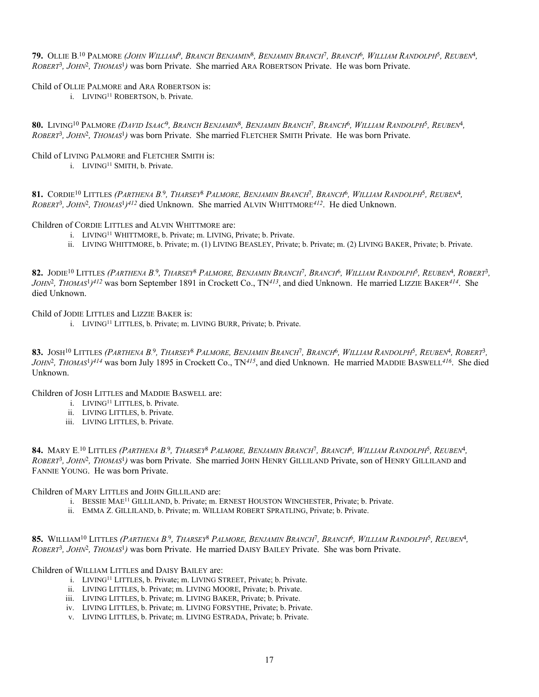**79.** OLLIE B. 10 PALMORE *(JOHN WILLIAM*9*, BRANCH BENJAMIN*8*, BENJAMIN BRANCH*7*, BRANCH*6*, WILLIAM RANDOLPH*5*, REUBEN*4*, ROBERT*3*, JOHN*2*, THOMAS*1*)* was born Private. She married ARA ROBERTSON Private. He was born Private.

#### Child of OLLIE PALMORE and ARA ROBERTSON is:

i. LIVING11 ROBERTSON, b. Private.

**80.** LIVING10 PALMORE *(DAVID ISAAC*9*, BRANCH BENJAMIN*8*, BENJAMIN BRANCH*7*, BRANCH*6*, WILLIAM RANDOLPH*5*, REUBEN*4*, ROBERT*3*, JOHN*2*, THOMAS*1*)* was born Private. She married FLETCHER SMITH Private. He was born Private.

# Child of LIVING PALMORE and FLETCHER SMITH is:

i. LIVING11 SMITH, b. Private.

**81.** CORDIE10 LITTLES *(PARTHENA B.* <sup>9</sup>*, THARSEY*8 *PALMORE, BENJAMIN BRANCH*7*, BRANCH*6*, WILLIAM RANDOLPH*5*, REUBEN*4*, ROBERT*3*, JOHN*2*, THOMAS*<sup>1</sup>*)412* died Unknown. She married ALVIN WHITTMORE*412*. He died Unknown.

#### Children of CORDIE LITTLES and ALVIN WHITTMORE are:

- i. LIVING11 WHITTMORE, b. Private; m. LIVING, Private; b. Private.
- ii. LIVING WHITTMORE, b. Private; m. (1) LIVING BEASLEY, Private; b. Private; m. (2) LIVING BAKER, Private; b. Private.

**82.** JODIE10 LITTLES *(PARTHENA B.* <sup>9</sup>*, THARSEY*8 *PALMORE, BENJAMIN BRANCH*7*, BRANCH*6*, WILLIAM RANDOLPH*5*, REUBEN*4*, ROBERT*3*, JOHN*2*, THOMAS*<sup>1</sup>*)412* was born September 1891 in Crockett Co., TN*413*, and died Unknown. He married LIZZIE BAKER*414*. She died Unknown.

Child of JODIE LITTLES and LIZZIE BAKER is:

i. LIVING11 LITTLES, b. Private; m. LIVING BURR, Private; b. Private.

**83.** JOSH10 LITTLES *(PARTHENA B.* <sup>9</sup>*, THARSEY*8 *PALMORE, BENJAMIN BRANCH*7*, BRANCH*6*, WILLIAM RANDOLPH*5*, REUBEN*4*, ROBERT*3*, JOHN*2*, THOMAS*<sup>1</sup>*)414* was born July 1895 in Crockett Co., TN*415*, and died Unknown. He married MADDIE BASWELL*416*. She died Unknown.

Children of JOSH LITTLES and MADDIE BASWELL are:

- i. LIVING11 LITTLES, b. Private.
- ii. LIVING LITTLES, b. Private.
- iii. LIVING LITTLES, b. Private.

**84.** MARY E. 10 LITTLES *(PARTHENA B.* <sup>9</sup>*, THARSEY*8 *PALMORE, BENJAMIN BRANCH*7*, BRANCH*6*, WILLIAM RANDOLPH*5*, REUBEN*4*, ROBERT*3*, JOHN*2*, THOMAS*1*)* was born Private. She married JOHN HENRY GILLILAND Private, son of HENRY GILLILAND and FANNIE YOUNG. He was born Private.

Children of MARY LITTLES and JOHN GILLILAND are:

- i. BESSIE MAE11 GILLILAND, b. Private; m. ERNEST HOUSTON WINCHESTER, Private; b. Private.
- ii. EMMA Z. GILLILAND, b. Private; m. WILLIAM ROBERT SPRATLING, Private; b. Private.

**85.** WILLIAM10 LITTLES *(PARTHENA B.* <sup>9</sup>*, THARSEY*8 *PALMORE, BENJAMIN BRANCH*7*, BRANCH*6*, WILLIAM RANDOLPH*5*, REUBEN*4*, ROBERT*3*, JOHN*2*, THOMAS*1*)* was born Private. He married DAISY BAILEY Private. She was born Private.

Children of WILLIAM LITTLES and DAISY BAILEY are:

- i. LIVING11 LITTLES, b. Private; m. LIVING STREET, Private; b. Private.
- ii. LIVING LITTLES, b. Private; m. LIVING MOORE, Private; b. Private.
- iii. LIVING LITTLES, b. Private; m. LIVING BAKER, Private; b. Private.
- iv. LIVING LITTLES, b. Private; m. LIVING FORSYTHE, Private; b. Private.
- v. LIVING LITTLES, b. Private; m. LIVING ESTRADA, Private; b. Private.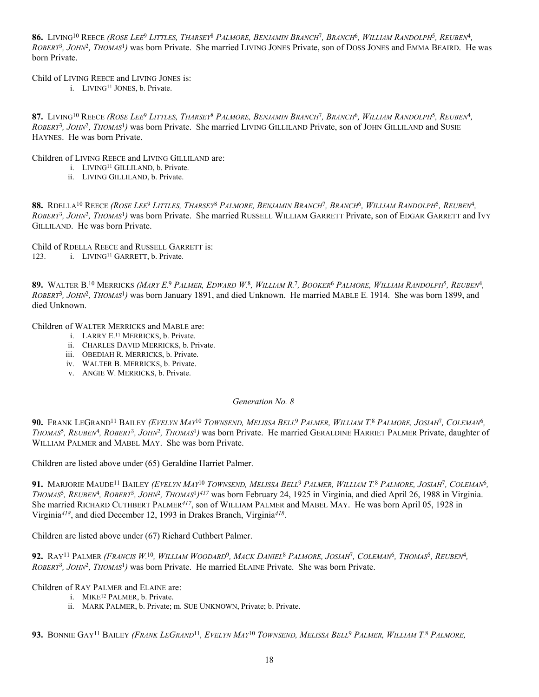**86.** LIVING10 REECE *(ROSE LEE*9 *LITTLES, THARSEY*8 *PALMORE, BENJAMIN BRANCH*7*, BRANCH*6*, WILLIAM RANDOLPH*5*, REUBEN*4*, ROBERT*3*, JOHN*2*, THOMAS*1*)* was born Private. She married LIVING JONES Private, son of DOSS JONES and EMMA BEAIRD. He was born Private.

Child of LIVING REECE and LIVING JONES is:

i. LIVING11 JONES, b. Private.

**87.** LIVING10 REECE *(ROSE LEE*9 *LITTLES, THARSEY*8 *PALMORE, BENJAMIN BRANCH*7*, BRANCH*6*, WILLIAM RANDOLPH*5*, REUBEN*4*, ROBERT*3*, JOHN*2*, THOMAS*1*)* was born Private. She married LIVING GILLILAND Private, son of JOHN GILLILAND and SUSIE HAYNES. He was born Private.

Children of LIVING REECE and LIVING GILLILAND are:

- i. LIVING11 GILLILAND, b. Private.
- ii. LIVING GILLILAND, b. Private.

**88.** RDELLA10 REECE *(ROSE LEE*9 *LITTLES, THARSEY*8 *PALMORE, BENJAMIN BRANCH*7*, BRANCH*6*, WILLIAM RANDOLPH*5*, REUBEN*4*, ROBERT*3*, JOHN*2*, THOMAS*1*)* was born Private. She married RUSSELL WILLIAM GARRETT Private, son of EDGAR GARRETT and IVY GILLILAND. He was born Private.

Child of RDELLA REECE and RUSSELL GARRETT is: 123. i. LIVING<sup>11</sup> GARRETT, b. Private.

**89.** WALTER B. 10 MERRICKS *(MARY E.* <sup>9</sup> *PALMER, EDWARD W.* <sup>8</sup>*, WILLIAM R.* <sup>7</sup>*, BOOKER*6 *PALMORE, WILLIAM RANDOLPH*5*, REUBEN*4*, ROBERT*3*, JOHN*2*, THOMAS*1*)* was born January 1891, and died Unknown. He married MABLE E. 1914. She was born 1899, and died Unknown.

Children of WALTER MERRICKS and MABLE are:

- i. LARRY E. 11 MERRICKS, b. Private.
- ii. CHARLES DAVID MERRICKS, b. Private.
- iii. OBEDIAH R. MERRICKS, b. Private.
- iv. WALTER B. MERRICKS, b. Private.
- v. ANGIE W. MERRICKS, b. Private.

*Generation No. 8*

**90.** FRANK LEGRAND11 BAILEY *(EVELYN MAY*10 *TOWNSEND, MELISSA BELL*9 *PALMER, WILLIAM T.* <sup>8</sup> *PALMORE, JOSIAH*7*, COLEMAN*6*, THOMAS*5*, REUBEN*4*, ROBERT*3*, JOHN*2*, THOMAS*1*)* was born Private. He married GERALDINE HARRIET PALMER Private, daughter of WILLIAM PALMER and MAREL MAY She was born Private

Children are listed above under (65) Geraldine Harriet Palmer.

**91.** MARJORIE MAUDE11 BAILEY *(EVELYN MAY*10 *TOWNSEND, MELISSA BELL*9 *PALMER, WILLIAM T.* <sup>8</sup> *PALMORE, JOSIAH*7*, COLEMAN*6*, THOMAS*5*, REUBEN*4*, ROBERT*3*, JOHN*2*, THOMAS*<sup>1</sup>*)417* was born February 24, 1925 in Virginia, and died April 26, 1988 in Virginia. She married RICHARD CUTHBERT PALMER*417*, son of WILLIAM PALMER and MABEL MAY. He was born April 05, 1928 in Virginia*418*, and died December 12, 1993 in Drakes Branch, Virginia*418*.

Children are listed above under (67) Richard Cuthbert Palmer.

**92.** RAY11 PALMER *(FRANCIS W.* <sup>10</sup>*, WILLIAM WOODARD*9*, MACK DANIEL*8 *PALMORE, JOSIAH*7*, COLEMAN*6*, THOMAS*5*, REUBEN*4*, ROBERT*3*, JOHN*2*, THOMAS*1*)* was born Private. He married ELAINE Private. She was born Private.

Children of RAY PALMER and ELAINE are:

- i. MIKE12 PALMER, b. Private.
- ii. MARK PALMER, b. Private; m. SUE UNKNOWN, Private; b. Private.

**93.** BONNIE GAY11 BAILEY *(FRANK LEGRAND*11*, EVELYN MAY*10 *TOWNSEND, MELISSA BELL*9 *PALMER, WILLIAM T.* 8 *PALMORE,*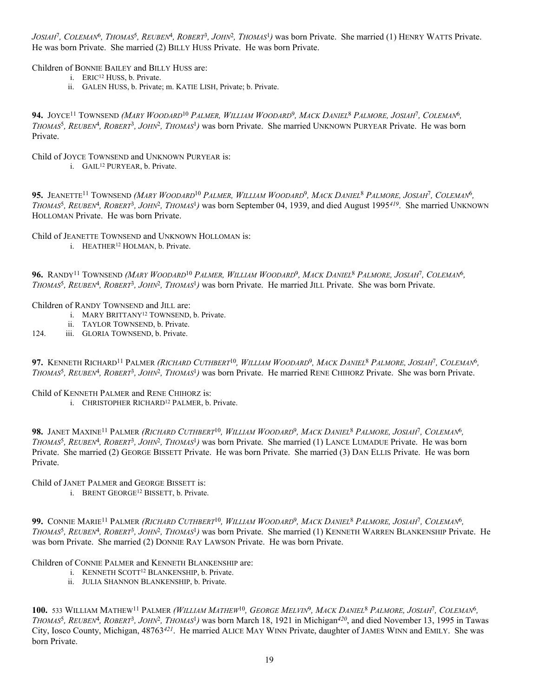*JOSIAH*7*, COLEMAN*6*, THOMAS*5*, REUBEN*4*, ROBERT*3*, JOHN*2*, THOMAS*1*)* was born Private. She married (1) HENRY WATTS Private. He was born Private. She married (2) BILLY HUSS Private. He was born Private.

Children of BONNIE BAILEY and BILLY HUSS are:

- i. ERIC12 HUSS, b. Private.
- ii. GALEN HUSS, b. Private; m. KATIE LISH, Private; b. Private.

**94.** JOYCE11 TOWNSEND *(MARY WOODARD*10 *PALMER, WILLIAM WOODARD*9*, MACK DANIEL*8 *PALMORE, JOSIAH*7*, COLEMAN*6*, THOMAS*5*, REUBEN*4*, ROBERT*3*, JOHN*2*, THOMAS*1*)* was born Private. She married UNKNOWN PURYEAR Private. He was born Private.

Child of JOYCE TOWNSEND and UNKNOWN PURYEAR is:

i. GAIL12 PURYEAR, b. Private.

**95.** JEANETTE11 TOWNSEND *(MARY WOODARD*10 *PALMER, WILLIAM WOODARD*9*, MACK DANIEL*8 *PALMORE, JOSIAH*7*, COLEMAN*6*, THOMAS*5*, REUBEN*4*, ROBERT*3*, JOHN*2*, THOMAS*1*)* was born September 04, 1939, and died August 1995*419*. She married UNKNOWN HOLLOMAN Private. He was born Private.

Child of JEANETTE TOWNSEND and UNKNOWN HOLLOMAN is:

i. HEATHER12 HOLMAN, b. Private.

**96.** RANDY11 TOWNSEND *(MARY WOODARD*10 *PALMER, WILLIAM WOODARD*9*, MACK DANIEL*8 *PALMORE, JOSIAH*7*, COLEMAN*6*, THOMAS*5*, REUBEN*4*, ROBERT*3*, JOHN*2*, THOMAS*1*)* was born Private. He married JILL Private. She was born Private.

Children of RANDY TOWNSEND and JILL are:

- i. MARY BRITTANY12 TOWNSEND, b. Private.
	- ii. TAYLOR TOWNSEND, b. Private.
- 124. iii. GLORIA TOWNSEND, b. Private.

**97.** KENNETH RICHARD11 PALMER *(RICHARD CUTHBERT*10*, WILLIAM WOODARD*9*, MACK DANIEL*8 *PALMORE, JOSIAH*7*, COLEMAN*6*, THOMAS*5*, REUBEN*4*, ROBERT*3*, JOHN*2*, THOMAS*1*)* was born Private. He married RENE CHIHORZ Private. She was born Private.

Child of KENNETH PALMER and RENE CHIHORZ is:

i. CHRISTOPHER RICHARD<sup>12</sup> PALMER, b. Private.

**98.** JANET MAXINE11 PALMER *(RICHARD CUTHBERT*10*, WILLIAM WOODARD*9*, MACK DANIEL*8 *PALMORE, JOSIAH*7*, COLEMAN*6*, THOMAS*5*, REUBEN*4*, ROBERT*3*, JOHN*2*, THOMAS*1*)* was born Private. She married (1) LANCE LUMADUE Private. He was born Private. She married (2) GEORGE BISSETT Private. He was born Private. She married (3) DAN ELLIS Private. He was born Private.

Child of JANET PALMER and GEORGE BISSETT is:

i. BRENT GEORGE12 BISSETT, b. Private.

**99.** CONNIE MARIE11 PALMER *(RICHARD CUTHBERT*10*, WILLIAM WOODARD*9*, MACK DANIEL*8 *PALMORE, JOSIAH*7*, COLEMAN*6*, THOMAS*5*, REUBEN*4*, ROBERT*3*, JOHN*2*, THOMAS*1*)* was born Private. She married (1) KENNETH WARREN BLANKENSHIP Private. He was born Private. She married (2) DONNIE RAY LAWSON Private. He was born Private.

Children of CONNIE PALMER and KENNETH BLANKENSHIP are:

- i. KENNETH SCOTT12 BLANKENSHIP, b. Private.
- ii. JULIA SHANNON BLANKENSHIP, b. Private.

**100.** 533 WILLIAM MATHEW11 PALMER *(WILLIAM MATHEW*10*, GEORGE MELVIN*9*, MACK DANIEL*8 *PALMORE, JOSIAH*7*, COLEMAN*6*, THOMAS*5*, REUBEN*4*, ROBERT*3*, JOHN*2*, THOMAS*1*)* was born March 18, 1921 in Michigan*420*, and died November 13, 1995 in Tawas City, Iosco County, Michigan, 48763*421*. He married ALICE MAY WINN Private, daughter of JAMES WINN and EMILY. She was born Private.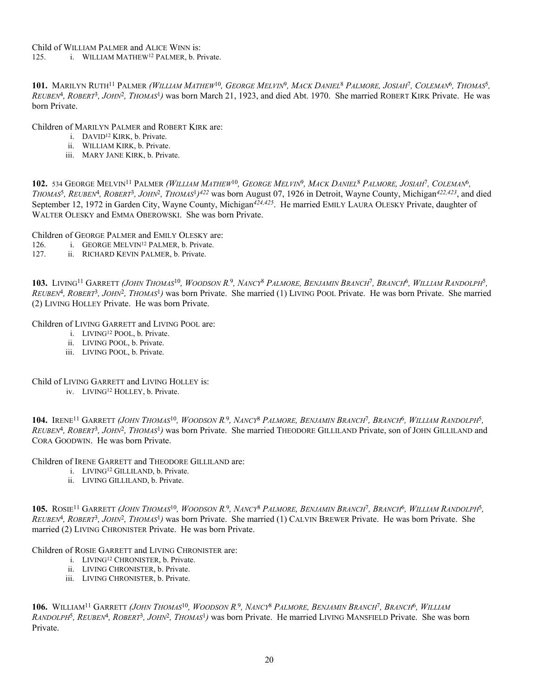**101.** MARILYN RUTH11 PALMER *(WILLIAM MATHEW*10*, GEORGE MELVIN*9*, MACK DANIEL*8 *PALMORE, JOSIAH*7*, COLEMAN*6*, THOMAS*5*, REUBEN*4*, ROBERT*3*, JOHN*2*, THOMAS*1*)* was born March 21, 1923, and died Abt. 1970. She married ROBERT KIRK Private. He was born Private.

Children of MARILYN PALMER and ROBERT KIRK are:

- i. DAVID12 KIRK, b. Private.
- ii. WILLIAM KIRK, b. Private.
- iii. MARY JANE KIRK, b. Private.

**102.** 534 GEORGE MELVIN11 PALMER *(WILLIAM MATHEW*10*, GEORGE MELVIN*9*, MACK DANIEL*8 *PALMORE, JOSIAH*7*, COLEMAN*6*, THOMAS*5*, REUBEN*4*, ROBERT*3*, JOHN*2*, THOMAS*<sup>1</sup>*)422* was born August 07, 1926 in Detroit, Wayne County, Michigan*422,423*, and died September 12, 1972 in Garden City, Wayne County, Michigan<sup>424,425</sup>. He married EMILY LAURA OLESKY Private, daughter of WALTER OLESKY and EMMA OBEROWSKI. She was born Private.

Children of GEORGE PALMER and EMILY OLESKY are:

- 126. i. GEORGE MELVIN12 PALMER, b. Private.
- 127. ii. RICHARD KEVIN PALMER, b. Private.

**103.** LIVING11 GARRETT *(JOHN THOMAS*10*, WOODSON R.* <sup>9</sup>*, NANCY*8 *PALMORE, BENJAMIN BRANCH*7*, BRANCH*6*, WILLIAM RANDOLPH*5*, REUBEN*4*, ROBERT*3*, JOHN*2*, THOMAS*1*)* was born Private. She married (1) LIVING POOL Private. He was born Private. She married (2) LIVING HOLLEY Private. He was born Private.

Children of LIVING GARRETT and LIVING POOL are:

- i. LIVING12 POOL, b. Private.
- ii. LIVING POOL, b. Private.
- iii. LIVING POOL, b. Private.

Child of LIVING GARRETT and LIVING HOLLEY is:

iv. LIVING12 HOLLEY, b. Private.

**104.** IRENE11 GARRETT *(JOHN THOMAS*10*, WOODSON R.* <sup>9</sup>*, NANCY*8 *PALMORE, BENJAMIN BRANCH*7*, BRANCH*6*, WILLIAM RANDOLPH*5*, REUBEN*4*, ROBERT*3*, JOHN*2*, THOMAS*1*)* was born Private. She married THEODORE GILLILAND Private, son of JOHN GILLILAND and CORA GOODWIN. He was born Private.

Children of IRENE GARRETT and THEODORE GILLILAND are:

- i. LIVING12 GILLILAND, b. Private.
- ii. LIVING GILLILAND, b. Private.

**105.** ROSIE11 GARRETT *(JOHN THOMAS*10*, WOODSON R.* <sup>9</sup>*, NANCY*8 *PALMORE, BENJAMIN BRANCH*7*, BRANCH*6*, WILLIAM RANDOLPH*5*, REUBEN*4*, ROBERT*3*, JOHN*2*, THOMAS*1*)* was born Private. She married (1) CALVIN BREWER Private. He was born Private. She married (2) LIVING CHRONISTER Private. He was born Private.

Children of ROSIE GARRETT and LIVING CHRONISTER are:

- i. LIVING12 CHRONISTER, b. Private.
- ii. LIVING CHRONISTER, b. Private.
- iii. LIVING CHRONISTER, b. Private.

**106.** WILLIAM11 GARRETT *(JOHN THOMAS*10*, WOODSON R.* <sup>9</sup>*, NANCY*8 *PALMORE, BENJAMIN BRANCH*7*, BRANCH*6*, WILLIAM RANDOLPH*5*, REUBEN*4*, ROBERT*3*, JOHN*2*, THOMAS*1*)* was born Private. He married LIVING MANSFIELD Private. She was born Private.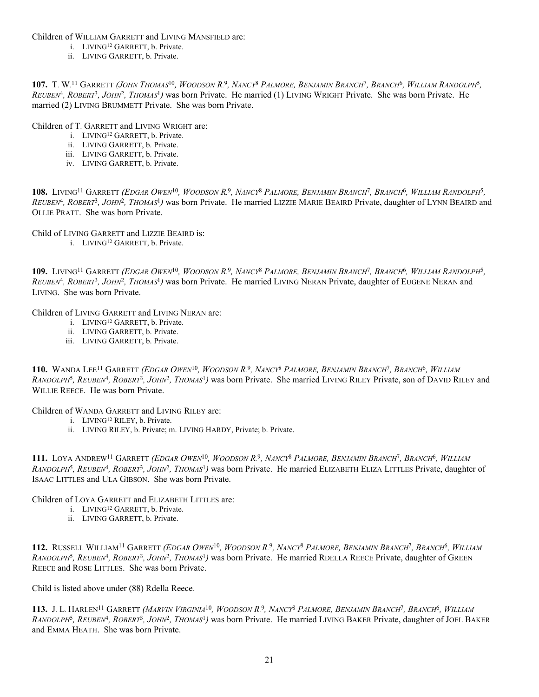Children of WILLIAM GARRETT and LIVING MANSFIELD are:

- i. LIVING12 GARRETT, b. Private.
- ii. LIVING GARRETT, b. Private.

**107.** T. W. 11 GARRETT *(JOHN THOMAS*10*, WOODSON R.* <sup>9</sup>*, NANCY*8 *PALMORE, BENJAMIN BRANCH*7*, BRANCH*6*, WILLIAM RANDOLPH*5*, REUBEN*4*, ROBERT*3*, JOHN*2*, THOMAS*1*)* was born Private. He married (1) LIVING WRIGHT Private. She was born Private. He married (2) LIVING BRUMMETT Private. She was born Private.

Children of T. GARRETT and LIVING WRIGHT are:

- i. LIVING12 GARRETT, b. Private.
- ii. LIVING GARRETT, b. Private.
- iii. LIVING GARRETT, b. Private.
- iv. LIVING GARRETT, b. Private.

**108.** LIVING11 GARRETT *(EDGAR OWEN*10*, WOODSON R.* <sup>9</sup>*, NANCY*8 *PALMORE, BENJAMIN BRANCH*7*, BRANCH*6*, WILLIAM RANDOLPH*5*, REUBEN*4*, ROBERT*3*, JOHN*2*, THOMAS*1*)* was born Private. He married LIZZIE MARIE BEAIRD Private, daughter of LYNN BEAIRD and OLLIE PRATT. She was born Private.

Child of LIVING GARRETT and LIZZIE BEAIRD is:

i. LIVING12 GARRETT, b. Private.

**109.** LIVING11 GARRETT *(EDGAR OWEN*10*, WOODSON R.* <sup>9</sup>*, NANCY*8 *PALMORE, BENJAMIN BRANCH*7*, BRANCH*6*, WILLIAM RANDOLPH*5*, REUBEN*4*, ROBERT*3*, JOHN*2*, THOMAS*1*)* was born Private. He married LIVING NERAN Private, daughter of EUGENE NERAN and LIVING. She was born Private.

Children of LIVING GARRETT and LIVING NERAN are:

- i. LIVING12 GARRETT, b. Private.
- ii. LIVING GARRETT, b. Private.
- iii. LIVING GARRETT, b. Private.

**110.** WANDA LEE11 GARRETT *(EDGAR OWEN*10*, WOODSON R.* <sup>9</sup>*, NANCY*8 *PALMORE, BENJAMIN BRANCH*7*, BRANCH*6*, WILLIAM RANDOLPH*5*, REUBEN*4*, ROBERT*3*, JOHN*2*, THOMAS*1*)* was born Private. She married LIVING RILEY Private, son of DAVID RILEY and WILLIE REECE. He was born Private.

Children of WANDA GARRETT and LIVING RILEY are:

- i. LIVING12 RILEY, b. Private.
- ii. LIVING RILEY, b. Private; m. LIVING HARDY, Private; b. Private.

**111.** LOYA ANDREW11 GARRETT *(EDGAR OWEN*10*, WOODSON R.* <sup>9</sup>*, NANCY*8 *PALMORE, BENJAMIN BRANCH*7*, BRANCH*6*, WILLIAM RANDOLPH*5*, REUBEN*4*, ROBERT*3*, JOHN*2*, THOMAS*1*)* was born Private. He married ELIZABETH ELIZA LITTLES Private, daughter of ISAAC LITTLES and ULA GIBSON. She was born Private.

Children of LOYA GARRETT and ELIZABETH LITTLES are:

- i. LIVING12 GARRETT, b. Private.
- ii. LIVING GARRETT, b. Private.

**112.** RUSSELL WILLIAM11 GARRETT *(EDGAR OWEN*10*, WOODSON R.* <sup>9</sup>*, NANCY*8 *PALMORE, BENJAMIN BRANCH*7*, BRANCH*6*, WILLIAM RANDOLPH*5*, REUBEN*4*, ROBERT*3*, JOHN*2*, THOMAS*1*)* was born Private. He married RDELLA REECE Private, daughter of GREEN REECE and ROSE LITTLES. She was born Private.

Child is listed above under (88) Rdella Reece.

**113.** J. L. HARLEN11 GARRETT *(MARVIN VIRGINIA*10*, WOODSON R.* <sup>9</sup>*, NANCY*8 *PALMORE, BENJAMIN BRANCH*7*, BRANCH*6*, WILLIAM RANDOLPH*5*, REUBEN*4*, ROBERT*3*, JOHN*2*, THOMAS*1*)* was born Private. He married LIVING BAKER Private, daughter of JOEL BAKER and EMMA HEATH. She was born Private.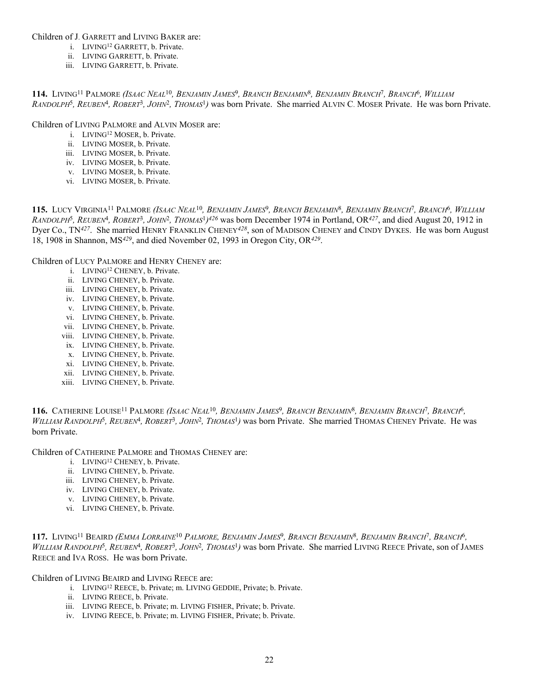Children of J. GARRETT and LIVING BAKER are:

- i. LIVING12 GARRETT, b. Private.
- ii. LIVING GARRETT, b. Private.
- iii. LIVING GARRETT, b. Private.

**114.** LIVING11 PALMORE *(ISAAC NEAL*10*, BENJAMIN JAMES*9*, BRANCH BENJAMIN*8*, BENJAMIN BRANCH*7*, BRANCH*6*, WILLIAM RANDOLPH*5*, REUBEN*4*, ROBERT*3*, JOHN*2*, THOMAS*1*)* was born Private. She married ALVIN C. MOSER Private. He was born Private.

Children of LIVING PALMORE and ALVIN MOSER are:

- i. LIVING12 MOSER, b. Private.
- ii. LIVING MOSER, b. Private.
- iii. LIVING MOSER, b. Private.
- iv. LIVING MOSER, b. Private.
- v. LIVING MOSER, b. Private.
- vi. LIVING MOSER, b. Private.

**115.** LUCY VIRGINIA11 PALMORE *(ISAAC NEAL*10*, BENJAMIN JAMES*9*, BRANCH BENJAMIN*8*, BENJAMIN BRANCH*7*, BRANCH*6*, WILLIAM RANDOLPH*5*, REUBEN*4*, ROBERT*3*, JOHN*2*, THOMAS*<sup>1</sup>*)426* was born December 1974 in Portland, OR*427*, and died August 20, 1912 in Dyer Co., TN*427*. She married HENRY FRANKLIN CHENEY*428*, son of MADISON CHENEY and CINDY DYKES. He was born August 18, 1908 in Shannon, MS*429*, and died November 02, 1993 in Oregon City, OR*429*.

Children of LUCY PALMORE and HENRY CHENEY are:

- i. LIVING12 CHENEY, b. Private.
- ii. LIVING CHENEY, b. Private.
- iii. LIVING CHENEY, b. Private.
- iv. LIVING CHENEY, b. Private.
- v. LIVING CHENEY, b. Private.
- vi. LIVING CHENEY, b. Private.
- vii. LIVING CHENEY, b. Private.
- viii. LIVING CHENEY, b. Private.
- ix. LIVING CHENEY, b. Private.
- x. LIVING CHENEY, b. Private.
- xi. LIVING CHENEY, b. Private.
- xii. LIVING CHENEY, b. Private.
- xiii. LIVING CHENEY, b. Private.

**116.** CATHERINE LOUISE11 PALMORE *(ISAAC NEAL*10*, BENJAMIN JAMES*9*, BRANCH BENJAMIN*8*, BENJAMIN BRANCH*7*, BRANCH*6*, WILLIAM RANDOLPH*5*, REUBEN*4*, ROBERT*3*, JOHN*2*, THOMAS*1*)* was born Private. She married THOMAS CHENEY Private. He was born Private.

Children of CATHERINE PALMORE and THOMAS CHENEY are:

- i. LIVING12 CHENEY, b. Private.
- ii. LIVING CHENEY, b. Private.
- iii. LIVING CHENEY, b. Private.
- iv. LIVING CHENEY, b. Private.
- v. LIVING CHENEY, b. Private.
- vi. LIVING CHENEY, b. Private.

**117.** LIVING11 BEAIRD *(EMMA LORRAINE*10 *PALMORE, BENJAMIN JAMES*9*, BRANCH BENJAMIN*8*, BENJAMIN BRANCH*7*, BRANCH*6*, WILLIAM RANDOLPH*5*, REUBEN*4*, ROBERT*3*, JOHN*2*, THOMAS*1*)* was born Private. She married LIVING REECE Private, son of JAMES REECE and IVA ROSS. He was born Private.

Children of LIVING BEAIRD and LIVING REECE are:

- i. LIVING12 REECE, b. Private; m. LIVING GEDDIE, Private; b. Private.
- ii. LIVING REECE, b. Private.
- iii. LIVING REECE, b. Private; m. LIVING FISHER, Private; b. Private.
- iv. LIVING REECE, b. Private; m. LIVING FISHER, Private; b. Private.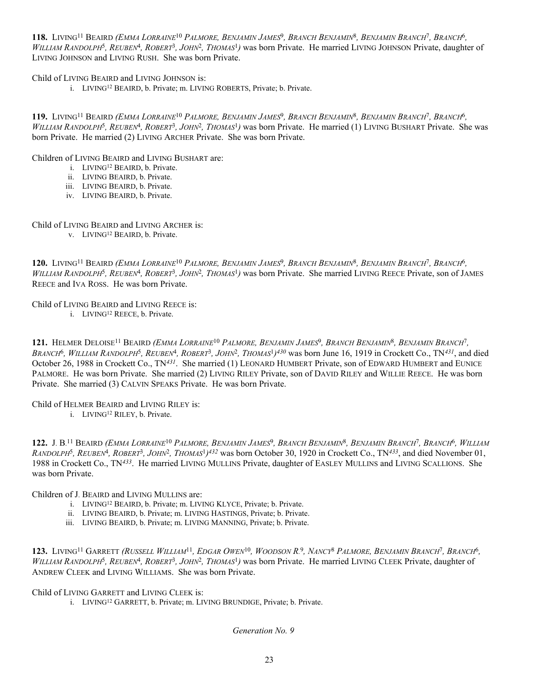**118.** LIVING11 BEAIRD *(EMMA LORRAINE*10 *PALMORE, BENJAMIN JAMES*9*, BRANCH BENJAMIN*8*, BENJAMIN BRANCH*7*, BRANCH*6*, WILLIAM RANDOLPH*5*, REUBEN*4*, ROBERT*3*, JOHN*2*, THOMAS*1*)* was born Private. He married LIVING JOHNSON Private, daughter of LIVING JOHNSON and LIVING RUSH. She was born Private.

Child of LIVING BEAIRD and LIVING JOHNSON is:

i. LIVING12 BEAIRD, b. Private; m. LIVING ROBERTS, Private; b. Private.

**119.** LIVING11 BEAIRD *(EMMA LORRAINE*10 *PALMORE, BENJAMIN JAMES*9*, BRANCH BENJAMIN*8*, BENJAMIN BRANCH*7*, BRANCH*6*, WILLIAM RANDOLPH*5*, REUBEN*4*, ROBERT*3*, JOHN*2*, THOMAS*1*)* was born Private. He married (1) LIVING BUSHART Private. She was born Private. He married (2) LIVING ARCHER Private. She was born Private.

Children of LIVING BEAIRD and LIVING BUSHART are:

- i. LIVING12 BEAIRD, b. Private.
- ii. LIVING BEAIRD, b. Private.
- iii. LIVING BEAIRD, b. Private.
- iv. LIVING BEAIRD, b. Private.

Child of LIVING BEAIRD and LIVING ARCHER is:

v. LIVING12 BEAIRD, b. Private.

**120.** LIVING11 BEAIRD *(EMMA LORRAINE*10 *PALMORE, BENJAMIN JAMES*9*, BRANCH BENJAMIN*8*, BENJAMIN BRANCH*7*, BRANCH*6*, WILLIAM RANDOLPH*5*, REUBEN*4*, ROBERT*3*, JOHN*2*, THOMAS*1*)* was born Private. She married LIVING REECE Private, son of JAMES REECE and IVA ROSS. He was born Private.

Child of LIVING BEAIRD and LIVING REECE is:

i. LIVING12 REECE, b. Private.

**121.** HELMER DELOISE11 BEAIRD *(EMMA LORRAINE*10 *PALMORE, BENJAMIN JAMES*9*, BRANCH BENJAMIN*8*, BENJAMIN BRANCH*7*, BRANCH*6*, WILLIAM RANDOLPH*5*, REUBEN*4*, ROBERT*3*, JOHN*2*, THOMAS*<sup>1</sup>*)430* was born June 16, 1919 in Crockett Co., TN*431*, and died October 26, 1988 in Crockett Co., TN*431*. She married (1) LEONARD HUMBERT Private, son of EDWARD HUMBERT and EUNICE PALMORE. He was born Private. She married (2) LIVING RILEY Private, son of DAVID RILEY and WILLIE REECE. He was born Private. She married (3) CALVIN SPEAKS Private. He was born Private.

Child of HELMER BEAIRD and LIVING RILEY is: i. LIVING12 RILEY, b. Private.

**122.** J. B. 11 BEAIRD *(EMMA LORRAINE*10 *PALMORE, BENJAMIN JAMES*9*, BRANCH BENJAMIN*8*, BENJAMIN BRANCH*7*, BRANCH*6*, WILLIAM RANDOLPH*5*, REUBEN*4*, ROBERT*3*, JOHN*2*, THOMAS*<sup>1</sup>*)432* was born October 30, 1920 in Crockett Co., TN*433*, and died November 01, 1988 in Crockett Co., TN*433*. He married LIVING MULLINS Private, daughter of EASLEY MULLINS and LIVING SCALLIONS. She was born Private.

Children of J. BEAIRD and LIVING MULLINS are:

- i. LIVING12 BEAIRD, b. Private; m. LIVING KLYCE, Private; b. Private.
- ii. LIVING BEAIRD, b. Private; m. LIVING HASTINGS, Private; b. Private.
- iii. LIVING BEAIRD, b. Private; m. LIVING MANNING, Private; b. Private.

**123.** LIVING11 GARRETT *(RUSSELL WILLIAM*11*, EDGAR OWEN*10*, WOODSON R.* <sup>9</sup>*, NANCY*8 *PALMORE, BENJAMIN BRANCH*7*, BRANCH*6*, WILLIAM RANDOLPH*5*, REUBEN*4*, ROBERT*3*, JOHN*2*, THOMAS*1*)* was born Private. He married LIVING CLEEK Private, daughter of ANDREW CLEEK and LIVING WILLIAMS. She was born Private.

Child of LIVING GARRETT and LIVING CLEEK is:

i. LIVING12 GARRETT, b. Private; m. LIVING BRUNDIGE, Private; b. Private.

*Generation No. 9*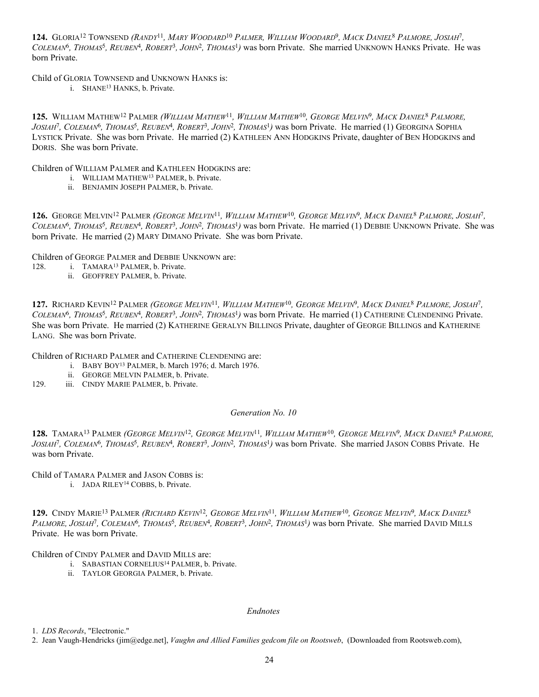**124.** GLORIA12 TOWNSEND *(RANDY*11*, MARY WOODARD*10 *PALMER, WILLIAM WOODARD*9*, MACK DANIEL*8 *PALMORE, JOSIAH*7*, COLEMAN*6*, THOMAS*5*, REUBEN*4*, ROBERT*3*, JOHN*2*, THOMAS*1*)* was born Private. She married UNKNOWN HANKS Private. He was born Private.

Child of GLORIA TOWNSEND and UNKNOWN HANKS is:

i. SHANE13 HANKS, b. Private.

**125.** WILLIAM MATHEW12 PALMER *(WILLIAM MATHEW*11*, WILLIAM MATHEW*10*, GEORGE MELVIN*9*, MACK DANIEL*8 *PALMORE, JOSIAH*7*, COLEMAN*6*, THOMAS*5*, REUBEN*4*, ROBERT*3*, JOHN*2*, THOMAS*1*)* was born Private. He married (1) GEORGINA SOPHIA LYSTICK Private. She was born Private. He married (2) KATHLEEN ANN HODGKINS Private, daughter of BEN HODGKINS and DORIS. She was born Private.

Children of WILLIAM PALMER and KATHLEEN HODGKINS are:

- i. WILLIAM MATHEW13 PALMER, b. Private.
- ii. BENJAMIN JOSEPH PALMER, b. Private.

**126.** GEORGE MELVIN12 PALMER *(GEORGE MELVIN*11*, WILLIAM MATHEW*10*, GEORGE MELVIN*9*, MACK DANIEL*8 *PALMORE, JOSIAH*7*, COLEMAN*6*, THOMAS*5*, REUBEN*4*, ROBERT*3*, JOHN*2*, THOMAS*1*)* was born Private. He married (1) DEBBIE UNKNOWN Private. She was born Private. He married (2) MARY DIMANO Private. She was born Private.

Children of GEORGE PALMER and DEBBIE UNKNOWN are:

- 128. i. TAMARA<sup>13</sup> PALMER, b. Private.
	- ii. GEOFFREY PALMER, b. Private.

**127.** RICHARD KEVIN12 PALMER *(GEORGE MELVIN*11*, WILLIAM MATHEW*10*, GEORGE MELVIN*9*, MACK DANIEL*8 *PALMORE, JOSIAH*7*, COLEMAN*6*, THOMAS*5*, REUBEN*4*, ROBERT*3*, JOHN*2*, THOMAS*1*)* was born Private. He married (1) CATHERINE CLENDENING Private. She was born Private. He married (2) KATHERINE GERALYN BILLINGS Private, daughter of GEORGE BILLINGS and KATHERINE LANG. She was born Private.

Children of RICHARD PALMER and CATHERINE CLENDENING are:

- i. BABY BOY13 PALMER, b. March 1976; d. March 1976.
	- ii. GEORGE MELVIN PALMER, b. Private.
- 129. iii. CINDY MARIE PALMER, b. Private.

## *Generation No. 10*

**128.** TAMARA13 PALMER *(GEORGE MELVIN*12*, GEORGE MELVIN*11*, WILLIAM MATHEW*10*, GEORGE MELVIN*9*, MACK DANIEL*8 *PALMORE, JOSIAH*7*, COLEMAN*6*, THOMAS*5*, REUBEN*4*, ROBERT*3*, JOHN*2*, THOMAS*1*)* was born Private. She married JASON COBBS Private. He was born Private.

Child of TAMARA PALMER and JASON COBBS is:

i. JADA RILEY14 COBBS, b. Private.

**129.** CINDY MARIE13 PALMER *(RICHARD KEVIN*12*, GEORGE MELVIN*11*, WILLIAM MATHEW*10*, GEORGE MELVIN*9*, MACK DANIEL*<sup>8</sup> *PALMORE, JOSIAH*7*, COLEMAN*6*, THOMAS*5*, REUBEN*4*, ROBERT*3*, JOHN*2*, THOMAS*1*)* was born Private. She married DAVID MILLS Private. He was born Private.

Children of CINDY PALMER and DAVID MILLS are:

- i. SABASTIAN CORNELIUS14 PALMER, b. Private.
- ii. TAYLOR GEORGIA PALMER, b. Private.

#### *Endnotes*

1. *LDS Records*, "Electronic."

2. Jean Vaugh-Hendricks (jim@edge.net], *Vaughn and Allied Families gedcom file on Rootsweb*, (Downloaded from Rootsweb.com),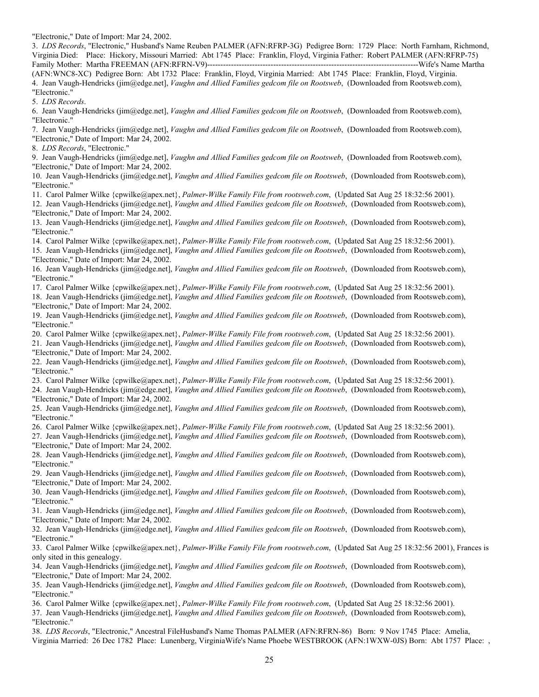"Electronic," Date of Import: Mar 24, 2002.

3. *LDS Records*, "Electronic," Husband's Name Reuben PALMER (AFN:RFRP-3G) Pedigree Born: 1729 Place: North Farnham, Richmond, Virginia Died: Place: Hickory, Missouri Married: Abt 1745 Place: Franklin, Floyd, Virginia Father: Robert PALMER (AFN:RFRP-75) Family Mother: Martha FREEMAN (AFN:RFRN-V9)--------------------------------------------------------------------------------Wife's Name Martha

(AFN:WNC8-XC) Pedigree Born: Abt 1732 Place: Franklin, Floyd, Virginia Married: Abt 1745 Place: Franklin, Floyd, Virginia. 4. Jean Vaugh-Hendricks (jim@edge.net], *Vaughn and Allied Families gedcom file on Rootsweb*, (Downloaded from Rootsweb.com), "Electronic."

5. *LDS Records*.

6. Jean Vaugh-Hendricks (jim@edge.net], *Vaughn and Allied Families gedcom file on Rootsweb*, (Downloaded from Rootsweb.com), "Electronic."

7. Jean Vaugh-Hendricks (jim@edge.net], *Vaughn and Allied Families gedcom file on Rootsweb*, (Downloaded from Rootsweb.com), "Electronic," Date of Import: Mar 24, 2002.

8. *LDS Records*, "Electronic."

9. Jean Vaugh-Hendricks (jim@edge.net], *Vaughn and Allied Families gedcom file on Rootsweb*, (Downloaded from Rootsweb.com), "Electronic," Date of Import: Mar 24, 2002.

10. Jean Vaugh-Hendricks (jim@edge.net], *Vaughn and Allied Families gedcom file on Rootsweb*, (Downloaded from Rootsweb.com), "Electronic."

11. Carol Palmer Wilke {cpwilke@apex.net}, *Palmer-Wilke Family File from rootsweb.com*, (Updated Sat Aug 25 18:32:56 2001).

12. Jean Vaugh-Hendricks (jim@edge.net], *Vaughn and Allied Families gedcom file on Rootsweb*, (Downloaded from Rootsweb.com), "Electronic," Date of Import: Mar 24, 2002.

13. Jean Vaugh-Hendricks (jim@edge.net], *Vaughn and Allied Families gedcom file on Rootsweb*, (Downloaded from Rootsweb.com), "Electronic."

14. Carol Palmer Wilke {cpwilke@apex.net}, *Palmer-Wilke Family File from rootsweb.com*, (Updated Sat Aug 25 18:32:56 2001).

15. Jean Vaugh-Hendricks (jim@edge.net], *Vaughn and Allied Families gedcom file on Rootsweb*, (Downloaded from Rootsweb.com), "Electronic," Date of Import: Mar 24, 2002.

16. Jean Vaugh-Hendricks (jim@edge.net], *Vaughn and Allied Families gedcom file on Rootsweb*, (Downloaded from Rootsweb.com), "Electronic."

17. Carol Palmer Wilke {cpwilke@apex.net}, *Palmer-Wilke Family File from rootsweb.com*, (Updated Sat Aug 25 18:32:56 2001).

18. Jean Vaugh-Hendricks (jim@edge.net], *Vaughn and Allied Families gedcom file on Rootsweb*, (Downloaded from Rootsweb.com), "Electronic," Date of Import: Mar 24, 2002.

19. Jean Vaugh-Hendricks (jim@edge.net], *Vaughn and Allied Families gedcom file on Rootsweb*, (Downloaded from Rootsweb.com), "Electronic."

20. Carol Palmer Wilke {cpwilke@apex.net}, *Palmer-Wilke Family File from rootsweb.com*, (Updated Sat Aug 25 18:32:56 2001).

21. Jean Vaugh-Hendricks (jim@edge.net], *Vaughn and Allied Families gedcom file on Rootsweb*, (Downloaded from Rootsweb.com), "Electronic," Date of Import: Mar 24, 2002.

22. Jean Vaugh-Hendricks (jim@edge.net], *Vaughn and Allied Families gedcom file on Rootsweb*, (Downloaded from Rootsweb.com), "Electronic."

23. Carol Palmer Wilke {cpwilke@apex.net}, *Palmer-Wilke Family File from rootsweb.com*, (Updated Sat Aug 25 18:32:56 2001).

24. Jean Vaugh-Hendricks (jim@edge.net], *Vaughn and Allied Families gedcom file on Rootsweb*, (Downloaded from Rootsweb.com), "Electronic," Date of Import: Mar 24, 2002.

25. Jean Vaugh-Hendricks (jim@edge.net], *Vaughn and Allied Families gedcom file on Rootsweb*, (Downloaded from Rootsweb.com), "Electronic."

26. Carol Palmer Wilke {cpwilke@apex.net}, *Palmer-Wilke Family File from rootsweb.com*, (Updated Sat Aug 25 18:32:56 2001).

27. Jean Vaugh-Hendricks (jim@edge.net], *Vaughn and Allied Families gedcom file on Rootsweb*, (Downloaded from Rootsweb.com), "Electronic," Date of Import: Mar 24, 2002.

28. Jean Vaugh-Hendricks (jim@edge.net], *Vaughn and Allied Families gedcom file on Rootsweb*, (Downloaded from Rootsweb.com), "Electronic."

29. Jean Vaugh-Hendricks (jim@edge.net], *Vaughn and Allied Families gedcom file on Rootsweb*, (Downloaded from Rootsweb.com), "Electronic," Date of Import: Mar 24, 2002.

30. Jean Vaugh-Hendricks (jim@edge.net], *Vaughn and Allied Families gedcom file on Rootsweb*, (Downloaded from Rootsweb.com), "Electronic."

31. Jean Vaugh-Hendricks (jim@edge.net], *Vaughn and Allied Families gedcom file on Rootsweb*, (Downloaded from Rootsweb.com), "Electronic," Date of Import: Mar 24, 2002.

32. Jean Vaugh-Hendricks (jim@edge.net], *Vaughn and Allied Families gedcom file on Rootsweb*, (Downloaded from Rootsweb.com), "Electronic."

33. Carol Palmer Wilke {cpwilke@apex.net}, *Palmer-Wilke Family File from rootsweb.com*, (Updated Sat Aug 25 18:32:56 2001), Frances is only sited in this genealogy.

34. Jean Vaugh-Hendricks (jim@edge.net], *Vaughn and Allied Families gedcom file on Rootsweb*, (Downloaded from Rootsweb.com), "Electronic," Date of Import: Mar 24, 2002.

35. Jean Vaugh-Hendricks (jim@edge.net], *Vaughn and Allied Families gedcom file on Rootsweb*, (Downloaded from Rootsweb.com), "Electronic."

36. Carol Palmer Wilke {cpwilke@apex.net}, *Palmer-Wilke Family File from rootsweb.com*, (Updated Sat Aug 25 18:32:56 2001).

37. Jean Vaugh-Hendricks (jim@edge.net], *Vaughn and Allied Families gedcom file on Rootsweb*, (Downloaded from Rootsweb.com), "Electronic."

38. *LDS Records*, "Electronic," Ancestral FileHusband's Name Thomas PALMER (AFN:RFRN-86) Born: 9 Nov 1745 Place: Amelia, Virginia Married: 26 Dec 1782 Place: Lunenberg, VirginiaWife's Name Phoebe WESTBROOK (AFN:1WXW-0JS) Born: Abt 1757 Place: ,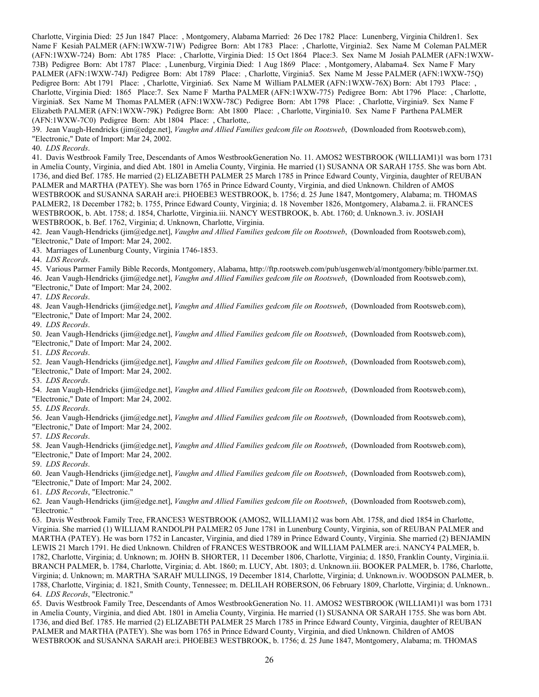Charlotte, Virginia Died: 25 Jun 1847 Place: , Montgomery, Alabama Married: 26 Dec 1782 Place: Lunenberg, Virginia Children1. Sex Name F Kesiah PALMER (AFN:1WXW-71W) Pedigree Born: Abt 1783 Place: , Charlotte, Virginia2. Sex Name M Coleman PALMER (AFN:1WXW-724) Born: Abt 1785 Place: , Charlotte, Virginia Died: 15 Oct 1864 Place:3. Sex Name M Josiah PALMER (AFN:1WXW-73B) Pedigree Born: Abt 1787 Place: , Lunenburg, Virginia Died: 1 Aug 1869 Place: , Montgomery, Alabama4. Sex Name F Mary PALMER (AFN:1WXW-74J) Pedigree Born: Abt 1789 Place: , Charlotte, Virginia5. Sex Name M Jesse PALMER (AFN:1WXW-75Q) Pedigree Born: Abt 1791 Place: , Charlotte, Virginia6. Sex Name M William PALMER (AFN:1WXW-76X) Born: Abt 1793 Place: , Charlotte, Virginia Died: 1865 Place:7. Sex Name F Martha PALMER (AFN:1WXW-775) Pedigree Born: Abt 1796 Place: , Charlotte, Virginia8. Sex Name M Thomas PALMER (AFN:1WXW-78C) Pedigree Born: Abt 1798 Place: , Charlotte, Virginia9. Sex Name F Elizabeth PALMER (AFN:1WXW-79K) Pedigree Born: Abt 1800 Place: , Charlotte, Virginia10. Sex Name F Parthena PALMER (AFN:1WXW-7C0) Pedigree Born: Abt 1804 Place: , Charlotte,.

39. Jean Vaugh-Hendricks (jim@edge.net], *Vaughn and Allied Families gedcom file on Rootsweb*, (Downloaded from Rootsweb.com), "Electronic," Date of Import: Mar 24, 2002.

40. *LDS Records*.

41. Davis Westbrook Family Tree, Descendants of Amos WestbrookGeneration No. 11. AMOS2 WESTBROOK (WILLIAM1)1 was born 1731 in Amelia County, Virginia, and died Abt. 1801 in Amelia County, Virginia. He married (1) SUSANNA OR SARAH 1755. She was born Abt. 1736, and died Bef. 1785. He married (2) ELIZABETH PALMER 25 March 1785 in Prince Edward County, Virginia, daughter of REUBAN PALMER and MARTHA (PATEY). She was born 1765 in Prince Edward County, Virginia, and died Unknown. Children of AMOS WESTBROOK and SUSANNA SARAH are:i. PHOEBE3 WESTBROOK, b. 1756; d. 25 June 1847, Montgomery, Alabama; m. THOMAS PALMER2, 18 December 1782; b. 1755, Prince Edward County, Virginia; d. 18 November 1826, Montgomery, Alabama.2. ii. FRANCES WESTBROOK, b. Abt. 1758; d. 1854, Charlotte, Virginia.iii. NANCY WESTBROOK, b. Abt. 1760; d. Unknown.3. iv. JOSIAH WESTBROOK, b. Bef. 1762, Virginia; d. Unknown, Charlotte, Virginia.

42. Jean Vaugh-Hendricks (jim@edge.net], *Vaughn and Allied Families gedcom file on Rootsweb*, (Downloaded from Rootsweb.com), "Electronic," Date of Import: Mar 24, 2002.

43. Marriages of Lunenburg County, Virginia 1746-1853.

44. *LDS Records*.

45. Various Parmer Family Bible Records, Montgomery, Alabama, http://ftp.rootsweb.com/pub/usgenweb/al/montgomery/bible/parmer.txt. 46. Jean Vaugh-Hendricks (jim@edge.net], *Vaughn and Allied Families gedcom file on Rootsweb*, (Downloaded from Rootsweb.com),

"Electronic," Date of Import: Mar 24, 2002.

47. *LDS Records*.

48. Jean Vaugh-Hendricks (jim@edge.net], *Vaughn and Allied Families gedcom file on Rootsweb*, (Downloaded from Rootsweb.com), "Electronic," Date of Import: Mar 24, 2002.

49. *LDS Records*.

50. Jean Vaugh-Hendricks (jim@edge.net], *Vaughn and Allied Families gedcom file on Rootsweb*, (Downloaded from Rootsweb.com), "Electronic," Date of Import: Mar 24, 2002.

51. *LDS Records*.

52. Jean Vaugh-Hendricks (jim@edge.net], *Vaughn and Allied Families gedcom file on Rootsweb*, (Downloaded from Rootsweb.com), "Electronic," Date of Import: Mar 24, 2002.

53. *LDS Records*.

54. Jean Vaugh-Hendricks (jim@edge.net], *Vaughn and Allied Families gedcom file on Rootsweb*, (Downloaded from Rootsweb.com), "Electronic," Date of Import: Mar 24, 2002.

55. *LDS Records*.

56. Jean Vaugh-Hendricks (jim@edge.net], *Vaughn and Allied Families gedcom file on Rootsweb*, (Downloaded from Rootsweb.com), "Electronic," Date of Import: Mar 24, 2002.

57. *LDS Records*.

58. Jean Vaugh-Hendricks (jim@edge.net], *Vaughn and Allied Families gedcom file on Rootsweb*, (Downloaded from Rootsweb.com), "Electronic," Date of Import: Mar 24, 2002.

59. *LDS Records*.

60. Jean Vaugh-Hendricks (jim@edge.net], *Vaughn and Allied Families gedcom file on Rootsweb*, (Downloaded from Rootsweb.com), "Electronic," Date of Import: Mar 24, 2002.

61. *LDS Records*, "Electronic."

62. Jean Vaugh-Hendricks (jim@edge.net], *Vaughn and Allied Families gedcom file on Rootsweb*, (Downloaded from Rootsweb.com), "Electronic."

63. Davis Westbrook Family Tree, FRANCES3 WESTBROOK (AMOS2, WILLIAM1)2 was born Abt. 1758, and died 1854 in Charlotte, Virginia. She married (1) WILLIAM RANDOLPH PALMER2 05 June 1781 in Lunenburg County, Virginia, son of REUBAN PALMER and MARTHA (PATEY). He was born 1752 in Lancaster, Virginia, and died 1789 in Prince Edward County, Virginia. She married (2) BENJAMIN LEWIS 21 March 1791. He died Unknown. Children of FRANCES WESTBROOK and WILLIAM PALMER are:i. NANCY4 PALMER, b. 1782, Charlotte, Virginia; d. Unknown; m. JOHN B. SHORTER, 11 December 1806, Charlotte, Virginia; d. 1850, Franklin County, Virginia.ii. BRANCH PALMER, b. 1784, Charlotte, Virginia; d. Abt. 1860; m. LUCY, Abt. 1803; d. Unknown.iii. BOOKER PALMER, b. 1786, Charlotte, Virginia; d. Unknown; m. MARTHA 'SARAH' MULLINGS, 19 December 1814, Charlotte, Virginia; d. Unknown.iv. WOODSON PALMER, b. 1788, Charlotte, Virginia; d. 1821, Smith County, Tennessee; m. DELILAH ROBERSON, 06 February 1809, Charlotte, Virginia; d. Unknown.. 64. *LDS Records*, "Electronic."

65. Davis Westbrook Family Tree, Descendants of Amos WestbrookGeneration No. 11. AMOS2 WESTBROOK (WILLIAM1)1 was born 1731 in Amelia County, Virginia, and died Abt. 1801 in Amelia County, Virginia. He married (1) SUSANNA OR SARAH 1755. She was born Abt. 1736, and died Bef. 1785. He married (2) ELIZABETH PALMER 25 March 1785 in Prince Edward County, Virginia, daughter of REUBAN PALMER and MARTHA (PATEY). She was born 1765 in Prince Edward County, Virginia, and died Unknown. Children of AMOS WESTBROOK and SUSANNA SARAH are:i. PHOEBE3 WESTBROOK, b. 1756; d. 25 June 1847, Montgomery, Alabama; m. THOMAS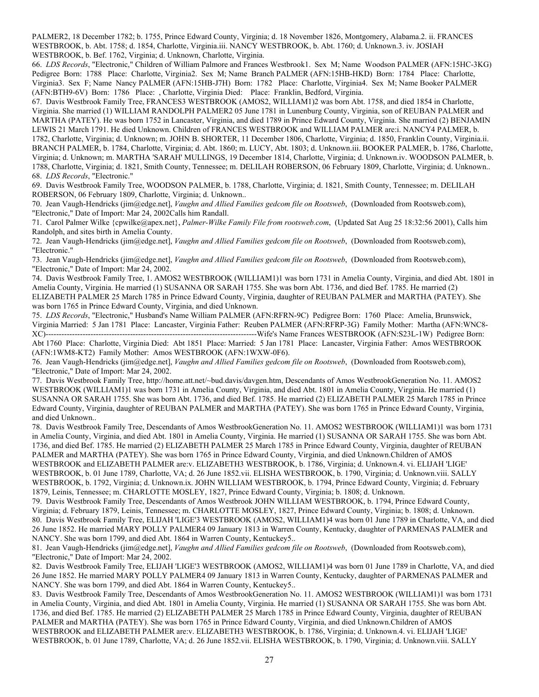PALMER2, 18 December 1782; b. 1755, Prince Edward County, Virginia; d. 18 November 1826, Montgomery, Alabama.2. ii. FRANCES WESTBROOK, b. Abt. 1758; d. 1854, Charlotte, Virginia.iii. NANCY WESTBROOK, b. Abt. 1760; d. Unknown.3. iv. JOSIAH WESTBROOK, b. Bef. 1762, Virginia; d. Unknown, Charlotte, Virginia.

66. *LDS Records*, "Electronic," Children of William Palmore and Frances Westbrook1. Sex M; Name Woodson PALMER (AFN:15HC-3KG) Pedigree Born: 1788 Place: Charlotte, Virginia2. Sex M; Name Branch PALMER (AFN:15HB-HKD) Born: 1784 Place: Charlotte, Virginia3. Sex F; Name Nancy PALMER (AFN:15HB-J7H) Born: 1782 Place: Charlotte, Virginia4. Sex M; Name Booker PALMER (AFN:BTH9-6V) Born: 1786 Place: , Charlotte, Virginia Died: Place: Franklin, Bedford, Virginia.

67. Davis Westbrook Family Tree, FRANCES3 WESTBROOK (AMOS2, WILLIAM1)2 was born Abt. 1758, and died 1854 in Charlotte, Virginia. She married (1) WILLIAM RANDOLPH PALMER2 05 June 1781 in Lunenburg County, Virginia, son of REUBAN PALMER and MARTHA (PATEY). He was born 1752 in Lancaster, Virginia, and died 1789 in Prince Edward County, Virginia. She married (2) BENJAMIN LEWIS 21 March 1791. He died Unknown. Children of FRANCES WESTBROOK and WILLIAM PALMER are:i. NANCY4 PALMER, b. 1782, Charlotte, Virginia; d. Unknown; m. JOHN B. SHORTER, 11 December 1806, Charlotte, Virginia; d. 1850, Franklin County, Virginia.ii. BRANCH PALMER, b. 1784, Charlotte, Virginia; d. Abt. 1860; m. LUCY, Abt. 1803; d. Unknown.iii. BOOKER PALMER, b. 1786, Charlotte, Virginia; d. Unknown; m. MARTHA 'SARAH' MULLINGS, 19 December 1814, Charlotte, Virginia; d. Unknown.iv. WOODSON PALMER, b. 1788, Charlotte, Virginia; d. 1821, Smith County, Tennessee; m. DELILAH ROBERSON, 06 February 1809, Charlotte, Virginia; d. Unknown.. 68. *LDS Records*, "Electronic."

69. Davis Westbrook Family Tree, WOODSON PALMER, b. 1788, Charlotte, Virginia; d. 1821, Smith County, Tennessee; m. DELILAH ROBERSON, 06 February 1809, Charlotte, Virginia; d. Unknown..

70. Jean Vaugh-Hendricks (jim@edge.net], *Vaughn and Allied Families gedcom file on Rootsweb*, (Downloaded from Rootsweb.com), "Electronic," Date of Import: Mar 24, 2002Calls him Randall.

71. Carol Palmer Wilke {cpwilke@apex.net}, *Palmer-Wilke Family File from rootsweb.com*, (Updated Sat Aug 25 18:32:56 2001), Calls him Randolph, and sites birth in Amelia County.

72. Jean Vaugh-Hendricks (jim@edge.net], *Vaughn and Allied Families gedcom file on Rootsweb*, (Downloaded from Rootsweb.com), "Electronic."

73. Jean Vaugh-Hendricks (jim@edge.net], *Vaughn and Allied Families gedcom file on Rootsweb*, (Downloaded from Rootsweb.com), "Electronic," Date of Import: Mar 24, 2002.

74. Davis Westbrook Family Tree, 1. AMOS2 WESTBROOK (WILLIAM1)1 was born 1731 in Amelia County, Virginia, and died Abt. 1801 in Amelia County, Virginia. He married (1) SUSANNA OR SARAH 1755. She was born Abt. 1736, and died Bef. 1785. He married (2) ELIZABETH PALMER 25 March 1785 in Prince Edward County, Virginia, daughter of REUBAN PALMER and MARTHA (PATEY). She was born 1765 in Prince Edward County, Virginia, and died Unknown.

75. *LDS Records*, "Electronic," Husband's Name William PALMER (AFN:RFRN-9C) Pedigree Born: 1760 Place: Amelia, Brunswick, Virginia Married: 5 Jan 1781 Place: Lancaster, Virginia Father: Reuben PALMER (AFN:RFRP-3G) Family Mother: Martha (AFN:WNC8- XC)--------------------------------------------------------------------------------Wife's Name Frances WESTBROOK (AFN:S23L-1W) Pedigree Born: Abt 1760 Place: Charlotte, Virginia Died: Abt 1851 Place: Married: 5 Jan 1781 Place: Lancaster, Virginia Father: Amos WESTBROOK (AFN:1WM8-KT2) Family Mother: Amos WESTBROOK (AFN:1WXW-0F6).

76. Jean Vaugh-Hendricks (jim@edge.net], *Vaughn and Allied Families gedcom file on Rootsweb*, (Downloaded from Rootsweb.com), "Electronic," Date of Import: Mar 24, 2002.

77. Davis Westbrook Family Tree, http://home.att.net/~bud.davis/davgen.htm, Descendants of Amos WestbrookGeneration No. 11. AMOS2 WESTBROOK (WILLIAM1)1 was born 1731 in Amelia County, Virginia, and died Abt. 1801 in Amelia County, Virginia. He married (1) SUSANNA OR SARAH 1755. She was born Abt. 1736, and died Bef. 1785. He married (2) ELIZABETH PALMER 25 March 1785 in Prince Edward County, Virginia, daughter of REUBAN PALMER and MARTHA (PATEY). She was born 1765 in Prince Edward County, Virginia, and died Unknown..

78. Davis Westbrook Family Tree, Descendants of Amos WestbrookGeneration No. 11. AMOS2 WESTBROOK (WILLIAM1)1 was born 1731 in Amelia County, Virginia, and died Abt. 1801 in Amelia County, Virginia. He married (1) SUSANNA OR SARAH 1755. She was born Abt. 1736, and died Bef. 1785. He married (2) ELIZABETH PALMER 25 March 1785 in Prince Edward County, Virginia, daughter of REUBAN PALMER and MARTHA (PATEY). She was born 1765 in Prince Edward County, Virginia, and died Unknown.Children of AMOS WESTBROOK and ELIZABETH PALMER are:v. ELIZABETH3 WESTBROOK, b. 1786, Virginia; d. Unknown.4. vi. ELIJAH 'LIGE' WESTBROOK, b. 01 June 1789, Charlotte, VA; d. 26 June 1852.vii. ELISHA WESTBROOK, b. 1790, Virginia; d. Unknown.viii. SALLY WESTBROOK, b. 1792, Virginia; d. Unknown.ix. JOHN WILLIAM WESTBROOK, b. 1794, Prince Edward County, Virginia; d. February 1879, Leinis, Tennessee; m. CHARLOTTE MOSLEY, 1827, Prince Edward County, Virginia; b. 1808; d. Unknown.

79. Davis Westbrook Family Tree, Descendants of Amos Westbrook JOHN WILLIAM WESTBROOK, b. 1794, Prince Edward County, Virginia; d. February 1879, Leinis, Tennessee; m. CHARLOTTE MOSLEY, 1827, Prince Edward County, Virginia; b. 1808; d. Unknown. 80. Davis Westbrook Family Tree, ELIJAH 'LIGE'3 WESTBROOK (AMOS2, WILLIAM1)4 was born 01 June 1789 in Charlotte, VA, and died 26 June 1852. He married MARY POLLY PALMER4 09 January 1813 in Warren County, Kentucky, daughter of PARMENAS PALMER and NANCY. She was born 1799, and died Abt. 1864 in Warren County, Kentuckey5..

81. Jean Vaugh-Hendricks (jim@edge.net], *Vaughn and Allied Families gedcom file on Rootsweb*, (Downloaded from Rootsweb.com), "Electronic," Date of Import: Mar 24, 2002.

82. Davis Westbrook Family Tree, ELIJAH 'LIGE'3 WESTBROOK (AMOS2, WILLIAM1)4 was born 01 June 1789 in Charlotte, VA, and died 26 June 1852. He married MARY POLLY PALMER4 09 January 1813 in Warren County, Kentucky, daughter of PARMENAS PALMER and NANCY. She was born 1799, and died Abt. 1864 in Warren County, Kentuckey5..

83. Davis Westbrook Family Tree, Descendants of Amos WestbrookGeneration No. 11. AMOS2 WESTBROOK (WILLIAM1)1 was born 1731 in Amelia County, Virginia, and died Abt. 1801 in Amelia County, Virginia. He married (1) SUSANNA OR SARAH 1755. She was born Abt. 1736, and died Bef. 1785. He married (2) ELIZABETH PALMER 25 March 1785 in Prince Edward County, Virginia, daughter of REUBAN PALMER and MARTHA (PATEY). She was born 1765 in Prince Edward County, Virginia, and died Unknown.Children of AMOS WESTBROOK and ELIZABETH PALMER are:v. ELIZABETH3 WESTBROOK, b. 1786, Virginia; d. Unknown.4. vi. ELIJAH 'LIGE' WESTBROOK, b. 01 June 1789, Charlotte, VA; d. 26 June 1852.vii. ELISHA WESTBROOK, b. 1790, Virginia; d. Unknown.viii. SALLY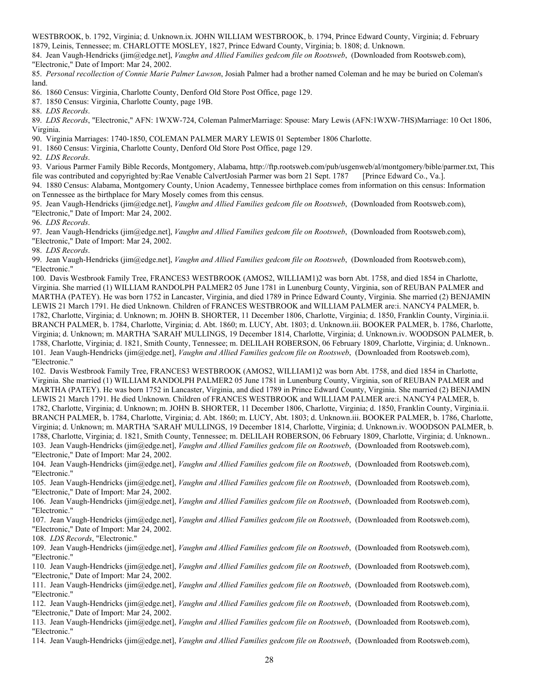WESTBROOK, b. 1792, Virginia; d. Unknown.ix. JOHN WILLIAM WESTBROOK, b. 1794, Prince Edward County, Virginia; d. February 1879, Leinis, Tennessee; m. CHARLOTTE MOSLEY, 1827, Prince Edward County, Virginia; b. 1808; d. Unknown.

84. Jean Vaugh-Hendricks (jim@edge.net], *Vaughn and Allied Families gedcom file on Rootsweb*, (Downloaded from Rootsweb.com), "Electronic," Date of Import: Mar 24, 2002.

85. *Personal recollection of Connie Marie Palmer Lawson*, Josiah Palmer had a brother named Coleman and he may be buried on Coleman's land.

86. 1860 Census: Virginia, Charlotte County, Denford Old Store Post Office, page 129.

87. 1850 Census: Virginia, Charlotte County, page 19B.

88. *LDS Records*.

89. *LDS Records*, "Electronic," AFN: 1WXW-724, Coleman PalmerMarriage: Spouse: Mary Lewis (AFN:1WXW-7HS)Marriage: 10 Oct 1806, Virginia.

90. Virginia Marriages: 1740-1850, COLEMAN PALMER MARY LEWIS 01 September 1806 Charlotte.

91. 1860 Census: Virginia, Charlotte County, Denford Old Store Post Office, page 129.

92. *LDS Records*.

93. Various Parmer Family Bible Records, Montgomery, Alabama, http://ftp.rootsweb.com/pub/usgenweb/al/montgomery/bible/parmer.txt, This

file was contributed and copyrighted by:Rae Venable CalvertJosiah Parmer was born 21 Sept. 1787 [Prince Edward Co., Va.]. 94. 1880 Census: Alabama, Montgomery County, Union Academy, Tennessee birthplace comes from information on this census: Information

on Tennessee as the birthplace for Mary Mosely comes from this census.

95. Jean Vaugh-Hendricks (jim@edge.net], *Vaughn and Allied Families gedcom file on Rootsweb*, (Downloaded from Rootsweb.com), "Electronic," Date of Import: Mar 24, 2002.

96. *LDS Records*.

97. Jean Vaugh-Hendricks (jim@edge.net], *Vaughn and Allied Families gedcom file on Rootsweb*, (Downloaded from Rootsweb.com), "Electronic," Date of Import: Mar 24, 2002.

98. *LDS Records*.

99. Jean Vaugh-Hendricks (jim@edge.net], *Vaughn and Allied Families gedcom file on Rootsweb*, (Downloaded from Rootsweb.com), "Electronic."

100. Davis Westbrook Family Tree, FRANCES3 WESTBROOK (AMOS2, WILLIAM1)2 was born Abt. 1758, and died 1854 in Charlotte, Virginia. She married (1) WILLIAM RANDOLPH PALMER2 05 June 1781 in Lunenburg County, Virginia, son of REUBAN PALMER and MARTHA (PATEY). He was born 1752 in Lancaster, Virginia, and died 1789 in Prince Edward County, Virginia. She married (2) BENJAMIN LEWIS 21 March 1791. He died Unknown. Children of FRANCES WESTBROOK and WILLIAM PALMER are:i. NANCY4 PALMER, b. 1782, Charlotte, Virginia; d. Unknown; m. JOHN B. SHORTER, 11 December 1806, Charlotte, Virginia; d. 1850, Franklin County, Virginia.ii. BRANCH PALMER, b. 1784, Charlotte, Virginia; d. Abt. 1860; m. LUCY, Abt. 1803; d. Unknown.iii. BOOKER PALMER, b. 1786, Charlotte, Virginia; d. Unknown; m. MARTHA 'SARAH' MULLINGS, 19 December 1814, Charlotte, Virginia; d. Unknown.iv. WOODSON PALMER, b. 1788, Charlotte, Virginia; d. 1821, Smith County, Tennessee; m. DELILAH ROBERSON, 06 February 1809, Charlotte, Virginia; d. Unknown.. 101. Jean Vaugh-Hendricks (jim@edge.net], *Vaughn and Allied Families gedcom file on Rootsweb*, (Downloaded from Rootsweb.com), "Electronic."

102. Davis Westbrook Family Tree, FRANCES3 WESTBROOK (AMOS2, WILLIAM1)2 was born Abt. 1758, and died 1854 in Charlotte, Virginia. She married (1) WILLIAM RANDOLPH PALMER2 05 June 1781 in Lunenburg County, Virginia, son of REUBAN PALMER and MARTHA (PATEY). He was born 1752 in Lancaster, Virginia, and died 1789 in Prince Edward County, Virginia. She married (2) BENJAMIN LEWIS 21 March 1791. He died Unknown. Children of FRANCES WESTBROOK and WILLIAM PALMER are:i. NANCY4 PALMER, b. 1782, Charlotte, Virginia; d. Unknown; m. JOHN B. SHORTER, 11 December 1806, Charlotte, Virginia; d. 1850, Franklin County, Virginia.ii. BRANCH PALMER, b. 1784, Charlotte, Virginia; d. Abt. 1860; m. LUCY, Abt. 1803; d. Unknown.iii. BOOKER PALMER, b. 1786, Charlotte, Virginia; d. Unknown; m. MARTHA 'SARAH' MULLINGS, 19 December 1814, Charlotte, Virginia; d. Unknown.iv. WOODSON PALMER, b. 1788, Charlotte, Virginia; d. 1821, Smith County, Tennessee; m. DELILAH ROBERSON, 06 February 1809, Charlotte, Virginia; d. Unknown.. 103. Jean Vaugh-Hendricks (jim@edge.net], *Vaughn and Allied Families gedcom file on Rootsweb*, (Downloaded from Rootsweb.com), "Electronic," Date of Import: Mar 24, 2002.

104. Jean Vaugh-Hendricks (jim@edge.net], *Vaughn and Allied Families gedcom file on Rootsweb*, (Downloaded from Rootsweb.com), "Electronic."

105. Jean Vaugh-Hendricks (jim@edge.net], *Vaughn and Allied Families gedcom file on Rootsweb*, (Downloaded from Rootsweb.com), "Electronic," Date of Import: Mar 24, 2002.

106. Jean Vaugh-Hendricks (jim@edge.net], *Vaughn and Allied Families gedcom file on Rootsweb*, (Downloaded from Rootsweb.com), "Electronic."

107. Jean Vaugh-Hendricks (jim@edge.net], *Vaughn and Allied Families gedcom file on Rootsweb*, (Downloaded from Rootsweb.com), "Electronic," Date of Import: Mar 24, 2002.

108. *LDS Records*, "Electronic."

109. Jean Vaugh-Hendricks (jim@edge.net], *Vaughn and Allied Families gedcom file on Rootsweb*, (Downloaded from Rootsweb.com), "Electronic."

110. Jean Vaugh-Hendricks (jim@edge.net], *Vaughn and Allied Families gedcom file on Rootsweb*, (Downloaded from Rootsweb.com), "Electronic," Date of Import: Mar 24, 2002.

111. Jean Vaugh-Hendricks (jim@edge.net], *Vaughn and Allied Families gedcom file on Rootsweb*, (Downloaded from Rootsweb.com), "Electronic."

112. Jean Vaugh-Hendricks (jim@edge.net], *Vaughn and Allied Families gedcom file on Rootsweb*, (Downloaded from Rootsweb.com), "Electronic," Date of Import: Mar 24, 2002.

113. Jean Vaugh-Hendricks (jim@edge.net], *Vaughn and Allied Families gedcom file on Rootsweb*, (Downloaded from Rootsweb.com), "Electronic."

114. Jean Vaugh-Hendricks (jim@edge.net], *Vaughn and Allied Families gedcom file on Rootsweb*, (Downloaded from Rootsweb.com),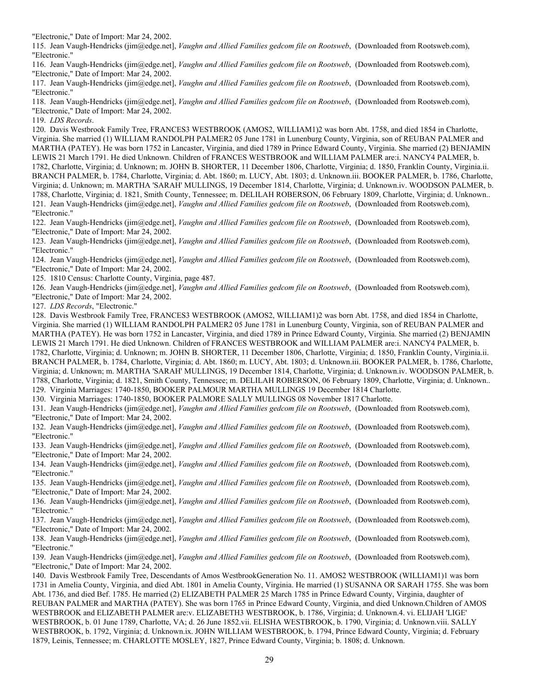"Electronic," Date of Import: Mar 24, 2002.

115. Jean Vaugh-Hendricks (jim@edge.net], *Vaughn and Allied Families gedcom file on Rootsweb*, (Downloaded from Rootsweb.com), "Electronic."

116. Jean Vaugh-Hendricks (jim@edge.net], *Vaughn and Allied Families gedcom file on Rootsweb*, (Downloaded from Rootsweb.com), "Electronic," Date of Import: Mar 24, 2002.

117. Jean Vaugh-Hendricks (jim@edge.net], *Vaughn and Allied Families gedcom file on Rootsweb*, (Downloaded from Rootsweb.com), "Electronic."

118. Jean Vaugh-Hendricks (jim@edge.net], *Vaughn and Allied Families gedcom file on Rootsweb*, (Downloaded from Rootsweb.com), "Electronic," Date of Import: Mar 24, 2002.

119. *LDS Records*.

120. Davis Westbrook Family Tree, FRANCES3 WESTBROOK (AMOS2, WILLIAM1)2 was born Abt. 1758, and died 1854 in Charlotte, Virginia. She married (1) WILLIAM RANDOLPH PALMER2 05 June 1781 in Lunenburg County, Virginia, son of REUBAN PALMER and MARTHA (PATEY). He was born 1752 in Lancaster, Virginia, and died 1789 in Prince Edward County, Virginia. She married (2) BENJAMIN LEWIS 21 March 1791. He died Unknown. Children of FRANCES WESTBROOK and WILLIAM PALMER are:i. NANCY4 PALMER, b. 1782, Charlotte, Virginia; d. Unknown; m. JOHN B. SHORTER, 11 December 1806, Charlotte, Virginia; d. 1850, Franklin County, Virginia.ii. BRANCH PALMER, b. 1784, Charlotte, Virginia; d. Abt. 1860; m. LUCY, Abt. 1803; d. Unknown.iii. BOOKER PALMER, b. 1786, Charlotte, Virginia; d. Unknown; m. MARTHA 'SARAH' MULLINGS, 19 December 1814, Charlotte, Virginia; d. Unknown.iv. WOODSON PALMER, b. 1788, Charlotte, Virginia; d. 1821, Smith County, Tennessee; m. DELILAH ROBERSON, 06 February 1809, Charlotte, Virginia; d. Unknown.. 121. Jean Vaugh-Hendricks (jim@edge.net], *Vaughn and Allied Families gedcom file on Rootsweb*, (Downloaded from Rootsweb.com), "Electronic."

122. Jean Vaugh-Hendricks (jim@edge.net], *Vaughn and Allied Families gedcom file on Rootsweb*, (Downloaded from Rootsweb.com), "Electronic," Date of Import: Mar 24, 2002.

123. Jean Vaugh-Hendricks (jim@edge.net], *Vaughn and Allied Families gedcom file on Rootsweb*, (Downloaded from Rootsweb.com), "Electronic."

124. Jean Vaugh-Hendricks (jim@edge.net], *Vaughn and Allied Families gedcom file on Rootsweb*, (Downloaded from Rootsweb.com), "Electronic," Date of Import: Mar 24, 2002.

125. 1810 Census: Charlotte County, Virginia, page 487.

126. Jean Vaugh-Hendricks (jim@edge.net], *Vaughn and Allied Families gedcom file on Rootsweb*, (Downloaded from Rootsweb.com), "Electronic," Date of Import: Mar 24, 2002.

127. *LDS Records*, "Electronic."

128. Davis Westbrook Family Tree, FRANCES3 WESTBROOK (AMOS2, WILLIAM1)2 was born Abt. 1758, and died 1854 in Charlotte, Virginia. She married (1) WILLIAM RANDOLPH PALMER2 05 June 1781 in Lunenburg County, Virginia, son of REUBAN PALMER and MARTHA (PATEY). He was born 1752 in Lancaster, Virginia, and died 1789 in Prince Edward County, Virginia. She married (2) BENJAMIN LEWIS 21 March 1791. He died Unknown. Children of FRANCES WESTBROOK and WILLIAM PALMER are:i. NANCY4 PALMER, b. 1782, Charlotte, Virginia; d. Unknown; m. JOHN B. SHORTER, 11 December 1806, Charlotte, Virginia; d. 1850, Franklin County, Virginia.ii. BRANCH PALMER, b. 1784, Charlotte, Virginia; d. Abt. 1860; m. LUCY, Abt. 1803; d. Unknown.iii. BOOKER PALMER, b. 1786, Charlotte, Virginia; d. Unknown; m. MARTHA 'SARAH' MULLINGS, 19 December 1814, Charlotte, Virginia; d. Unknown.iv. WOODSON PALMER, b. 1788, Charlotte, Virginia; d. 1821, Smith County, Tennessee; m. DELILAH ROBERSON, 06 February 1809, Charlotte, Virginia; d. Unknown.. 129. Virginia Marriages: 1740-1850, BOOKER PALMOUR MARTHA MULLINGS 19 December 1814 Charlotte.

130. Virginia Marriages: 1740-1850, BOOKER PALMORE SALLY MULLINGS 08 November 1817 Charlotte.

131. Jean Vaugh-Hendricks (jim@edge.net], *Vaughn and Allied Families gedcom file on Rootsweb*, (Downloaded from Rootsweb.com), "Electronic," Date of Import: Mar 24, 2002.

132. Jean Vaugh-Hendricks (jim@edge.net], *Vaughn and Allied Families gedcom file on Rootsweb*, (Downloaded from Rootsweb.com), "Electronic."

133. Jean Vaugh-Hendricks (jim@edge.net], *Vaughn and Allied Families gedcom file on Rootsweb*, (Downloaded from Rootsweb.com), "Electronic," Date of Import: Mar 24, 2002.

134. Jean Vaugh-Hendricks (jim@edge.net], *Vaughn and Allied Families gedcom file on Rootsweb*, (Downloaded from Rootsweb.com), "Electronic."

135. Jean Vaugh-Hendricks (jim@edge.net], *Vaughn and Allied Families gedcom file on Rootsweb*, (Downloaded from Rootsweb.com), "Electronic," Date of Import: Mar 24, 2002.

136. Jean Vaugh-Hendricks (jim@edge.net], *Vaughn and Allied Families gedcom file on Rootsweb*, (Downloaded from Rootsweb.com), "Electronic."

137. Jean Vaugh-Hendricks (jim@edge.net], *Vaughn and Allied Families gedcom file on Rootsweb*, (Downloaded from Rootsweb.com), "Electronic," Date of Import: Mar 24, 2002.

138. Jean Vaugh-Hendricks (jim@edge.net], *Vaughn and Allied Families gedcom file on Rootsweb*, (Downloaded from Rootsweb.com), "Electronic."

139. Jean Vaugh-Hendricks (jim@edge.net], *Vaughn and Allied Families gedcom file on Rootsweb*, (Downloaded from Rootsweb.com), "Electronic," Date of Import: Mar 24, 2002.

140. Davis Westbrook Family Tree, Descendants of Amos WestbrookGeneration No. 11. AMOS2 WESTBROOK (WILLIAM1)1 was born 1731 in Amelia County, Virginia, and died Abt. 1801 in Amelia County, Virginia. He married (1) SUSANNA OR SARAH 1755. She was born Abt. 1736, and died Bef. 1785. He married (2) ELIZABETH PALMER 25 March 1785 in Prince Edward County, Virginia, daughter of REUBAN PALMER and MARTHA (PATEY). She was born 1765 in Prince Edward County, Virginia, and died Unknown.Children of AMOS WESTBROOK and ELIZABETH PALMER are:v. ELIZABETH3 WESTBROOK, b. 1786, Virginia; d. Unknown.4. vi. ELIJAH 'LIGE' WESTBROOK, b. 01 June 1789, Charlotte, VA; d. 26 June 1852.vii. ELISHA WESTBROOK, b. 1790, Virginia; d. Unknown.viii. SALLY WESTBROOK, b. 1792, Virginia; d. Unknown.ix. JOHN WILLIAM WESTBROOK, b. 1794, Prince Edward County, Virginia; d. February 1879, Leinis, Tennessee; m. CHARLOTTE MOSLEY, 1827, Prince Edward County, Virginia; b. 1808; d. Unknown.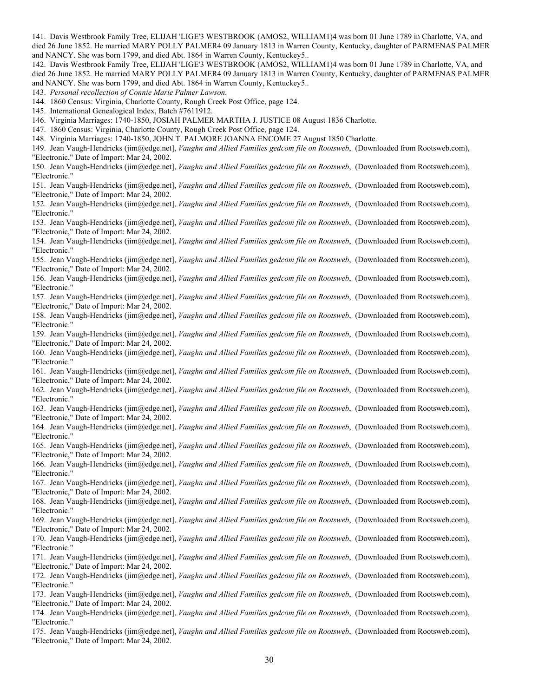141. Davis Westbrook Family Tree, ELIJAH 'LIGE'3 WESTBROOK (AMOS2, WILLIAM1)4 was born 01 June 1789 in Charlotte, VA, and died 26 June 1852. He married MARY POLLY PALMER4 09 January 1813 in Warren County, Kentucky, daughter of PARMENAS PALMER and NANCY. She was born 1799, and died Abt. 1864 in Warren County, Kentuckey5..

142. Davis Westbrook Family Tree, ELIJAH 'LIGE'3 WESTBROOK (AMOS2, WILLIAM1)4 was born 01 June 1789 in Charlotte, VA, and died 26 June 1852. He married MARY POLLY PALMER4 09 January 1813 in Warren County, Kentucky, daughter of PARMENAS PALMER and NANCY. She was born 1799, and died Abt. 1864 in Warren County, Kentuckey5..

143. *Personal recollection of Connie Marie Palmer Lawson*.

144. 1860 Census: Virginia, Charlotte County, Rough Creek Post Office, page 124.

145. International Genealogical Index, Batch #7611912.

146. Virginia Marriages: 1740-1850, JOSIAH PALMER MARTHA J. JUSTICE 08 August 1836 Charlotte.

147. 1860 Census: Virginia, Charlotte County, Rough Creek Post Office, page 124.

148. Virginia Marriages: 1740-1850, JOHN T. PALMORE JOANNA ENCOME 27 August 1850 Charlotte.

149. Jean Vaugh-Hendricks (jim@edge.net], *Vaughn and Allied Families gedcom file on Rootsweb*, (Downloaded from Rootsweb.com), "Electronic," Date of Import: Mar 24, 2002.

150. Jean Vaugh-Hendricks (jim@edge.net], *Vaughn and Allied Families gedcom file on Rootsweb*, (Downloaded from Rootsweb.com), "Electronic."

151. Jean Vaugh-Hendricks (jim@edge.net], *Vaughn and Allied Families gedcom file on Rootsweb*, (Downloaded from Rootsweb.com), "Electronic," Date of Import: Mar 24, 2002.

152. Jean Vaugh-Hendricks (jim@edge.net], *Vaughn and Allied Families gedcom file on Rootsweb*, (Downloaded from Rootsweb.com), "Electronic."

153. Jean Vaugh-Hendricks (jim@edge.net], *Vaughn and Allied Families gedcom file on Rootsweb*, (Downloaded from Rootsweb.com), "Electronic," Date of Import: Mar 24, 2002.

154. Jean Vaugh-Hendricks (jim@edge.net], *Vaughn and Allied Families gedcom file on Rootsweb*, (Downloaded from Rootsweb.com), "Electronic."

155. Jean Vaugh-Hendricks (jim@edge.net], *Vaughn and Allied Families gedcom file on Rootsweb*, (Downloaded from Rootsweb.com), "Electronic," Date of Import: Mar 24, 2002.

156. Jean Vaugh-Hendricks (jim@edge.net], *Vaughn and Allied Families gedcom file on Rootsweb*, (Downloaded from Rootsweb.com), "Electronic."

157. Jean Vaugh-Hendricks (jim@edge.net], *Vaughn and Allied Families gedcom file on Rootsweb*, (Downloaded from Rootsweb.com), "Electronic," Date of Import: Mar 24, 2002.

158. Jean Vaugh-Hendricks (jim@edge.net], *Vaughn and Allied Families gedcom file on Rootsweb*, (Downloaded from Rootsweb.com), "Electronic."

159. Jean Vaugh-Hendricks (jim@edge.net], *Vaughn and Allied Families gedcom file on Rootsweb*, (Downloaded from Rootsweb.com), "Electronic," Date of Import: Mar 24, 2002.

160. Jean Vaugh-Hendricks (jim@edge.net], *Vaughn and Allied Families gedcom file on Rootsweb*, (Downloaded from Rootsweb.com), "Electronic."

161. Jean Vaugh-Hendricks (jim@edge.net], *Vaughn and Allied Families gedcom file on Rootsweb*, (Downloaded from Rootsweb.com), "Electronic," Date of Import: Mar 24, 2002.

162. Jean Vaugh-Hendricks (jim@edge.net], *Vaughn and Allied Families gedcom file on Rootsweb*, (Downloaded from Rootsweb.com), "Electronic."

163. Jean Vaugh-Hendricks (jim@edge.net], *Vaughn and Allied Families gedcom file on Rootsweb*, (Downloaded from Rootsweb.com), "Electronic," Date of Import: Mar 24, 2002.

164. Jean Vaugh-Hendricks (jim@edge.net], *Vaughn and Allied Families gedcom file on Rootsweb*, (Downloaded from Rootsweb.com), "Electronic."

165. Jean Vaugh-Hendricks (jim@edge.net], *Vaughn and Allied Families gedcom file on Rootsweb*, (Downloaded from Rootsweb.com), "Electronic," Date of Import: Mar 24, 2002.

166. Jean Vaugh-Hendricks (jim@edge.net], *Vaughn and Allied Families gedcom file on Rootsweb*, (Downloaded from Rootsweb.com), "Electronic."

167. Jean Vaugh-Hendricks (jim@edge.net], *Vaughn and Allied Families gedcom file on Rootsweb*, (Downloaded from Rootsweb.com), "Electronic," Date of Import: Mar 24, 2002.

168. Jean Vaugh-Hendricks (jim@edge.net], *Vaughn and Allied Families gedcom file on Rootsweb*, (Downloaded from Rootsweb.com), "Electronic."

169. Jean Vaugh-Hendricks (jim@edge.net], *Vaughn and Allied Families gedcom file on Rootsweb*, (Downloaded from Rootsweb.com), "Electronic," Date of Import: Mar 24, 2002.

170. Jean Vaugh-Hendricks (jim@edge.net], *Vaughn and Allied Families gedcom file on Rootsweb*, (Downloaded from Rootsweb.com), "Electronic."

171. Jean Vaugh-Hendricks (jim@edge.net], *Vaughn and Allied Families gedcom file on Rootsweb*, (Downloaded from Rootsweb.com), "Electronic," Date of Import: Mar 24, 2002.

172. Jean Vaugh-Hendricks (jim@edge.net], *Vaughn and Allied Families gedcom file on Rootsweb*, (Downloaded from Rootsweb.com), "Electronic."

173. Jean Vaugh-Hendricks (jim@edge.net], *Vaughn and Allied Families gedcom file on Rootsweb*, (Downloaded from Rootsweb.com), "Electronic," Date of Import: Mar 24, 2002.

174. Jean Vaugh-Hendricks (jim@edge.net], *Vaughn and Allied Families gedcom file on Rootsweb*, (Downloaded from Rootsweb.com), "Electronic."

175. Jean Vaugh-Hendricks (jim@edge.net], *Vaughn and Allied Families gedcom file on Rootsweb*, (Downloaded from Rootsweb.com), "Electronic," Date of Import: Mar 24, 2002.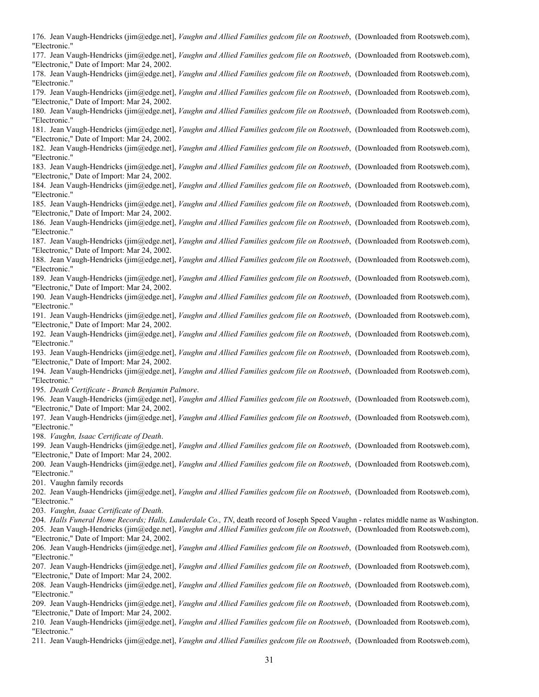176. Jean Vaugh-Hendricks (jim@edge.net], *Vaughn and Allied Families gedcom file on Rootsweb*, (Downloaded from Rootsweb.com), "Electronic."

177. Jean Vaugh-Hendricks (jim@edge.net], *Vaughn and Allied Families gedcom file on Rootsweb*, (Downloaded from Rootsweb.com), "Electronic," Date of Import: Mar 24, 2002.

178. Jean Vaugh-Hendricks (jim@edge.net], *Vaughn and Allied Families gedcom file on Rootsweb*, (Downloaded from Rootsweb.com), "Electronic."

179. Jean Vaugh-Hendricks (jim@edge.net], *Vaughn and Allied Families gedcom file on Rootsweb*, (Downloaded from Rootsweb.com), "Electronic," Date of Import: Mar 24, 2002.

180. Jean Vaugh-Hendricks (jim@edge.net], *Vaughn and Allied Families gedcom file on Rootsweb*, (Downloaded from Rootsweb.com), "Electronic."

181. Jean Vaugh-Hendricks (jim@edge.net], *Vaughn and Allied Families gedcom file on Rootsweb*, (Downloaded from Rootsweb.com), "Electronic," Date of Import: Mar 24, 2002.

182. Jean Vaugh-Hendricks (jim@edge.net], *Vaughn and Allied Families gedcom file on Rootsweb*, (Downloaded from Rootsweb.com), "Electronic."

183. Jean Vaugh-Hendricks (jim@edge.net], *Vaughn and Allied Families gedcom file on Rootsweb*, (Downloaded from Rootsweb.com), "Electronic," Date of Import: Mar 24, 2002.

184. Jean Vaugh-Hendricks (jim@edge.net], *Vaughn and Allied Families gedcom file on Rootsweb*, (Downloaded from Rootsweb.com), "Electronic."

185. Jean Vaugh-Hendricks (jim@edge.net], *Vaughn and Allied Families gedcom file on Rootsweb*, (Downloaded from Rootsweb.com), "Electronic," Date of Import: Mar 24, 2002.

186. Jean Vaugh-Hendricks (jim@edge.net], *Vaughn and Allied Families gedcom file on Rootsweb*, (Downloaded from Rootsweb.com), "Electronic."

187. Jean Vaugh-Hendricks (jim@edge.net], *Vaughn and Allied Families gedcom file on Rootsweb*, (Downloaded from Rootsweb.com), "Electronic," Date of Import: Mar 24, 2002.

188. Jean Vaugh-Hendricks (jim@edge.net], *Vaughn and Allied Families gedcom file on Rootsweb*, (Downloaded from Rootsweb.com), "Electronic."

189. Jean Vaugh-Hendricks (jim@edge.net], *Vaughn and Allied Families gedcom file on Rootsweb*, (Downloaded from Rootsweb.com), "Electronic," Date of Import: Mar 24, 2002.

190. Jean Vaugh-Hendricks (jim@edge.net], *Vaughn and Allied Families gedcom file on Rootsweb*, (Downloaded from Rootsweb.com), "Electronic."

191. Jean Vaugh-Hendricks (jim@edge.net], *Vaughn and Allied Families gedcom file on Rootsweb*, (Downloaded from Rootsweb.com), "Electronic," Date of Import: Mar 24, 2002.

192. Jean Vaugh-Hendricks (jim@edge.net], *Vaughn and Allied Families gedcom file on Rootsweb*, (Downloaded from Rootsweb.com), "Electronic."

193. Jean Vaugh-Hendricks (jim@edge.net], *Vaughn and Allied Families gedcom file on Rootsweb*, (Downloaded from Rootsweb.com), "Electronic," Date of Import: Mar 24, 2002.

194. Jean Vaugh-Hendricks (jim@edge.net], *Vaughn and Allied Families gedcom file on Rootsweb*, (Downloaded from Rootsweb.com), "Electronic."

195. *Death Certificate - Branch Benjamin Palmore*.

196. Jean Vaugh-Hendricks (jim@edge.net], *Vaughn and Allied Families gedcom file on Rootsweb*, (Downloaded from Rootsweb.com), "Electronic," Date of Import: Mar 24, 2002.

197. Jean Vaugh-Hendricks (jim@edge.net], *Vaughn and Allied Families gedcom file on Rootsweb*, (Downloaded from Rootsweb.com), "Electronic."

198. *Vaughn, Isaac Certificate of Death*.

199. Jean Vaugh-Hendricks (jim@edge.net], *Vaughn and Allied Families gedcom file on Rootsweb*, (Downloaded from Rootsweb.com), "Electronic," Date of Import: Mar 24, 2002.

200. Jean Vaugh-Hendricks (jim@edge.net], *Vaughn and Allied Families gedcom file on Rootsweb*, (Downloaded from Rootsweb.com), "Electronic."

201. Vaughn family records

202. Jean Vaugh-Hendricks (jim@edge.net], *Vaughn and Allied Families gedcom file on Rootsweb*, (Downloaded from Rootsweb.com), "Electronic."

203. *Vaughn, Isaac Certificate of Death*.

204. *Halls Funeral Home Records; Halls, Lauderdale Co., TN*, death record of Joseph Speed Vaughn - relates middle name as Washington.

205. Jean Vaugh-Hendricks (jim@edge.net], *Vaughn and Allied Families gedcom file on Rootsweb*, (Downloaded from Rootsweb.com), "Electronic," Date of Import: Mar 24, 2002.

206. Jean Vaugh-Hendricks (jim@edge.net], *Vaughn and Allied Families gedcom file on Rootsweb*, (Downloaded from Rootsweb.com), "Electronic."

207. Jean Vaugh-Hendricks (jim@edge.net], *Vaughn and Allied Families gedcom file on Rootsweb*, (Downloaded from Rootsweb.com), "Electronic," Date of Import: Mar 24, 2002.

208. Jean Vaugh-Hendricks (jim@edge.net], *Vaughn and Allied Families gedcom file on Rootsweb*, (Downloaded from Rootsweb.com), "Electronic."

209. Jean Vaugh-Hendricks (jim@edge.net], *Vaughn and Allied Families gedcom file on Rootsweb*, (Downloaded from Rootsweb.com), "Electronic," Date of Import: Mar 24, 2002.

210. Jean Vaugh-Hendricks (jim@edge.net], *Vaughn and Allied Families gedcom file on Rootsweb*, (Downloaded from Rootsweb.com), "Electronic."

211. Jean Vaugh-Hendricks (jim@edge.net], *Vaughn and Allied Families gedcom file on Rootsweb*, (Downloaded from Rootsweb.com),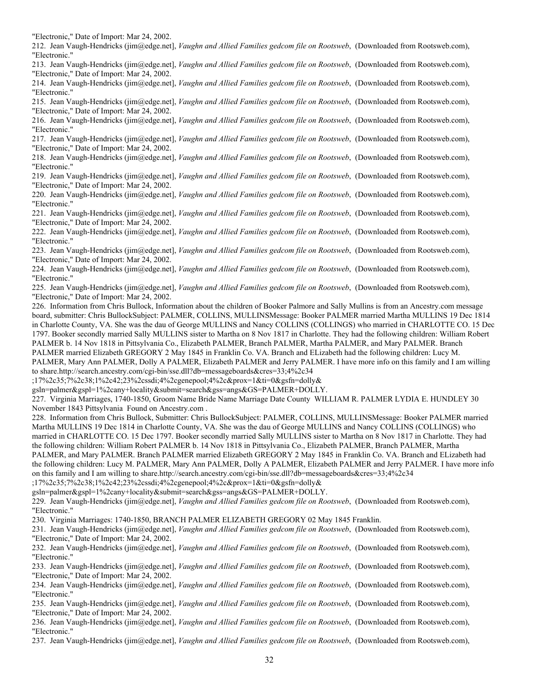"Electronic," Date of Import: Mar 24, 2002.

212. Jean Vaugh-Hendricks (jim@edge.net], *Vaughn and Allied Families gedcom file on Rootsweb*, (Downloaded from Rootsweb.com), "Electronic."

213. Jean Vaugh-Hendricks (jim@edge.net], *Vaughn and Allied Families gedcom file on Rootsweb*, (Downloaded from Rootsweb.com), "Electronic," Date of Import: Mar 24, 2002.

214. Jean Vaugh-Hendricks (jim@edge.net], *Vaughn and Allied Families gedcom file on Rootsweb*, (Downloaded from Rootsweb.com), "Electronic."

215. Jean Vaugh-Hendricks (jim@edge.net], *Vaughn and Allied Families gedcom file on Rootsweb*, (Downloaded from Rootsweb.com), "Electronic," Date of Import: Mar 24, 2002.

216. Jean Vaugh-Hendricks (jim@edge.net], *Vaughn and Allied Families gedcom file on Rootsweb*, (Downloaded from Rootsweb.com), "Electronic."

217. Jean Vaugh-Hendricks (jim@edge.net], *Vaughn and Allied Families gedcom file on Rootsweb*, (Downloaded from Rootsweb.com), "Electronic," Date of Import: Mar 24, 2002.

218. Jean Vaugh-Hendricks (jim@edge.net], *Vaughn and Allied Families gedcom file on Rootsweb*, (Downloaded from Rootsweb.com), "Electronic."

219. Jean Vaugh-Hendricks (jim@edge.net], *Vaughn and Allied Families gedcom file on Rootsweb*, (Downloaded from Rootsweb.com), "Electronic," Date of Import: Mar 24, 2002.

220. Jean Vaugh-Hendricks (jim@edge.net], *Vaughn and Allied Families gedcom file on Rootsweb*, (Downloaded from Rootsweb.com), "Electronic."

221. Jean Vaugh-Hendricks (jim@edge.net], *Vaughn and Allied Families gedcom file on Rootsweb*, (Downloaded from Rootsweb.com), "Electronic," Date of Import: Mar 24, 2002.

222. Jean Vaugh-Hendricks (jim@edge.net], *Vaughn and Allied Families gedcom file on Rootsweb*, (Downloaded from Rootsweb.com), "Electronic."

223. Jean Vaugh-Hendricks (jim@edge.net], *Vaughn and Allied Families gedcom file on Rootsweb*, (Downloaded from Rootsweb.com), "Electronic," Date of Import: Mar 24, 2002.

224. Jean Vaugh-Hendricks (jim@edge.net], *Vaughn and Allied Families gedcom file on Rootsweb*, (Downloaded from Rootsweb.com), "Electronic."

225. Jean Vaugh-Hendricks (jim@edge.net], *Vaughn and Allied Families gedcom file on Rootsweb*, (Downloaded from Rootsweb.com), "Electronic," Date of Import: Mar 24, 2002.

226. Information from Chris Bullock, Information about the children of Booker Palmore and Sally Mullins is from an Ancestry.com message board, submitter: Chris BullockSubject: PALMER, COLLINS, MULLINSMessage: Booker PALMER married Martha MULLINS 19 Dec 1814 in Charlotte County, VA. She was the dau of George MULLINS and Nancy COLLINS (COLLINGS) who married in CHARLOTTE CO. 15 Dec 1797. Booker secondly married Sally MULLINS sister to Martha on 8 Nov 1817 in Charlotte. They had the following children: William Robert PALMER b. 14 Nov 1818 in Pittsylvania Co., Elizabeth PALMER, Branch PALMER, Martha PALMER, and Mary PALMER. Branch PALMER married Elizabeth GREGORY 2 May 1845 in Franklin Co. VA. Branch and ELizabeth had the following children: Lucy M. PALMER, Mary Ann PALMER, Dolly A PALMER, Elizabeth PALMER and Jerry PALMER. I have more info on this family and I am willing to share.http://search.ancestry.com/cgi-bin/sse.dll?db=messageboards&cres=33;4%2c34

;17%2c35;7%2c38;1%2c42;23%2cssdi;4%2cgenepool;4%2c&prox=1&ti=0&gsfn=dolly&

gsln=palmer&gspl=1%2cany+locality&submit=search&gss=angs&GS=PALMER+DOLLY.

227. Virginia Marriages, 1740-1850, Groom Name Bride Name Marriage Date County WILLIAM R. PALMER LYDIA E. HUNDLEY 30 November 1843 Pittsylvania Found on Ancestry.com .

228. Information from Chris Bullock, Submitter: Chris BullockSubject: PALMER, COLLINS, MULLINSMessage: Booker PALMER married Martha MULLINS 19 Dec 1814 in Charlotte County, VA. She was the dau of George MULLINS and Nancy COLLINS (COLLINGS) who married in CHARLOTTE CO. 15 Dec 1797. Booker secondly married Sally MULLINS sister to Martha on 8 Nov 1817 in Charlotte. They had the following children: William Robert PALMER b. 14 Nov 1818 in Pittsylvania Co., Elizabeth PALMER, Branch PALMER, Martha PALMER, and Mary PALMER. Branch PALMER married Elizabeth GREGORY 2 May 1845 in Franklin Co. VA. Branch and ELizabeth had the following children: Lucy M. PALMER, Mary Ann PALMER, Dolly A PALMER, Elizabeth PALMER and Jerry PALMER. I have more info on this family and I am willing to share.http://search.ancestry.com/cgi-bin/sse.dll?db=messageboards&cres=33;4%2c34

;17%2c35;7%2c38;1%2c42;23%2cssdi;4%2cgenepool;4%2c&prox=1&ti=0&gsfn=dolly& gsln=palmer&gspl=1%2cany+locality&submit=search&gss=angs&GS=PALMER+DOLLY.

229. Jean Vaugh-Hendricks (jim@edge.net], *Vaughn and Allied Families gedcom file on Rootsweb*, (Downloaded from Rootsweb.com), "Electronic."

230. Virginia Marriages: 1740-1850, BRANCH PALMER ELIZABETH GREGORY 02 May 1845 Franklin.

231. Jean Vaugh-Hendricks (jim@edge.net], *Vaughn and Allied Families gedcom file on Rootsweb*, (Downloaded from Rootsweb.com), "Electronic," Date of Import: Mar 24, 2002.

232. Jean Vaugh-Hendricks (jim@edge.net], *Vaughn and Allied Families gedcom file on Rootsweb*, (Downloaded from Rootsweb.com), "Electronic."

233. Jean Vaugh-Hendricks (jim@edge.net], *Vaughn and Allied Families gedcom file on Rootsweb*, (Downloaded from Rootsweb.com), "Electronic," Date of Import: Mar 24, 2002.

234. Jean Vaugh-Hendricks (jim@edge.net], *Vaughn and Allied Families gedcom file on Rootsweb*, (Downloaded from Rootsweb.com), "Electronic."

235. Jean Vaugh-Hendricks (jim@edge.net], *Vaughn and Allied Families gedcom file on Rootsweb*, (Downloaded from Rootsweb.com), "Electronic," Date of Import: Mar 24, 2002.

236. Jean Vaugh-Hendricks (jim@edge.net], *Vaughn and Allied Families gedcom file on Rootsweb*, (Downloaded from Rootsweb.com), "Electronic."

237. Jean Vaugh-Hendricks (jim@edge.net], *Vaughn and Allied Families gedcom file on Rootsweb*, (Downloaded from Rootsweb.com),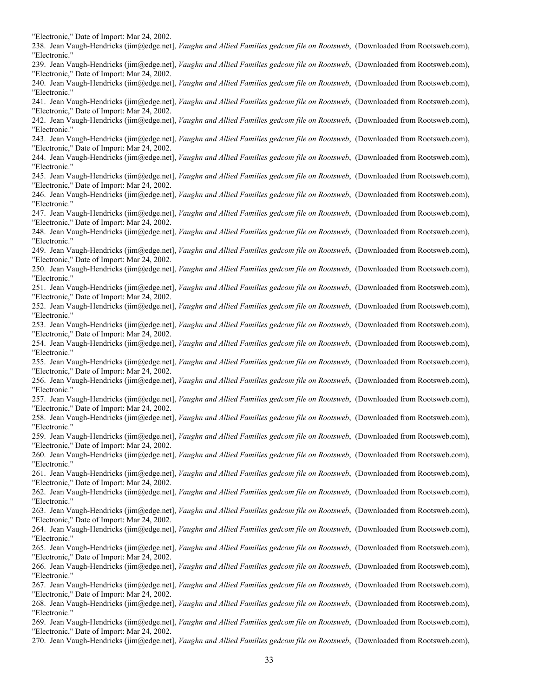"Electronic," Date of Import: Mar 24, 2002. 238. Jean Vaugh-Hendricks (jim@edge.net], *Vaughn and Allied Families gedcom file on Rootsweb*, (Downloaded from Rootsweb.com), "Electronic." 239. Jean Vaugh-Hendricks (jim@edge.net], *Vaughn and Allied Families gedcom file on Rootsweb*, (Downloaded from Rootsweb.com), "Electronic," Date of Import: Mar 24, 2002. 240. Jean Vaugh-Hendricks (jim@edge.net], *Vaughn and Allied Families gedcom file on Rootsweb*, (Downloaded from Rootsweb.com), "Electronic." 241. Jean Vaugh-Hendricks (jim@edge.net], *Vaughn and Allied Families gedcom file on Rootsweb*, (Downloaded from Rootsweb.com), "Electronic," Date of Import: Mar 24, 2002. 242. Jean Vaugh-Hendricks (jim@edge.net], *Vaughn and Allied Families gedcom file on Rootsweb*, (Downloaded from Rootsweb.com), "Electronic." 243. Jean Vaugh-Hendricks (jim@edge.net], *Vaughn and Allied Families gedcom file on Rootsweb*, (Downloaded from Rootsweb.com), "Electronic," Date of Import: Mar 24, 2002. 244. Jean Vaugh-Hendricks (jim@edge.net], *Vaughn and Allied Families gedcom file on Rootsweb*, (Downloaded from Rootsweb.com), "Electronic." 245. Jean Vaugh-Hendricks (jim@edge.net], *Vaughn and Allied Families gedcom file on Rootsweb*, (Downloaded from Rootsweb.com), "Electronic," Date of Import: Mar 24, 2002. 246. Jean Vaugh-Hendricks (jim@edge.net], *Vaughn and Allied Families gedcom file on Rootsweb*, (Downloaded from Rootsweb.com), "Electronic." 247. Jean Vaugh-Hendricks (jim@edge.net], *Vaughn and Allied Families gedcom file on Rootsweb*, (Downloaded from Rootsweb.com), "Electronic," Date of Import: Mar 24, 2002. 248. Jean Vaugh-Hendricks (jim@edge.net], *Vaughn and Allied Families gedcom file on Rootsweb*, (Downloaded from Rootsweb.com), "Electronic." 249. Jean Vaugh-Hendricks (jim@edge.net], *Vaughn and Allied Families gedcom file on Rootsweb*, (Downloaded from Rootsweb.com), "Electronic," Date of Import: Mar 24, 2002. 250. Jean Vaugh-Hendricks (jim@edge.net], *Vaughn and Allied Families gedcom file on Rootsweb*, (Downloaded from Rootsweb.com), "Electronic." 251. Jean Vaugh-Hendricks (jim@edge.net], *Vaughn and Allied Families gedcom file on Rootsweb*, (Downloaded from Rootsweb.com), "Electronic," Date of Import: Mar 24, 2002. 252. Jean Vaugh-Hendricks (jim@edge.net], *Vaughn and Allied Families gedcom file on Rootsweb*, (Downloaded from Rootsweb.com), "Electronic." 253. Jean Vaugh-Hendricks (jim@edge.net], *Vaughn and Allied Families gedcom file on Rootsweb*, (Downloaded from Rootsweb.com), "Electronic," Date of Import: Mar 24, 2002. 254. Jean Vaugh-Hendricks (jim@edge.net], *Vaughn and Allied Families gedcom file on Rootsweb*, (Downloaded from Rootsweb.com), "Electronic." 255. Jean Vaugh-Hendricks (jim@edge.net], *Vaughn and Allied Families gedcom file on Rootsweb*, (Downloaded from Rootsweb.com), "Electronic," Date of Import: Mar 24, 2002. 256. Jean Vaugh-Hendricks (jim@edge.net], *Vaughn and Allied Families gedcom file on Rootsweb*, (Downloaded from Rootsweb.com), "Electronic." 257. Jean Vaugh-Hendricks (jim@edge.net], *Vaughn and Allied Families gedcom file on Rootsweb*, (Downloaded from Rootsweb.com), "Electronic," Date of Import: Mar 24, 2002. 258. Jean Vaugh-Hendricks (jim@edge.net], *Vaughn and Allied Families gedcom file on Rootsweb*, (Downloaded from Rootsweb.com), "Electronic." 259. Jean Vaugh-Hendricks (jim@edge.net], *Vaughn and Allied Families gedcom file on Rootsweb*, (Downloaded from Rootsweb.com), "Electronic," Date of Import: Mar 24, 2002. 260. Jean Vaugh-Hendricks (jim@edge.net], *Vaughn and Allied Families gedcom file on Rootsweb*, (Downloaded from Rootsweb.com), "Electronic." 261. Jean Vaugh-Hendricks (jim@edge.net], *Vaughn and Allied Families gedcom file on Rootsweb*, (Downloaded from Rootsweb.com), "Electronic," Date of Import: Mar 24, 2002. 262. Jean Vaugh-Hendricks (jim@edge.net], *Vaughn and Allied Families gedcom file on Rootsweb*, (Downloaded from Rootsweb.com), "Electronic." 263. Jean Vaugh-Hendricks (jim@edge.net], *Vaughn and Allied Families gedcom file on Rootsweb*, (Downloaded from Rootsweb.com), "Electronic," Date of Import: Mar 24, 2002. 264. Jean Vaugh-Hendricks (jim@edge.net], *Vaughn and Allied Families gedcom file on Rootsweb*, (Downloaded from Rootsweb.com), "Electronic." 265. Jean Vaugh-Hendricks (jim@edge.net], *Vaughn and Allied Families gedcom file on Rootsweb*, (Downloaded from Rootsweb.com), "Electronic," Date of Import: Mar 24, 2002. 266. Jean Vaugh-Hendricks (jim@edge.net], *Vaughn and Allied Families gedcom file on Rootsweb*, (Downloaded from Rootsweb.com), "Electronic." 267. Jean Vaugh-Hendricks (jim@edge.net], *Vaughn and Allied Families gedcom file on Rootsweb*, (Downloaded from Rootsweb.com), "Electronic," Date of Import: Mar 24, 2002. 268. Jean Vaugh-Hendricks (jim@edge.net], *Vaughn and Allied Families gedcom file on Rootsweb*, (Downloaded from Rootsweb.com), "Electronic." 269. Jean Vaugh-Hendricks (jim@edge.net], *Vaughn and Allied Families gedcom file on Rootsweb*, (Downloaded from Rootsweb.com), "Electronic," Date of Import: Mar 24, 2002. 270. Jean Vaugh-Hendricks (jim@edge.net], *Vaughn and Allied Families gedcom file on Rootsweb*, (Downloaded from Rootsweb.com),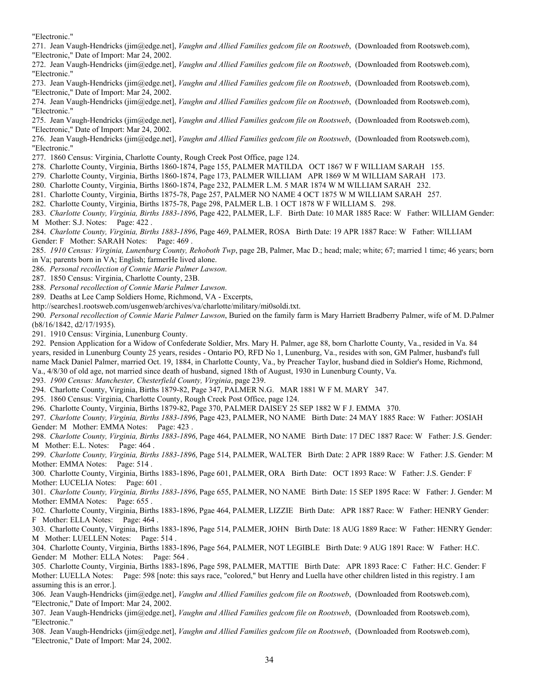"Electronic."

271. Jean Vaugh-Hendricks (jim@edge.net], *Vaughn and Allied Families gedcom file on Rootsweb*, (Downloaded from Rootsweb.com), "Electronic," Date of Import: Mar 24, 2002.

272. Jean Vaugh-Hendricks (jim@edge.net], *Vaughn and Allied Families gedcom file on Rootsweb*, (Downloaded from Rootsweb.com), "Electronic."

273. Jean Vaugh-Hendricks (jim@edge.net], *Vaughn and Allied Families gedcom file on Rootsweb*, (Downloaded from Rootsweb.com), "Electronic," Date of Import: Mar 24, 2002.

274. Jean Vaugh-Hendricks (jim@edge.net], *Vaughn and Allied Families gedcom file on Rootsweb*, (Downloaded from Rootsweb.com), "Electronic."

275. Jean Vaugh-Hendricks (jim@edge.net], *Vaughn and Allied Families gedcom file on Rootsweb*, (Downloaded from Rootsweb.com), "Electronic," Date of Import: Mar 24, 2002.

276. Jean Vaugh-Hendricks (jim@edge.net], *Vaughn and Allied Families gedcom file on Rootsweb*, (Downloaded from Rootsweb.com), "Electronic."

277. 1860 Census: Virginia, Charlotte County, Rough Creek Post Office, page 124.

278. Charlotte County, Virginia, Births 1860-1874, Page 155, PALMER MATILDA OCT 1867 W F WILLIAM SARAH 155.

279. Charlotte County, Virginia, Births 1860-1874, Page 173, PALMER WILLIAM APR 1869 W M WILLIAM SARAH 173.

- 280. Charlotte County, Virginia, Births 1860-1874, Page 232, PALMER L.M. 5 MAR 1874 W M WILLIAM SARAH 232.
- 281. Charlotte County, Virginia, Births 1875-78, Page 257, PALMER NO NAME 4 OCT 1875 W M WILLIAM SARAH 257.

282. Charlotte County, Virginia, Births 1875-78, Page 298, PALMER L.B. 1 OCT 1878 W F WILLIAM S. 298.

283. *Charlotte County, Virginia, Births 1883-1896*, Page 422, PALMER, L.F. Birth Date: 10 MAR 1885 Race: W Father: WILLIAM Gender: M Mother: S.J. Notes: Page: 422 .

284. *Charlotte County, Virginia, Births 1883-1896*, Page 469, PALMER, ROSA Birth Date: 19 APR 1887 Race: W Father: WILLIAM Gender: F Mother: SARAH Notes: Page: 469 .

285. *1910 Census: Virginia, Lunenburg County, Rehoboth Twp*, page 2B, Palmer, Mac D.; head; male; white; 67; married 1 time; 46 years; born in Va; parents born in VA; English; farmerHe lived alone.

286. *Personal recollection of Connie Marie Palmer Lawson*.

287. 1850 Census: Virginia, Charlotte County, 23B.

288. *Personal recollection of Connie Marie Palmer Lawson*.

289. Deaths at Lee Camp Soldiers Home, Richmond, VA - Excerpts,

http://searches1.rootsweb.com/usgenweb/archives/va/charlotte/military/mi0soldi.txt.

290. *Personal recollection of Connie Marie Palmer Lawson*, Buried on the family farm is Mary Harriett Bradberry Palmer, wife of M. D.Palmer (b8/16/1842, d2/17/1935).

291. 1910 Census: Virginia, Lunenburg County.

292. Pension Application for a Widow of Confederate Soldier, Mrs. Mary H. Palmer, age 88, born Charlotte County, Va., resided in Va. 84 years, resided in Lunenburg County 25 years, resides - Ontario PO, RFD No 1, Lunenburg, Va., resides with son, GM Palmer, husband's full name Mack Daniel Palmer, married Oct. 19, 1884, in Charlotte County, Va., by Preacher Taylor, husband died in Soldier's Home, Richmond, Va., 4/8/30 of old age, not married since death of husband, signed 18th of August, 1930 in Lunenburg County, Va.

293. *1900 Census: Manchester, Chesterfield County, Virginia*, page 239.

294. Charlotte County, Virginia, Births 1879-82, Page 347, PALMER N.G. MAR 1881 W F M. MARY 347.

295. 1860 Census: Virginia, Charlotte County, Rough Creek Post Office, page 124.

296. Charlotte County, Virginia, Births 1879-82, Page 370, PALMER DAISEY 25 SEP 1882 W F J. EMMA 370.

297. *Charlotte County, Virginia, Births 1883-1896*, Page 423, PALMER, NO NAME Birth Date: 24 MAY 1885 Race: W Father: JOSIAH Gender: M Mother: EMMA Notes: Page: 423.

298. *Charlotte County, Virginia, Births 1883-1896*, Page 464, PALMER, NO NAME Birth Date: 17 DEC 1887 Race: W Father: J.S. Gender: M Mother: E.L. Notes: Page: 464 .

299. *Charlotte County, Virginia, Births 1883-1896*, Page 514, PALMER, WALTER Birth Date: 2 APR 1889 Race: W Father: J.S. Gender: M Mother: EMMA Notes: Page: 514.

300. Charlotte County, Virginia, Births 1883-1896, Page 601, PALMER, ORA Birth Date: OCT 1893 Race: W Father: J.S. Gender: F Mother: LUCELIA Notes: Page: 601.

301. *Charlotte County, Virginia, Births 1883-1896*, Page 655, PALMER, NO NAME Birth Date: 15 SEP 1895 Race: W Father: J. Gender: M Mother: EMMA Notes: Page: 655.

302. Charlotte County, Virginia, Births 1883-1896, Pgae 464, PALMER, LIZZIE Birth Date: APR 1887 Race: W Father: HENRY Gender: F Mother: ELLA Notes: Page: 464 .

303. Charlotte County, Virginia, Births 1883-1896, Page 514, PALMER, JOHN Birth Date: 18 AUG 1889 Race: W Father: HENRY Gender: M Mother: LUELLEN Notes: Page: 514 .

304. Charlotte County, Virginia, Births 1883-1896, Page 564, PALMER, NOT LEGIBLE Birth Date: 9 AUG 1891 Race: W Father: H.C. Gender: M Mother: ELLA Notes: Page: 564.

305. Charlotte County, Virginia, Births 1883-1896, Page 598, PALMER, MATTIE Birth Date: APR 1893 Race: C Father: H.C. Gender: F Mother: LUELLA Notes: Page: 598 [note: this says race, "colored," but Henry and Luella have other children listed in this registry. I am assuming this is an error.].

306. Jean Vaugh-Hendricks (jim@edge.net], *Vaughn and Allied Families gedcom file on Rootsweb*, (Downloaded from Rootsweb.com), "Electronic," Date of Import: Mar 24, 2002.

307. Jean Vaugh-Hendricks (jim@edge.net], *Vaughn and Allied Families gedcom file on Rootsweb*, (Downloaded from Rootsweb.com), "Electronic."

308. Jean Vaugh-Hendricks (jim@edge.net], *Vaughn and Allied Families gedcom file on Rootsweb*, (Downloaded from Rootsweb.com), "Electronic," Date of Import: Mar 24, 2002.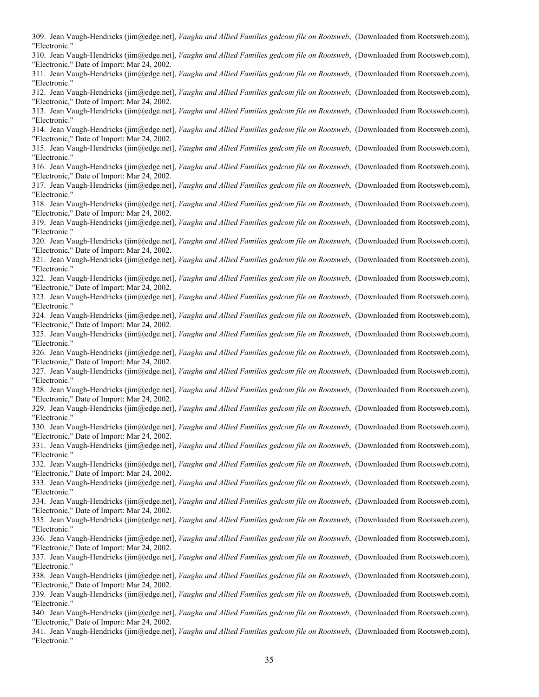309. Jean Vaugh-Hendricks (jim@edge.net], *Vaughn and Allied Families gedcom file on Rootsweb*, (Downloaded from Rootsweb.com), "Electronic." 310. Jean Vaugh-Hendricks (jim@edge.net], *Vaughn and Allied Families gedcom file on Rootsweb*, (Downloaded from Rootsweb.com), "Electronic," Date of Import: Mar 24, 2002. 311. Jean Vaugh-Hendricks (jim@edge.net], *Vaughn and Allied Families gedcom file on Rootsweb*, (Downloaded from Rootsweb.com), "Electronic." 312. Jean Vaugh-Hendricks (jim@edge.net], *Vaughn and Allied Families gedcom file on Rootsweb*, (Downloaded from Rootsweb.com), "Electronic," Date of Import: Mar 24, 2002. 313. Jean Vaugh-Hendricks (jim@edge.net], *Vaughn and Allied Families gedcom file on Rootsweb*, (Downloaded from Rootsweb.com), "Electronic." 314. Jean Vaugh-Hendricks (jim@edge.net], *Vaughn and Allied Families gedcom file on Rootsweb*, (Downloaded from Rootsweb.com), "Electronic," Date of Import: Mar 24, 2002. 315. Jean Vaugh-Hendricks (jim@edge.net], *Vaughn and Allied Families gedcom file on Rootsweb*, (Downloaded from Rootsweb.com), "Electronic." 316. Jean Vaugh-Hendricks (jim@edge.net], *Vaughn and Allied Families gedcom file on Rootsweb*, (Downloaded from Rootsweb.com), "Electronic," Date of Import: Mar 24, 2002. 317. Jean Vaugh-Hendricks (jim@edge.net], *Vaughn and Allied Families gedcom file on Rootsweb*, (Downloaded from Rootsweb.com), "Electronic."

318. Jean Vaugh-Hendricks (jim@edge.net], *Vaughn and Allied Families gedcom file on Rootsweb*, (Downloaded from Rootsweb.com), "Electronic," Date of Import: Mar 24, 2002.

319. Jean Vaugh-Hendricks (jim@edge.net], *Vaughn and Allied Families gedcom file on Rootsweb*, (Downloaded from Rootsweb.com), "Electronic."

320. Jean Vaugh-Hendricks (jim@edge.net], *Vaughn and Allied Families gedcom file on Rootsweb*, (Downloaded from Rootsweb.com), "Electronic," Date of Import: Mar 24, 2002.

321. Jean Vaugh-Hendricks (jim@edge.net], *Vaughn and Allied Families gedcom file on Rootsweb*, (Downloaded from Rootsweb.com), "Electronic."

322. Jean Vaugh-Hendricks (jim@edge.net], *Vaughn and Allied Families gedcom file on Rootsweb*, (Downloaded from Rootsweb.com), "Electronic," Date of Import: Mar 24, 2002.

323. Jean Vaugh-Hendricks (jim@edge.net], *Vaughn and Allied Families gedcom file on Rootsweb*, (Downloaded from Rootsweb.com), "Electronic."

324. Jean Vaugh-Hendricks (jim@edge.net], *Vaughn and Allied Families gedcom file on Rootsweb*, (Downloaded from Rootsweb.com), "Electronic," Date of Import: Mar 24, 2002.

325. Jean Vaugh-Hendricks (jim@edge.net], *Vaughn and Allied Families gedcom file on Rootsweb*, (Downloaded from Rootsweb.com), "Electronic."

326. Jean Vaugh-Hendricks (jim@edge.net], *Vaughn and Allied Families gedcom file on Rootsweb*, (Downloaded from Rootsweb.com), "Electronic," Date of Import: Mar 24, 2002.

327. Jean Vaugh-Hendricks (jim@edge.net], *Vaughn and Allied Families gedcom file on Rootsweb*, (Downloaded from Rootsweb.com), "Electronic."

328. Jean Vaugh-Hendricks (jim@edge.net], *Vaughn and Allied Families gedcom file on Rootsweb*, (Downloaded from Rootsweb.com), "Electronic," Date of Import: Mar 24, 2002.

329. Jean Vaugh-Hendricks (jim@edge.net], *Vaughn and Allied Families gedcom file on Rootsweb*, (Downloaded from Rootsweb.com), "Electronic."

330. Jean Vaugh-Hendricks (jim@edge.net], *Vaughn and Allied Families gedcom file on Rootsweb*, (Downloaded from Rootsweb.com), "Electronic," Date of Import: Mar 24, 2002.

331. Jean Vaugh-Hendricks (jim@edge.net], *Vaughn and Allied Families gedcom file on Rootsweb*, (Downloaded from Rootsweb.com), "Electronic."

332. Jean Vaugh-Hendricks (jim@edge.net], *Vaughn and Allied Families gedcom file on Rootsweb*, (Downloaded from Rootsweb.com), "Electronic," Date of Import: Mar 24, 2002.

333. Jean Vaugh-Hendricks (jim@edge.net], *Vaughn and Allied Families gedcom file on Rootsweb*, (Downloaded from Rootsweb.com), "Electronic."

334. Jean Vaugh-Hendricks (jim@edge.net], *Vaughn and Allied Families gedcom file on Rootsweb*, (Downloaded from Rootsweb.com), "Electronic," Date of Import: Mar 24, 2002.

335. Jean Vaugh-Hendricks (jim@edge.net], *Vaughn and Allied Families gedcom file on Rootsweb*, (Downloaded from Rootsweb.com), "Electronic."

336. Jean Vaugh-Hendricks (jim@edge.net], *Vaughn and Allied Families gedcom file on Rootsweb*, (Downloaded from Rootsweb.com), "Electronic," Date of Import: Mar 24, 2002.

337. Jean Vaugh-Hendricks (jim@edge.net], *Vaughn and Allied Families gedcom file on Rootsweb*, (Downloaded from Rootsweb.com), "Electronic."

338. Jean Vaugh-Hendricks (jim@edge.net], *Vaughn and Allied Families gedcom file on Rootsweb*, (Downloaded from Rootsweb.com), "Electronic," Date of Import: Mar 24, 2002.

339. Jean Vaugh-Hendricks (jim@edge.net], *Vaughn and Allied Families gedcom file on Rootsweb*, (Downloaded from Rootsweb.com), "Electronic."

340. Jean Vaugh-Hendricks (jim@edge.net], *Vaughn and Allied Families gedcom file on Rootsweb*, (Downloaded from Rootsweb.com), "Electronic," Date of Import: Mar 24, 2002.

341. Jean Vaugh-Hendricks (jim@edge.net], *Vaughn and Allied Families gedcom file on Rootsweb*, (Downloaded from Rootsweb.com), "Electronic."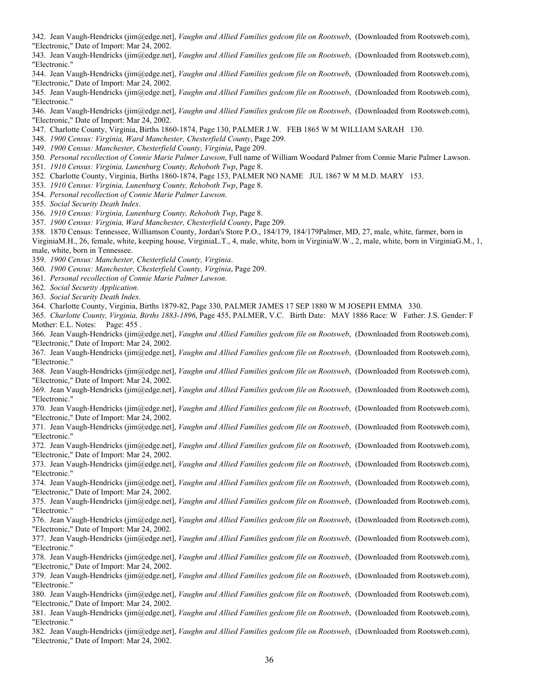342. Jean Vaugh-Hendricks (jim@edge.net], *Vaughn and Allied Families gedcom file on Rootsweb*, (Downloaded from Rootsweb.com), "Electronic," Date of Import: Mar 24, 2002.

343. Jean Vaugh-Hendricks (jim@edge.net], *Vaughn and Allied Families gedcom file on Rootsweb*, (Downloaded from Rootsweb.com), "Electronic."

344. Jean Vaugh-Hendricks (jim@edge.net], *Vaughn and Allied Families gedcom file on Rootsweb*, (Downloaded from Rootsweb.com), "Electronic," Date of Import: Mar 24, 2002.

345. Jean Vaugh-Hendricks (jim@edge.net], *Vaughn and Allied Families gedcom file on Rootsweb*, (Downloaded from Rootsweb.com), "Electronic."

346. Jean Vaugh-Hendricks (jim@edge.net], *Vaughn and Allied Families gedcom file on Rootsweb*, (Downloaded from Rootsweb.com), "Electronic," Date of Import: Mar 24, 2002.

347. Charlotte County, Virginia, Births 1860-1874, Page 130, PALMER J.W. FEB 1865 W M WILLIAM SARAH 130.

348. *1900 Census: Virginia, Ward Manchester, Chesterfield County*, Page 209.

349. *1900 Census: Manchester, Chesterfield County, Virginia*, Page 209.

- 350. *Personal recollection of Connie Marie Palmer Lawson*, Full name of William Woodard Palmer from Connie Marie Palmer Lawson.
- 351. *1910 Census: Virginia, Lunenburg County, Rehoboth Twp*, Page 8.
- 352. Charlotte County, Virginia, Births 1860-1874, Page 153, PALMER NO NAME JUL 1867 W M M.D. MARY 153.

353. *1910 Census: Virginia, Lunenburg County, Rehoboth Twp*, Page 8.

354. *Personal recollection of Connie Marie Palmer Lawson*.

355. *Social Security Death Index*.

356. *1910 Census: Virginia, Lunenburg County, Rehoboth Twp*, Page 8.

357. *1900 Census: Virginia, Ward Manchester, Chesterfield County*, Page 209.

358. 1870 Census: Tennessee, Williamson County, Jordan's Store P.O., 184/179, 184/179Palmer, MD, 27, male, white, farmer, born in

VirginiaM.H., 26, female, white, keeping house, VirginiaL.T., 4, male, white, born in VirginiaW.W., 2, male, white, born in VirginiaG.M., 1, male, white, born in Tennessee.

359. *1900 Census: Manchester, Chesterfield County, Virginia*.

360. *1900 Census: Manchester, Chesterfield County, Virginia*, Page 209.

361. *Personal recollection of Connie Marie Palmer Lawson*.

362. *Social Security Application*.

363. *Social Security Death Index*.

364. Charlotte County, Virginia, Births 1879-82, Page 330, PALMER JAMES 17 SEP 1880 W M JOSEPH EMMA 330.

365. *Charlotte County, Virginia, Births 1883-1896*, Page 455, PALMER, V.C. Birth Date: MAY 1886 Race: W Father: J.S. Gender: F Mother: E.L. Notes: Page: 455

366. Jean Vaugh-Hendricks (jim@edge.net], *Vaughn and Allied Families gedcom file on Rootsweb*, (Downloaded from Rootsweb.com), "Electronic," Date of Import: Mar 24, 2002.

367. Jean Vaugh-Hendricks (jim@edge.net], *Vaughn and Allied Families gedcom file on Rootsweb*, (Downloaded from Rootsweb.com), "Electronic."

368. Jean Vaugh-Hendricks (jim@edge.net], *Vaughn and Allied Families gedcom file on Rootsweb*, (Downloaded from Rootsweb.com), "Electronic," Date of Import: Mar 24, 2002.

369. Jean Vaugh-Hendricks (jim@edge.net], *Vaughn and Allied Families gedcom file on Rootsweb*, (Downloaded from Rootsweb.com), "Electronic."

370. Jean Vaugh-Hendricks (jim@edge.net], *Vaughn and Allied Families gedcom file on Rootsweb*, (Downloaded from Rootsweb.com), "Electronic," Date of Import: Mar 24, 2002.

371. Jean Vaugh-Hendricks (jim@edge.net], *Vaughn and Allied Families gedcom file on Rootsweb*, (Downloaded from Rootsweb.com), "Electronic."

372. Jean Vaugh-Hendricks (jim@edge.net], *Vaughn and Allied Families gedcom file on Rootsweb*, (Downloaded from Rootsweb.com), "Electronic," Date of Import: Mar 24, 2002.

373. Jean Vaugh-Hendricks (jim@edge.net], *Vaughn and Allied Families gedcom file on Rootsweb*, (Downloaded from Rootsweb.com), "Electronic."

374. Jean Vaugh-Hendricks (jim@edge.net], *Vaughn and Allied Families gedcom file on Rootsweb*, (Downloaded from Rootsweb.com), "Electronic," Date of Import: Mar 24, 2002.

375. Jean Vaugh-Hendricks (jim@edge.net], *Vaughn and Allied Families gedcom file on Rootsweb*, (Downloaded from Rootsweb.com), "Electronic."

376. Jean Vaugh-Hendricks (jim@edge.net], *Vaughn and Allied Families gedcom file on Rootsweb*, (Downloaded from Rootsweb.com), "Electronic," Date of Import: Mar 24, 2002.

377. Jean Vaugh-Hendricks (jim@edge.net], *Vaughn and Allied Families gedcom file on Rootsweb*, (Downloaded from Rootsweb.com), "Electronic."

378. Jean Vaugh-Hendricks (jim@edge.net], *Vaughn and Allied Families gedcom file on Rootsweb*, (Downloaded from Rootsweb.com), "Electronic," Date of Import: Mar 24, 2002.

379. Jean Vaugh-Hendricks (jim@edge.net], *Vaughn and Allied Families gedcom file on Rootsweb*, (Downloaded from Rootsweb.com), "Electronic."

380. Jean Vaugh-Hendricks (jim@edge.net], *Vaughn and Allied Families gedcom file on Rootsweb*, (Downloaded from Rootsweb.com), "Electronic," Date of Import: Mar 24, 2002.

381. Jean Vaugh-Hendricks (jim@edge.net], *Vaughn and Allied Families gedcom file on Rootsweb*, (Downloaded from Rootsweb.com), "Electronic."

382. Jean Vaugh-Hendricks (jim@edge.net], *Vaughn and Allied Families gedcom file on Rootsweb*, (Downloaded from Rootsweb.com), "Electronic," Date of Import: Mar 24, 2002.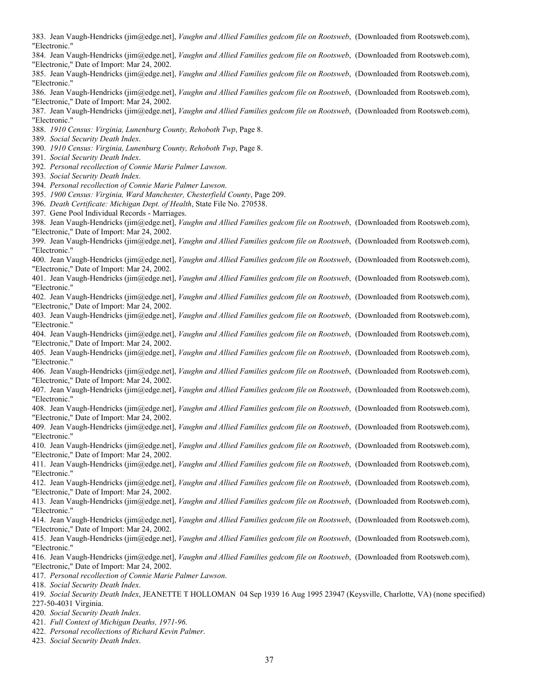383. Jean Vaugh-Hendricks (jim@edge.net], *Vaughn and Allied Families gedcom file on Rootsweb*, (Downloaded from Rootsweb.com), "Electronic."

384. Jean Vaugh-Hendricks (jim@edge.net], *Vaughn and Allied Families gedcom file on Rootsweb*, (Downloaded from Rootsweb.com), "Electronic," Date of Import: Mar 24, 2002.

385. Jean Vaugh-Hendricks (jim@edge.net], *Vaughn and Allied Families gedcom file on Rootsweb*, (Downloaded from Rootsweb.com), "Electronic."

386. Jean Vaugh-Hendricks (jim@edge.net], *Vaughn and Allied Families gedcom file on Rootsweb*, (Downloaded from Rootsweb.com), "Electronic," Date of Import: Mar 24, 2002.

387. Jean Vaugh-Hendricks (jim@edge.net], *Vaughn and Allied Families gedcom file on Rootsweb*, (Downloaded from Rootsweb.com), "Electronic."

388. *1910 Census: Virginia, Lunenburg County, Rehoboth Twp*, Page 8.

389. *Social Security Death Index*.

390. *1910 Census: Virginia, Lunenburg County, Rehoboth Twp*, Page 8.

- 391. *Social Security Death Index*.
- 392. *Personal recollection of Connie Marie Palmer Lawson*.
- 393. *Social Security Death Index*.
- 394. *Personal recollection of Connie Marie Palmer Lawson*.

395. *1900 Census: Virginia, Ward Manchester, Chesterfield County*, Page 209.

396. *Death Certificate: Michigan Dept. of Health*, State File No. 270538.

397. Gene Pool Individual Records - Marriages.

398. Jean Vaugh-Hendricks (jim@edge.net], *Vaughn and Allied Families gedcom file on Rootsweb*, (Downloaded from Rootsweb.com), "Electronic," Date of Import: Mar 24, 2002.

399. Jean Vaugh-Hendricks (jim@edge.net], *Vaughn and Allied Families gedcom file on Rootsweb*, (Downloaded from Rootsweb.com), "Electronic."

400. Jean Vaugh-Hendricks (jim@edge.net], *Vaughn and Allied Families gedcom file on Rootsweb*, (Downloaded from Rootsweb.com), "Electronic," Date of Import: Mar 24, 2002.

401. Jean Vaugh-Hendricks (jim@edge.net], *Vaughn and Allied Families gedcom file on Rootsweb*, (Downloaded from Rootsweb.com), "Electronic."

402. Jean Vaugh-Hendricks (jim@edge.net], *Vaughn and Allied Families gedcom file on Rootsweb*, (Downloaded from Rootsweb.com), "Electronic," Date of Import: Mar 24, 2002.

403. Jean Vaugh-Hendricks (jim@edge.net], *Vaughn and Allied Families gedcom file on Rootsweb*, (Downloaded from Rootsweb.com), "Electronic."

404. Jean Vaugh-Hendricks (jim@edge.net], *Vaughn and Allied Families gedcom file on Rootsweb*, (Downloaded from Rootsweb.com), "Electronic," Date of Import: Mar 24, 2002.

405. Jean Vaugh-Hendricks (jim@edge.net], *Vaughn and Allied Families gedcom file on Rootsweb*, (Downloaded from Rootsweb.com), "Electronic."

406. Jean Vaugh-Hendricks (jim@edge.net], *Vaughn and Allied Families gedcom file on Rootsweb*, (Downloaded from Rootsweb.com), "Electronic," Date of Import: Mar 24, 2002.

407. Jean Vaugh-Hendricks (jim@edge.net], *Vaughn and Allied Families gedcom file on Rootsweb*, (Downloaded from Rootsweb.com), "Electronic."

408. Jean Vaugh-Hendricks (jim@edge.net], *Vaughn and Allied Families gedcom file on Rootsweb*, (Downloaded from Rootsweb.com), "Electronic," Date of Import: Mar 24, 2002.

409. Jean Vaugh-Hendricks (jim@edge.net], *Vaughn and Allied Families gedcom file on Rootsweb*, (Downloaded from Rootsweb.com), "Electronic."

410. Jean Vaugh-Hendricks (jim@edge.net], *Vaughn and Allied Families gedcom file on Rootsweb*, (Downloaded from Rootsweb.com), "Electronic," Date of Import: Mar 24, 2002.

411. Jean Vaugh-Hendricks (jim@edge.net], *Vaughn and Allied Families gedcom file on Rootsweb*, (Downloaded from Rootsweb.com), "Electronic."

412. Jean Vaugh-Hendricks (jim@edge.net], *Vaughn and Allied Families gedcom file on Rootsweb*, (Downloaded from Rootsweb.com), "Electronic," Date of Import: Mar 24, 2002.

413. Jean Vaugh-Hendricks (jim@edge.net], *Vaughn and Allied Families gedcom file on Rootsweb*, (Downloaded from Rootsweb.com), "Electronic."

414. Jean Vaugh-Hendricks (jim@edge.net], *Vaughn and Allied Families gedcom file on Rootsweb*, (Downloaded from Rootsweb.com), "Electronic," Date of Import: Mar 24, 2002.

415. Jean Vaugh-Hendricks (jim@edge.net], *Vaughn and Allied Families gedcom file on Rootsweb*, (Downloaded from Rootsweb.com), "Electronic."

416. Jean Vaugh-Hendricks (jim@edge.net], *Vaughn and Allied Families gedcom file on Rootsweb*, (Downloaded from Rootsweb.com), "Electronic," Date of Import: Mar 24, 2002.

417. *Personal recollection of Connie Marie Palmer Lawson*.

418. *Social Security Death Index*.

419. *Social Security Death Index*, JEANETTE T HOLLOMAN 04 Sep 1939 16 Aug 1995 23947 (Keysville, Charlotte, VA) (none specified) 227-50-4031 Virginia.

420. *Social Security Death Index*.

421. *Full Context of Michigan Deaths, 1971-96*.

422. *Personal recollections of Richard Kevin Palmer*.

423. *Social Security Death Index*.